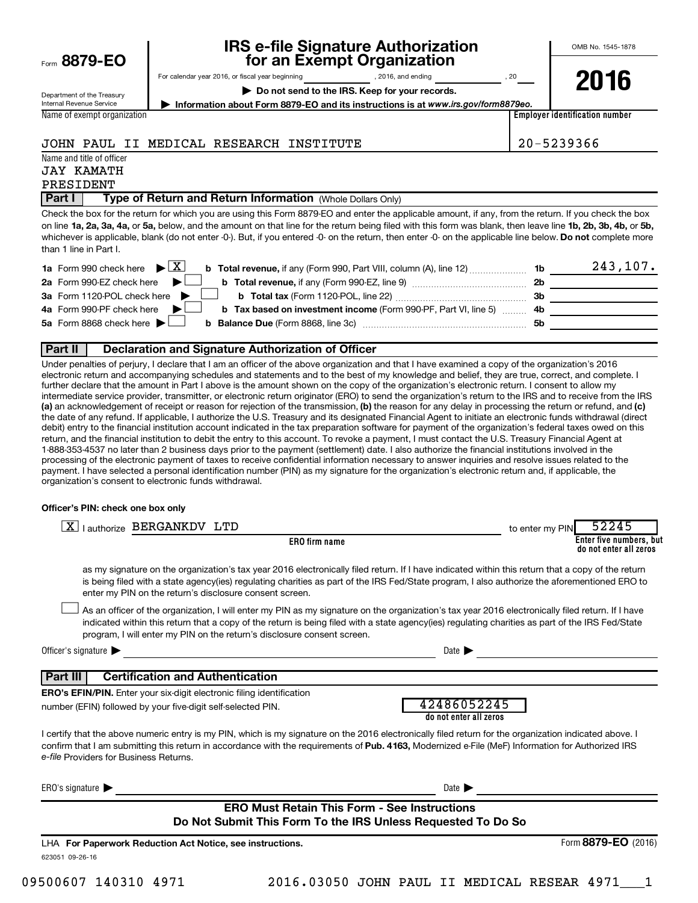Form  $8879 - E$ 

## **IRS e-file Signature Authorization 8879-EO for an Exempt Organization**

OMB No. 1545-1878

**2016**

Department of the Treasury Internal Revenue Service Name of exempt organization For calendar year 2016, or fiscal year beginning , 2016, and ending , 20

**| Do not send to the IRS. Keep for your records.**

**| Information about Form 8879-EO and its instructions is at**  *www.irs.gov/form8879eo.*

**Employer identification number**

## JOHN PAUL II MEDICAL RESEARCH INSTITUTE 20-5239366

Name and title of officer

## JAY KAMATH

PRESIDENT

## **Part I** | Type of Return and Return Information (Whole Dollars Only)

on line 1a, 2a, 3a, 4a, or 5a, below, and the amount on that line for the return being filed with this form was blank, then leave line 1b, 2b, 3b, 4b, or 5b, whichever is applicable, blank (do not enter -0-). But, if you entered -0- on the return, then enter -0- on the applicable line below. **Do not** complete more Check the box for the return for which you are using this Form 8879-EO and enter the applicable amount, if any, from the return. If you check the box than 1 line in Part I.

| <b>1a</b> Form 990 check here $\blacktriangleright$ $\boxed{\text{X}}$                                                       |     | 243, 107. |
|------------------------------------------------------------------------------------------------------------------------------|-----|-----------|
| 2a Form 990-EZ check here $\blacktriangleright$<br><b>b</b> Total revenue, if any (Form 990-EZ, line 9) <b>Total revenue</b> | 2b  |           |
| 3a Form 1120-POL check here                                                                                                  | 3b  |           |
| 4a Form 990-PF check here<br><b>b</b> Tax based on investment income (Form 990-PF, Part VI, line 5) 4b                       |     |           |
| 5a Form 8868 check here $\blacktriangleright$                                                                                | .5b |           |
|                                                                                                                              |     |           |

## **Part II Declaration and Signature Authorization of Officer**

(a) an acknowledgement of receipt or reason for rejection of the transmission, (b) the reason for any delay in processing the return or refund, and (c) Under penalties of perjury, I declare that I am an officer of the above organization and that I have examined a copy of the organization's 2016 electronic return and accompanying schedules and statements and to the best of my knowledge and belief, they are true, correct, and complete. I further declare that the amount in Part I above is the amount shown on the copy of the organization's electronic return. I consent to allow my intermediate service provider, transmitter, or electronic return originator (ERO) to send the organization's return to the IRS and to receive from the IRS the date of any refund. If applicable, I authorize the U.S. Treasury and its designated Financial Agent to initiate an electronic funds withdrawal (direct debit) entry to the financial institution account indicated in the tax preparation software for payment of the organization's federal taxes owed on this return, and the financial institution to debit the entry to this account. To revoke a payment, I must contact the U.S. Treasury Financial Agent at 1-888-353-4537 no later than 2 business days prior to the payment (settlement) date. I also authorize the financial institutions involved in the processing of the electronic payment of taxes to receive confidential information necessary to answer inquiries and resolve issues related to the payment. I have selected a personal identification number (PIN) as my signature for the organization's electronic return and, if applicable, the organization's consent to electronic funds withdrawal.

## **Officer's PIN: check one box only**

| I authorize BERGANKDV LTD<br>$\mathbf{X}$                                                                                                                                                                                                                                                                                                              | 52245<br>to enter my PIN                                                                                                                                                                                                                                                                              |
|--------------------------------------------------------------------------------------------------------------------------------------------------------------------------------------------------------------------------------------------------------------------------------------------------------------------------------------------------------|-------------------------------------------------------------------------------------------------------------------------------------------------------------------------------------------------------------------------------------------------------------------------------------------------------|
| <b>ERO</b> firm name                                                                                                                                                                                                                                                                                                                                   | Enter five numbers, but<br>do not enter all zeros                                                                                                                                                                                                                                                     |
| enter my PIN on the return's disclosure consent screen.                                                                                                                                                                                                                                                                                                | as my signature on the organization's tax year 2016 electronically filed return. If I have indicated within this return that a copy of the return<br>is being filed with a state agency(ies) regulating charities as part of the IRS Fed/State program, I also authorize the aforementioned ERO to    |
| program, I will enter my PIN on the return's disclosure consent screen.                                                                                                                                                                                                                                                                                | As an officer of the organization, I will enter my PIN as my signature on the organization's tax year 2016 electronically filed return. If I have<br>indicated within this return that a copy of the return is being filed with a state agency(ies) regulating charities as part of the IRS Fed/State |
| Officer's signature $\blacktriangleright$                                                                                                                                                                                                                                                                                                              | Date <b>I</b>                                                                                                                                                                                                                                                                                         |
| <b>Part III</b><br><b>Certification and Authentication</b>                                                                                                                                                                                                                                                                                             |                                                                                                                                                                                                                                                                                                       |
| <b>ERO's EFIN/PIN.</b> Enter your six-digit electronic filing identification                                                                                                                                                                                                                                                                           |                                                                                                                                                                                                                                                                                                       |
| number (EFIN) followed by your five-digit self-selected PIN.                                                                                                                                                                                                                                                                                           | 42486052245<br>do not enter all zeros                                                                                                                                                                                                                                                                 |
| I certify that the above numeric entry is my PIN, which is my signature on the 2016 electronically filed return for the organization indicated above. I<br>confirm that I am submitting this return in accordance with the requirements of Pub. 4163, Modernized e-File (MeF) Information for Authorized IRS<br>e-file Providers for Business Returns. |                                                                                                                                                                                                                                                                                                       |
| ERO's signature $\blacktriangleright$                                                                                                                                                                                                                                                                                                                  | Date $\blacktriangleright$                                                                                                                                                                                                                                                                            |
| <b>ERO Must Retain This Form - See Instructions</b><br>Do Not Submit This Form To the IRS Unless Requested To Do So                                                                                                                                                                                                                                    |                                                                                                                                                                                                                                                                                                       |
| LHA For Paperwork Reduction Act Notice, see instructions.                                                                                                                                                                                                                                                                                              | Form 8879-EO (2016)                                                                                                                                                                                                                                                                                   |
| 623051 09-26-16                                                                                                                                                                                                                                                                                                                                        |                                                                                                                                                                                                                                                                                                       |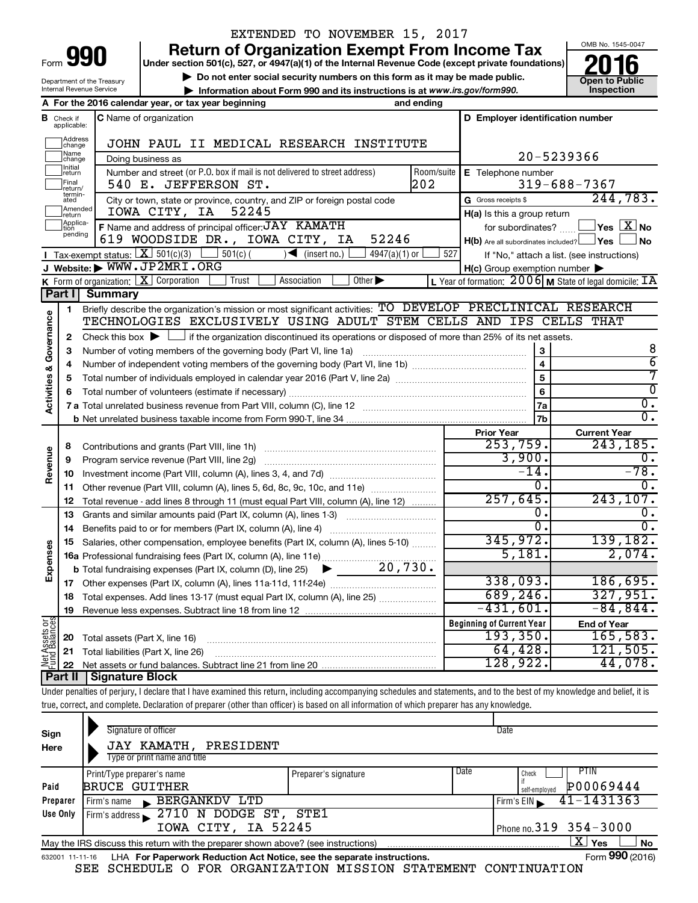| Form 990 |  |
|----------|--|
|          |  |

## EXTENDED TO NOVEMBER 15, 2017

**Return of Organization Exempt From Income Tax**<br>Under section 501(c), 527, or 4947(a)(1) of the Internal Revenue Code (except private foundations)<br> **2016** 

**Under section 501(c), 527, or 4947(a)(1) of the Internal Revenue Code (except private foundations)**

▶ Do not enter social security numbers on this form as it may be made public.<br>▶ Information about Form 990 and its instructions is at www.irs.gov/form990. Inspection **• Information about Form 990 and its instructions is at www.irs.gov/form990. and inspection** 



Department of the Treasury Internal Revenue Service

|                         |                               | A For the 2016 calendar year, or tax year beginning                                                                                                                        | and ending |                                                     |                                                             |
|-------------------------|-------------------------------|----------------------------------------------------------------------------------------------------------------------------------------------------------------------------|------------|-----------------------------------------------------|-------------------------------------------------------------|
|                         | <b>B</b> Check if applicable: | C Name of organization                                                                                                                                                     |            | D Employer identification number                    |                                                             |
|                         | Address<br>change             | JOHN PAUL II MEDICAL RESEARCH INSTITUTE                                                                                                                                    |            |                                                     |                                                             |
|                         | Name<br>change                | Doing business as                                                                                                                                                          |            |                                                     | 20-5239366                                                  |
|                         | Initial<br>return             | Number and street (or P.O. box if mail is not delivered to street address)                                                                                                 | Room/suite | E Telephone number                                  |                                                             |
|                         | Final                         | 540 E. JEFFERSON ST.                                                                                                                                                       | 202        |                                                     | $319 - 688 - 7367$                                          |
|                         | return/<br>termin-<br>ated    | City or town, state or province, country, and ZIP or foreign postal code                                                                                                   |            | G Gross receipts \$                                 | 244,783.                                                    |
|                         | Amended<br>Ireturn            | 52245<br>IOWA CITY, IA                                                                                                                                                     |            | H(a) Is this a group return                         |                                                             |
|                         | Applica-<br>tion              | F Name and address of principal officer: JAY KAMATH                                                                                                                        |            | for subordinates?                                   | $\Box$ Yes $~[~\mathrm{X}$ No                               |
|                         | pending                       | 52246<br>619 WOODSIDE DR., IOWA CITY, IA                                                                                                                                   |            | $H(b)$ Are all subordinates included? $\Box$ Yes    | l No                                                        |
|                         |                               | Tax-exempt status: $X \mid 501(c)(3)$<br>$501(c)$ (<br>$\sqrt{\bullet}$ (insert no.)<br>$4947(a)(1)$ or                                                                    | 527        |                                                     | If "No," attach a list. (see instructions)                  |
|                         |                               | J Website: WWW.JP2MRI.ORG                                                                                                                                                  |            | $H(c)$ Group exemption number $\blacktriangleright$ |                                                             |
|                         |                               | K Form of organization: $X$ Corporation<br>Trust<br>Association<br>$\overline{Other}$                                                                                      |            |                                                     | L Year of formation: $2006$ M State of legal domicile: $TA$ |
|                         | Part II                       | <b>Summary</b>                                                                                                                                                             |            |                                                     |                                                             |
|                         | 1                             | Briefly describe the organization's mission or most significant activities: TO DEVELOP PRECLINICAL RESEARCH                                                                |            |                                                     |                                                             |
|                         |                               | TECHNOLOGIES EXCLUSIVELY USING ADULT STEM CELLS AND IPS CELLS THAT                                                                                                         |            |                                                     |                                                             |
| Governance              | 2                             | Check this box $\blacktriangleright$ $\Box$ if the organization discontinued its operations or disposed of more than 25% of its net assets.                                |            |                                                     |                                                             |
|                         | 3                             |                                                                                                                                                                            |            |                                                     | 8                                                           |
|                         | 4                             |                                                                                                                                                                            |            | $\overline{6}$                                      |                                                             |
|                         | 5                             |                                                                                                                                                                            |            | 5                                                   | 7                                                           |
|                         |                               |                                                                                                                                                                            |            | 6                                                   | $\overline{0}$                                              |
| <b>Activities &amp;</b> |                               |                                                                                                                                                                            |            | 7a                                                  | $\overline{0}$ .                                            |
|                         |                               |                                                                                                                                                                            |            | 7 <sub>b</sub>                                      | σ.                                                          |
|                         |                               |                                                                                                                                                                            |            | <b>Prior Year</b>                                   | <b>Current Year</b>                                         |
|                         | 8                             |                                                                                                                                                                            |            | 253,759.                                            | 243, 185.                                                   |
|                         | 9                             | Program service revenue (Part VIII, line 2g)                                                                                                                               |            | 3,900.                                              | 0.                                                          |
| Revenue                 | 10                            |                                                                                                                                                                            |            | $-14.$                                              | $-78.$                                                      |
|                         | 11                            | Other revenue (Part VIII, column (A), lines 5, 6d, 8c, 9c, 10c, and 11e)                                                                                                   |            | $\overline{0}$ .                                    | 0.                                                          |
|                         | 12                            | Total revenue - add lines 8 through 11 (must equal Part VIII, column (A), line 12)                                                                                         |            | 257,645.                                            | 243, 107.                                                   |
|                         | 13                            | Grants and similar amounts paid (Part IX, column (A), lines 1-3)                                                                                                           |            | 0.                                                  | ο.                                                          |
|                         | 14                            |                                                                                                                                                                            |            | σ.                                                  | $\overline{0}$ .                                            |
|                         | 15                            | Salaries, other compensation, employee benefits (Part IX, column (A), lines 5-10)                                                                                          |            | 345,972.                                            | 139, 182.                                                   |
|                         |                               | 16a Professional fundraising fees (Part IX, column (A), line 11e)                                                                                                          |            | 5,181.                                              | 2,074.                                                      |
| Expenses                |                               | 20,730.<br><b>b</b> Total fundraising expenses (Part IX, column (D), line 25) $\blacktriangleright$                                                                        |            |                                                     |                                                             |
|                         | 17                            |                                                                                                                                                                            |            | 338,093.<br>689, 246.                               | 186,695.<br>327,951.                                        |
|                         |                               | 18 Total expenses. Add lines 13-17 (must equal Part IX, column (A), line 25)                                                                                               |            |                                                     | $-84,844.$                                                  |
|                         | 19                            |                                                                                                                                                                            |            | 431,601.                                            |                                                             |
|                         |                               |                                                                                                                                                                            |            | <b>Beginning of Current Year</b><br>193, 350.       | <b>End of Year</b><br>165,583.                              |
| Net Assets or           | 20                            | Total assets (Part X, line 16)                                                                                                                                             |            | 64,428.                                             | 121,505.                                                    |
|                         | 21                            | Total liabilities (Part X, line 26)                                                                                                                                        |            | 128,922.                                            | 44,078.                                                     |
|                         | 22<br><b>Part II</b>          | <b>Signature Block</b>                                                                                                                                                     |            |                                                     |                                                             |
|                         |                               | Under penalties of perjury, I declare that I have examined this return, including accompanying schedules and statements, and to the best of my knowledge and belief, it is |            |                                                     |                                                             |
|                         |                               |                                                                                                                                                                            |            |                                                     |                                                             |

true, correct, and complete. Declaration of preparer (other than officer) is based on all information of which preparer has any knowledge.

| Sign<br>Here    | Signature of officer<br>JAY KAMATH,<br>PRESIDENT<br>Type or print name and title      |                      |      | Date                   |                              |
|-----------------|---------------------------------------------------------------------------------------|----------------------|------|------------------------|------------------------------|
| Paid            | Print/Type preparer's name<br><b>BRUCE GUITHER</b>                                    | Preparer's signature | Date | Check<br>self-emploved | PTIN.<br>P00069444           |
| Preparer        | <b>BERGANKDV</b><br>LTD<br>Firm's name<br>$\overline{\phantom{a}}$                    |                      |      | Firm's $EIN$           | 41-1431363                   |
| Use Only        | Firm's address 2710 N DODGE ST, STE1                                                  |                      |      |                        |                              |
|                 | IOWA CITY, IA 52245                                                                   |                      |      |                        | Phone no. $319$ $354 - 3000$ |
|                 | May the IRS discuss this return with the preparer shown above? (see instructions)     |                      |      |                        | X  <br><b>No</b><br>Yes      |
| 632001 11-11-16 | LHA For Paperwork Reduction Act Notice, see the separate instructions.<br>$\sim$ $ -$ |                      |      |                        | Form 990 (2016)              |

SEE SCHEDULE O FOR ORGANIZATION MISSION STATEMENT CONTINUATION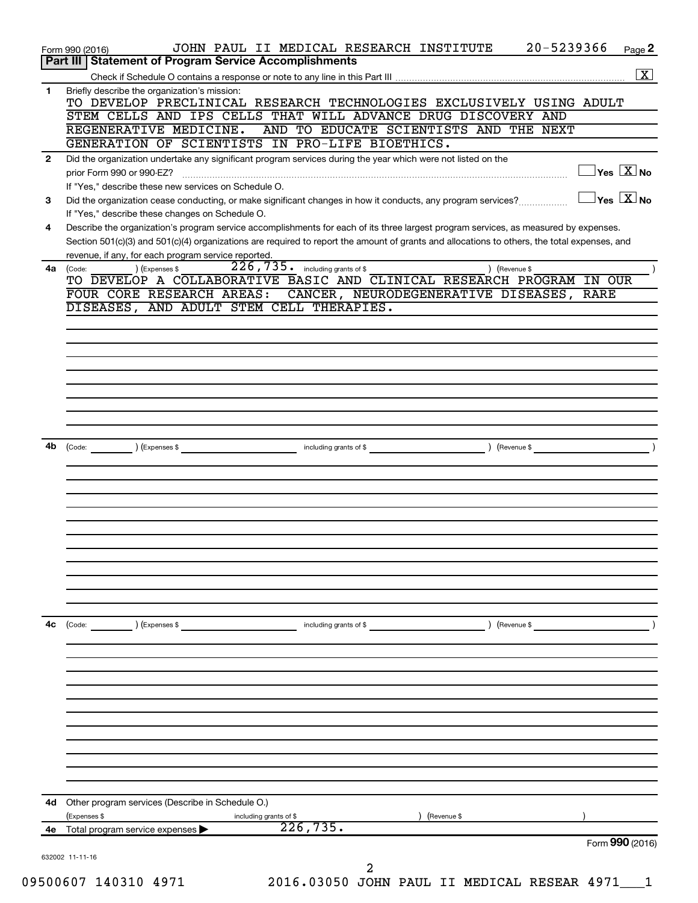|    | 20-5239366<br>JOHN PAUL II MEDICAL RESEARCH INSTITUTE<br>Form 990 (2016)                                                                                                                                                             | Page 2                                  |
|----|--------------------------------------------------------------------------------------------------------------------------------------------------------------------------------------------------------------------------------------|-----------------------------------------|
|    | <b>Statement of Program Service Accomplishments</b><br>Part III                                                                                                                                                                      | $\boxed{\text{X}}$                      |
| 1  | Briefly describe the organization's mission:                                                                                                                                                                                         |                                         |
|    | TO DEVELOP PRECLINICAL RESEARCH TECHNOLOGIES EXCLUSIVELY USING ADULT                                                                                                                                                                 |                                         |
|    | STEM CELLS AND IPS CELLS THAT WILL ADVANCE DRUG DISCOVERY AND                                                                                                                                                                        |                                         |
|    | REGENERATIVE MEDICINE.<br>AND TO EDUCATE SCIENTISTS AND THE NEXT                                                                                                                                                                     |                                         |
|    | GENERATION OF SCIENTISTS IN PRO-LIFE BIOETHICS.                                                                                                                                                                                      |                                         |
| 2  | Did the organization undertake any significant program services during the year which were not listed on the                                                                                                                         | $\exists$ Yes $\boxed{\text{X}}$ No     |
|    | prior Form 990 or 990-EZ?<br>If "Yes," describe these new services on Schedule O.                                                                                                                                                    |                                         |
| 3  | Did the organization cease conducting, or make significant changes in how it conducts, any program services?                                                                                                                         | $\Box$ Yes $[\overline{\mathrm{X}}]$ No |
|    | If "Yes," describe these changes on Schedule O.                                                                                                                                                                                      |                                         |
| 4  | Describe the organization's program service accomplishments for each of its three largest program services, as measured by expenses.                                                                                                 |                                         |
|    | Section 501(c)(3) and 501(c)(4) organizations are required to report the amount of grants and allocations to others, the total expenses, and                                                                                         |                                         |
| 4a | revenue, if any, for each program service reported.<br>$\overline{226}$ , $\overline{735}$ $\cdot$ including grants of \$<br>) (Expenses \$<br>) (Revenue \$<br>(Code:                                                               |                                         |
|    | TO DEVELOP A COLLABORATIVE BASIC AND CLINICAL RESEARCH PROGRAM IN OUR                                                                                                                                                                |                                         |
|    | FOUR CORE RESEARCH AREAS:<br>CANCER, NEURODEGENERATIVE DISEASES, RARE                                                                                                                                                                |                                         |
|    | DISEASES, AND ADULT STEM CELL THERAPIES.                                                                                                                                                                                             |                                         |
|    |                                                                                                                                                                                                                                      |                                         |
|    |                                                                                                                                                                                                                                      |                                         |
|    |                                                                                                                                                                                                                                      |                                         |
|    |                                                                                                                                                                                                                                      |                                         |
|    |                                                                                                                                                                                                                                      |                                         |
|    |                                                                                                                                                                                                                                      |                                         |
|    |                                                                                                                                                                                                                                      |                                         |
|    |                                                                                                                                                                                                                                      |                                         |
| 4b | (Code: <u>and a set of the set of the set of the set of the set of the set of the set of the set of the set of the set of the set of the set of the set of the set of the set of the set of the set of the set of the set of the</u> |                                         |
|    |                                                                                                                                                                                                                                      |                                         |
|    |                                                                                                                                                                                                                                      |                                         |
|    |                                                                                                                                                                                                                                      |                                         |
|    |                                                                                                                                                                                                                                      |                                         |
|    |                                                                                                                                                                                                                                      |                                         |
|    |                                                                                                                                                                                                                                      |                                         |
|    |                                                                                                                                                                                                                                      |                                         |
|    |                                                                                                                                                                                                                                      |                                         |
|    |                                                                                                                                                                                                                                      |                                         |
|    |                                                                                                                                                                                                                                      |                                         |
| 4с | (Code:<br>) (Expenses \$<br>including grants of \$<br>) (Revenue \$                                                                                                                                                                  |                                         |
|    |                                                                                                                                                                                                                                      |                                         |
|    |                                                                                                                                                                                                                                      |                                         |
|    |                                                                                                                                                                                                                                      |                                         |
|    |                                                                                                                                                                                                                                      |                                         |
|    |                                                                                                                                                                                                                                      |                                         |
|    |                                                                                                                                                                                                                                      |                                         |
|    |                                                                                                                                                                                                                                      |                                         |
|    |                                                                                                                                                                                                                                      |                                         |
|    |                                                                                                                                                                                                                                      |                                         |
|    |                                                                                                                                                                                                                                      |                                         |
|    | 4d Other program services (Describe in Schedule O.)                                                                                                                                                                                  |                                         |
|    | (Expenses \$<br>) (Revenue \$<br>including grants of \$<br>226, 735.                                                                                                                                                                 |                                         |
|    | 4e Total program service expenses                                                                                                                                                                                                    | Form 990 (2016)                         |
|    |                                                                                                                                                                                                                                      |                                         |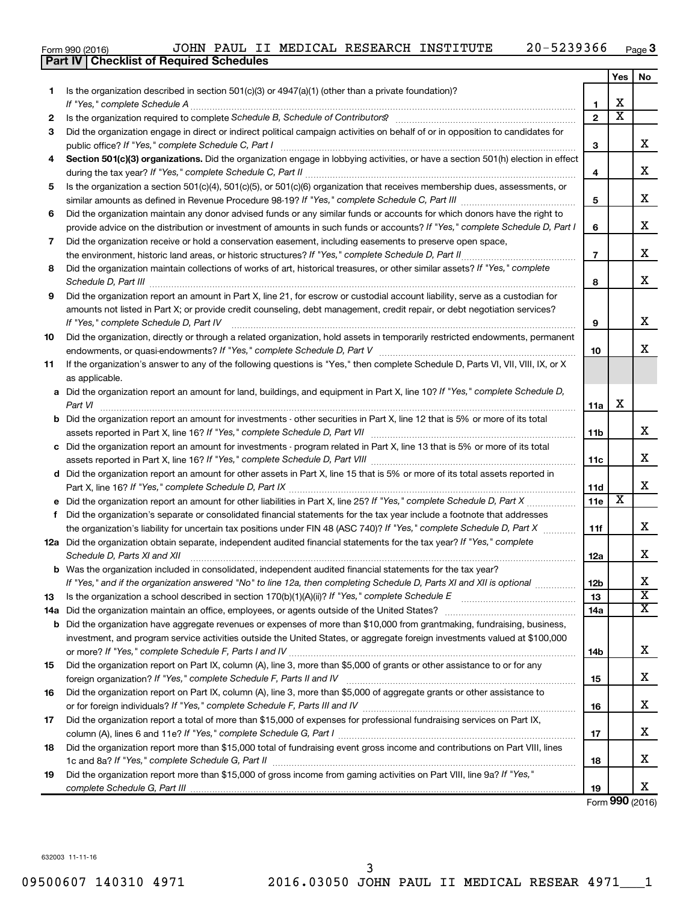| Form 990 (2016) |  |  |
|-----------------|--|--|

|     |                                                                                                                                                                                                                                                                |                | Yes                   | No                         |
|-----|----------------------------------------------------------------------------------------------------------------------------------------------------------------------------------------------------------------------------------------------------------------|----------------|-----------------------|----------------------------|
| 1.  | Is the organization described in section $501(c)(3)$ or $4947(a)(1)$ (other than a private foundation)?                                                                                                                                                        |                |                       |                            |
|     |                                                                                                                                                                                                                                                                | 1              | х                     |                            |
| 2   |                                                                                                                                                                                                                                                                | $\overline{2}$ | $\overline{\text{x}}$ |                            |
| 3   | Did the organization engage in direct or indirect political campaign activities on behalf of or in opposition to candidates for                                                                                                                                | З              |                       | x                          |
| 4   | Section 501(c)(3) organizations. Did the organization engage in lobbying activities, or have a section 501(h) election in effect                                                                                                                               | 4              |                       | X                          |
| 5   | Is the organization a section 501(c)(4), 501(c)(5), or 501(c)(6) organization that receives membership dues, assessments, or                                                                                                                                   |                |                       |                            |
|     |                                                                                                                                                                                                                                                                | 5              |                       | x                          |
| 6   | Did the organization maintain any donor advised funds or any similar funds or accounts for which donors have the right to                                                                                                                                      |                |                       |                            |
|     | provide advice on the distribution or investment of amounts in such funds or accounts? If "Yes," complete Schedule D, Part I                                                                                                                                   | 6              |                       | x                          |
| 7   | Did the organization receive or hold a conservation easement, including easements to preserve open space,                                                                                                                                                      |                |                       |                            |
|     |                                                                                                                                                                                                                                                                | $\overline{7}$ |                       | x                          |
| 8   | Did the organization maintain collections of works of art, historical treasures, or other similar assets? If "Yes," complete                                                                                                                                   | 8              |                       | x                          |
| 9   | Did the organization report an amount in Part X, line 21, for escrow or custodial account liability, serve as a custodian for                                                                                                                                  |                |                       |                            |
|     | amounts not listed in Part X; or provide credit counseling, debt management, credit repair, or debt negotiation services?<br>If "Yes," complete Schedule D, Part IV                                                                                            | 9              |                       | x                          |
| 10  | Did the organization, directly or through a related organization, hold assets in temporarily restricted endowments, permanent                                                                                                                                  |                |                       |                            |
|     |                                                                                                                                                                                                                                                                | 10             |                       | x                          |
| 11  | If the organization's answer to any of the following questions is "Yes," then complete Schedule D, Parts VI, VII, VIII, IX, or X<br>as applicable.                                                                                                             |                |                       |                            |
|     | a Did the organization report an amount for land, buildings, and equipment in Part X, line 10? If "Yes," complete Schedule D,<br>Part VI                                                                                                                       | 11a            | х                     |                            |
|     | <b>b</b> Did the organization report an amount for investments - other securities in Part X, line 12 that is 5% or more of its total                                                                                                                           | 11b            |                       | x                          |
| c   | Did the organization report an amount for investments - program related in Part X, line 13 that is 5% or more of its total                                                                                                                                     |                |                       |                            |
|     |                                                                                                                                                                                                                                                                | 11c            |                       | x                          |
|     | d Did the organization report an amount for other assets in Part X, line 15 that is 5% or more of its total assets reported in                                                                                                                                 |                |                       |                            |
|     |                                                                                                                                                                                                                                                                | 11d            |                       | x                          |
|     |                                                                                                                                                                                                                                                                | 11e            | X                     |                            |
| f   | Did the organization's separate or consolidated financial statements for the tax year include a footnote that addresses                                                                                                                                        |                |                       |                            |
|     | the organization's liability for uncertain tax positions under FIN 48 (ASC 740)? If "Yes," complete Schedule D, Part X                                                                                                                                         | 11f            |                       | x                          |
|     | 12a Did the organization obtain separate, independent audited financial statements for the tax year? If "Yes," complete<br>Schedule D, Parts XI and XII                                                                                                        | 12a            |                       | x                          |
|     | <b>b</b> Was the organization included in consolidated, independent audited financial statements for the tax year?                                                                                                                                             |                |                       |                            |
|     | If "Yes," and if the organization answered "No" to line 12a, then completing Schedule D, Parts XI and XII is optional                                                                                                                                          | 12b            |                       | X<br>$\overline{\text{x}}$ |
| 13  |                                                                                                                                                                                                                                                                | 13             |                       | X                          |
| 14a | Did the organization maintain an office, employees, or agents outside of the United States?                                                                                                                                                                    | 14a            |                       |                            |
|     | <b>b</b> Did the organization have aggregate revenues or expenses of more than \$10,000 from grantmaking, fundraising, business,<br>investment, and program service activities outside the United States, or aggregate foreign investments valued at \$100,000 |                |                       |                            |
|     |                                                                                                                                                                                                                                                                | 14b            |                       | х                          |
| 15  | Did the organization report on Part IX, column (A), line 3, more than \$5,000 of grants or other assistance to or for any                                                                                                                                      |                |                       |                            |
|     |                                                                                                                                                                                                                                                                | 15             |                       | х                          |
| 16  | Did the organization report on Part IX, column (A), line 3, more than \$5,000 of aggregate grants or other assistance to                                                                                                                                       |                |                       |                            |
| 17  | Did the organization report a total of more than \$15,000 of expenses for professional fundraising services on Part IX,                                                                                                                                        | 16             |                       | х                          |
|     |                                                                                                                                                                                                                                                                | 17             |                       | х                          |
| 18  | Did the organization report more than \$15,000 total of fundraising event gross income and contributions on Part VIII, lines                                                                                                                                   |                |                       |                            |
|     |                                                                                                                                                                                                                                                                | 18             |                       | X                          |
| 19  | Did the organization report more than \$15,000 of gross income from gaming activities on Part VIII, line 9a? If "Yes,"                                                                                                                                         | 19             |                       | x                          |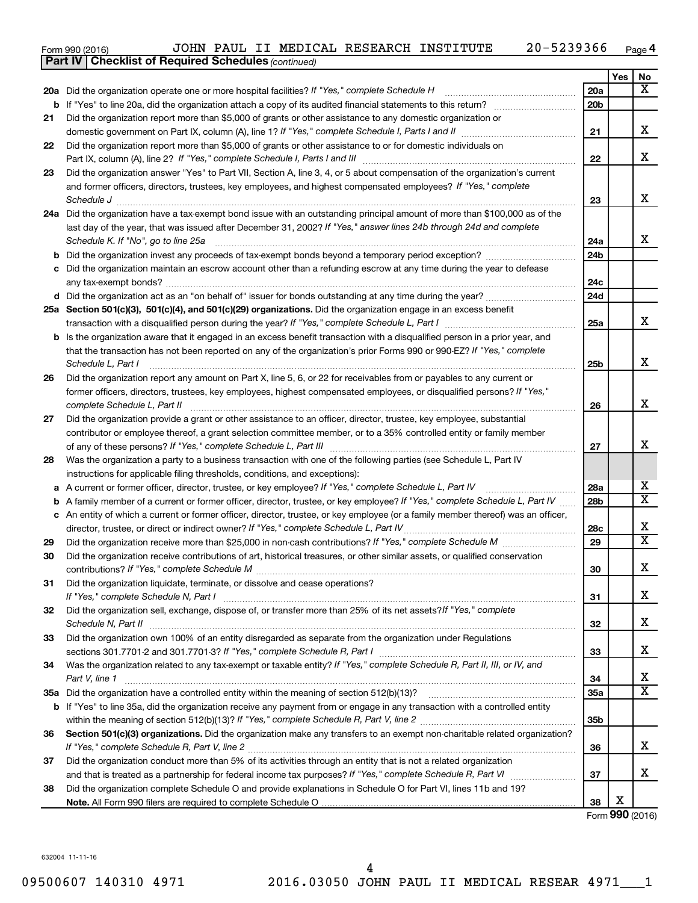| Form 990 (2016) |  |  |  |  |  | JOHN PAUL II MEDICAL RESEARCH INSTITUTE | 20-5239366 | Page |
|-----------------|--|--|--|--|--|-----------------------------------------|------------|------|
|-----------------|--|--|--|--|--|-----------------------------------------|------------|------|

|     | <b>Part IV   Checklist of Required Schedules (continued)</b>                                                                                                                                   |                 |     |                         |
|-----|------------------------------------------------------------------------------------------------------------------------------------------------------------------------------------------------|-----------------|-----|-------------------------|
|     |                                                                                                                                                                                                |                 | Yes | No.                     |
|     | 20a Did the organization operate one or more hospital facilities? If "Yes," complete Schedule H                                                                                                | 20a             |     | $\overline{\mathbf{X}}$ |
|     |                                                                                                                                                                                                | 20 <sub>b</sub> |     |                         |
| 21  | Did the organization report more than \$5,000 of grants or other assistance to any domestic organization or                                                                                    |                 |     |                         |
|     |                                                                                                                                                                                                | 21              |     | x                       |
| 22  | Did the organization report more than \$5,000 of grants or other assistance to or for domestic individuals on                                                                                  |                 |     |                         |
|     |                                                                                                                                                                                                | 22              |     | x                       |
| 23  | Did the organization answer "Yes" to Part VII, Section A, line 3, 4, or 5 about compensation of the organization's current                                                                     |                 |     |                         |
|     | and former officers, directors, trustees, key employees, and highest compensated employees? If "Yes," complete                                                                                 |                 |     |                         |
|     | Schedule J <b>Execute Schedule J Execute Schedule J</b>                                                                                                                                        | 23              |     | X                       |
|     | 24a Did the organization have a tax-exempt bond issue with an outstanding principal amount of more than \$100,000 as of the                                                                    |                 |     |                         |
|     | last day of the year, that was issued after December 31, 2002? If "Yes," answer lines 24b through 24d and complete                                                                             |                 |     |                         |
|     | Schedule K. If "No", go to line 25a                                                                                                                                                            | 24a             |     | x                       |
| b   |                                                                                                                                                                                                | 24 <sub>b</sub> |     |                         |
|     | Did the organization maintain an escrow account other than a refunding escrow at any time during the year to defease                                                                           |                 |     |                         |
|     |                                                                                                                                                                                                | 24c             |     |                         |
|     | d Did the organization act as an "on behalf of" issuer for bonds outstanding at any time during the year?                                                                                      | 24d             |     |                         |
|     | 25a Section 501(c)(3), 501(c)(4), and 501(c)(29) organizations. Did the organization engage in an excess benefit                                                                               |                 |     |                         |
|     | transaction with a disqualified person during the year? If "Yes," complete Schedule L, Part I manual content of the disqualified person during the year? If "Yes," complete Schedule L, Part I | 25a             |     | x                       |
| b   | Is the organization aware that it engaged in an excess benefit transaction with a disqualified person in a prior year, and                                                                     |                 |     |                         |
|     | that the transaction has not been reported on any of the organization's prior Forms 990 or 990-EZ? If "Yes," complete                                                                          |                 |     |                         |
|     | Schedule L, Part I                                                                                                                                                                             | 25b             |     | x                       |
| 26  | Did the organization report any amount on Part X, line 5, 6, or 22 for receivables from or payables to any current or                                                                          |                 |     |                         |
|     | former officers, directors, trustees, key employees, highest compensated employees, or disqualified persons? If "Yes,"                                                                         |                 |     |                         |
|     | complete Schedule L, Part II                                                                                                                                                                   | 26              |     | x                       |
| 27  | Did the organization provide a grant or other assistance to an officer, director, trustee, key employee, substantial                                                                           |                 |     |                         |
|     | contributor or employee thereof, a grant selection committee member, or to a 35% controlled entity or family member                                                                            |                 |     |                         |
|     |                                                                                                                                                                                                | 27              |     | x                       |
| 28  | Was the organization a party to a business transaction with one of the following parties (see Schedule L, Part IV                                                                              |                 |     |                         |
|     | instructions for applicable filing thresholds, conditions, and exceptions):                                                                                                                    |                 |     |                         |
| а   | A current or former officer, director, trustee, or key employee? If "Yes," complete Schedule L, Part IV                                                                                        | 28a             |     | x                       |
| b   | A family member of a current or former officer, director, trustee, or key employee? If "Yes," complete Schedule L, Part IV                                                                     | 28 <sub>b</sub> |     | $\overline{\text{X}}$   |
|     | c An entity of which a current or former officer, director, trustee, or key employee (or a family member thereof) was an officer,                                                              |                 |     |                         |
|     | director, trustee, or direct or indirect owner? If "Yes," complete Schedule L, Part IV                                                                                                         | 28c             |     | x                       |
| 29  |                                                                                                                                                                                                | 29              |     | $\overline{\mathtt{x}}$ |
| 30  | Did the organization receive contributions of art, historical treasures, or other similar assets, or qualified conservation                                                                    |                 |     |                         |
|     |                                                                                                                                                                                                | 30              |     | Y<br>4                  |
| 31  | Did the organization liquidate, terminate, or dissolve and cease operations?                                                                                                                   |                 |     |                         |
|     |                                                                                                                                                                                                | 31              |     | x                       |
| 32  | Did the organization sell, exchange, dispose of, or transfer more than 25% of its net assets? If "Yes," complete                                                                               |                 |     |                         |
|     | Schedule N, Part II                                                                                                                                                                            | 32              |     | x                       |
| 33  | Did the organization own 100% of an entity disregarded as separate from the organization under Regulations                                                                                     |                 |     |                         |
|     |                                                                                                                                                                                                | 33              |     | x                       |
| 34  | Was the organization related to any tax-exempt or taxable entity? If "Yes," complete Schedule R, Part II, III, or IV, and                                                                      |                 |     |                         |
|     | Part V, line 1                                                                                                                                                                                 | 34              |     | x                       |
| 35а |                                                                                                                                                                                                | 35a             |     | $\overline{\mathtt{x}}$ |
|     | b If "Yes" to line 35a, did the organization receive any payment from or engage in any transaction with a controlled entity                                                                    |                 |     |                         |
|     |                                                                                                                                                                                                | 35 <sub>b</sub> |     |                         |
| 36  | Section 501(c)(3) organizations. Did the organization make any transfers to an exempt non-charitable related organization?                                                                     |                 |     |                         |
|     |                                                                                                                                                                                                | 36              |     | x                       |
| 37  | Did the organization conduct more than 5% of its activities through an entity that is not a related organization                                                                               |                 |     |                         |
|     |                                                                                                                                                                                                | 37              |     | x                       |
| 38  | Did the organization complete Schedule O and provide explanations in Schedule O for Part VI, lines 11b and 19?                                                                                 |                 |     |                         |
|     |                                                                                                                                                                                                | 38              | х   |                         |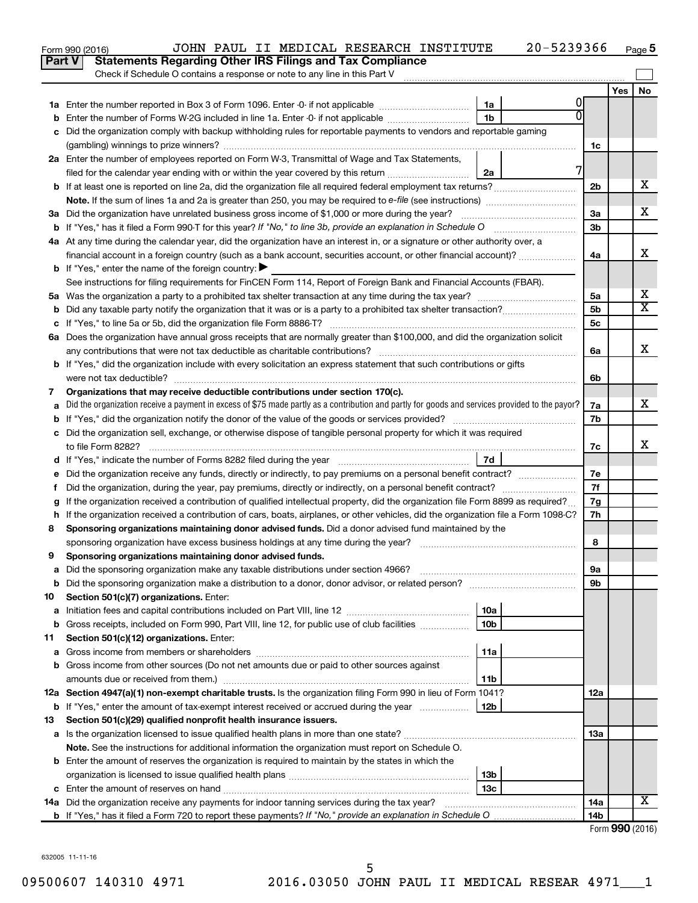|               | 20-5239366<br>JOHN PAUL II MEDICAL RESEARCH INSTITUTE<br>Form 990 (2016)                                                                        |                |     | Page 5                |
|---------------|-------------------------------------------------------------------------------------------------------------------------------------------------|----------------|-----|-----------------------|
| <b>Part V</b> | <b>Statements Regarding Other IRS Filings and Tax Compliance</b>                                                                                |                |     |                       |
|               | Check if Schedule O contains a response or note to any line in this Part V                                                                      |                |     |                       |
|               |                                                                                                                                                 |                | Yes | No                    |
|               | 0<br>1a                                                                                                                                         |                |     |                       |
| b             | О<br>1 <sub>b</sub><br>Enter the number of Forms W-2G included in line 1a. Enter -0- if not applicable                                          |                |     |                       |
| с             | Did the organization comply with backup withholding rules for reportable payments to vendors and reportable gaming                              |                |     |                       |
|               |                                                                                                                                                 | 1c             |     |                       |
|               | 2a Enter the number of employees reported on Form W-3, Transmittal of Wage and Tax Statements,                                                  |                |     |                       |
|               | 7<br>filed for the calendar year ending with or within the year covered by this return<br>2a                                                    |                |     |                       |
|               |                                                                                                                                                 | 2 <sub>b</sub> |     | х                     |
|               |                                                                                                                                                 |                |     |                       |
|               | 3a Did the organization have unrelated business gross income of \$1,000 or more during the year?                                                | За             |     | х                     |
|               |                                                                                                                                                 | 3b             |     |                       |
|               | 4a At any time during the calendar year, did the organization have an interest in, or a signature or other authority over, a                    |                |     |                       |
|               | financial account in a foreign country (such as a bank account, securities account, or other financial account)?                                | 4a             |     | x                     |
|               | <b>b</b> If "Yes," enter the name of the foreign country: $\blacktriangleright$                                                                 |                |     |                       |
|               | See instructions for filing requirements for FinCEN Form 114, Report of Foreign Bank and Financial Accounts (FBAR).                             |                |     |                       |
|               |                                                                                                                                                 | 5a             |     | х                     |
| b             |                                                                                                                                                 | 5b             |     | $\overline{\text{X}}$ |
|               |                                                                                                                                                 | 5c             |     |                       |
|               | 6a Does the organization have annual gross receipts that are normally greater than \$100,000, and did the organization solicit                  |                |     |                       |
|               |                                                                                                                                                 | 6a             |     | x                     |
|               | <b>b</b> If "Yes," did the organization include with every solicitation an express statement that such contributions or gifts                   |                |     |                       |
|               |                                                                                                                                                 | 6b             |     |                       |
| 7             | Organizations that may receive deductible contributions under section 170(c).                                                                   |                |     |                       |
| а             | Did the organization receive a payment in excess of \$75 made partly as a contribution and partly for goods and services provided to the payor? | 7a             |     | х                     |
|               |                                                                                                                                                 | 7b             |     |                       |
|               | c Did the organization sell, exchange, or otherwise dispose of tangible personal property for which it was required                             |                |     |                       |
|               |                                                                                                                                                 | 7c             |     | x                     |
|               |                                                                                                                                                 |                |     |                       |
|               | e Did the organization receive any funds, directly or indirectly, to pay premiums on a personal benefit contract?                               | 7e             |     |                       |
| f.            | Did the organization, during the year, pay premiums, directly or indirectly, on a personal benefit contract?                                    | 7f             |     |                       |
|               | If the organization received a contribution of qualified intellectual property, did the organization file Form 8899 as required?                | 7g             |     |                       |
|               | h If the organization received a contribution of cars, boats, airplanes, or other vehicles, did the organization file a Form 1098-C?            | 7h             |     |                       |
| 8             | Sponsoring organizations maintaining donor advised funds. Did a donor advised fund maintained by the                                            |                |     |                       |
|               | Sponsoring organizations maintaining donor advised funds.                                                                                       | 8              |     |                       |
|               |                                                                                                                                                 |                |     |                       |
| а             | Did the sponsoring organization make any taxable distributions under section 4966?                                                              | 9а<br>9b       |     |                       |
| b<br>10       | Section 501(c)(7) organizations. Enter:                                                                                                         |                |     |                       |
|               | 10a                                                                                                                                             |                |     |                       |
| а<br>b        | 10 <sub>b</sub><br>Gross receipts, included on Form 990, Part VIII, line 12, for public use of club facilities                                  |                |     |                       |
| 11            | Section 501(c)(12) organizations. Enter:                                                                                                        |                |     |                       |
| а             | 11a                                                                                                                                             |                |     |                       |
| b             | Gross income from other sources (Do not net amounts due or paid to other sources against                                                        |                |     |                       |
|               | amounts due or received from them.)<br>11b                                                                                                      |                |     |                       |
|               | 12a Section 4947(a)(1) non-exempt charitable trusts. Is the organization filing Form 990 in lieu of Form 1041?                                  | 12a            |     |                       |
|               | <b>b</b> If "Yes," enter the amount of tax-exempt interest received or accrued during the year<br>  12b                                         |                |     |                       |
| 13            | Section 501(c)(29) qualified nonprofit health insurance issuers.                                                                                |                |     |                       |
|               | a Is the organization licensed to issue qualified health plans in more than one state?                                                          | 13a            |     |                       |
|               | Note. See the instructions for additional information the organization must report on Schedule O.                                               |                |     |                       |
|               | <b>b</b> Enter the amount of reserves the organization is required to maintain by the states in which the                                       |                |     |                       |
|               | 13b                                                                                                                                             |                |     |                       |
|               | 13 <sub>c</sub>                                                                                                                                 |                |     |                       |
|               | 14a Did the organization receive any payments for indoor tanning services during the tax year?                                                  | 14a            |     | х                     |
|               |                                                                                                                                                 | 14b            |     |                       |
|               |                                                                                                                                                 |                |     |                       |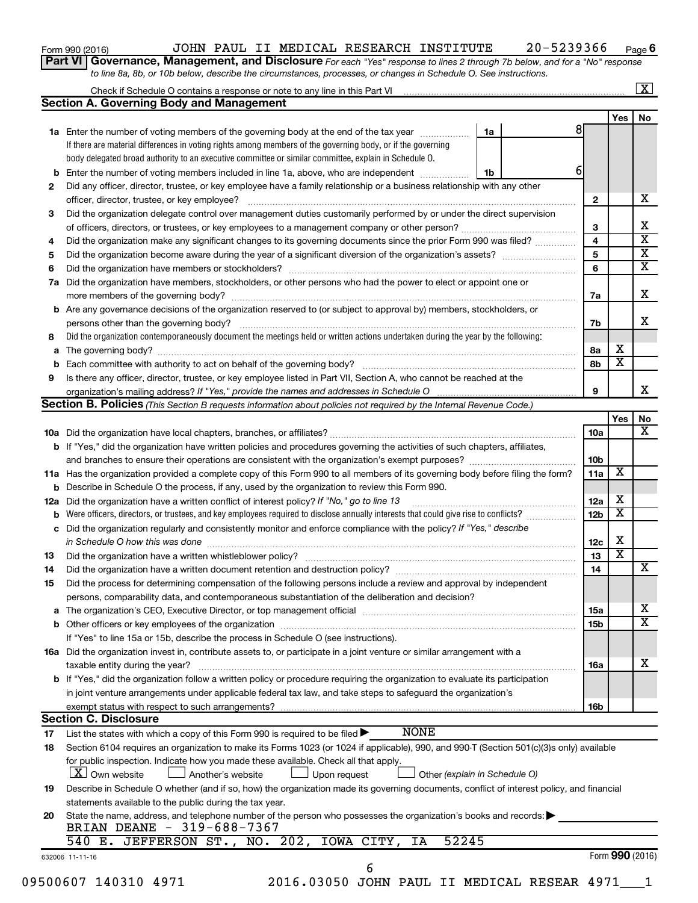| Form 990 (2016) |  |
|-----------------|--|
|-----------------|--|

Form 990 (2016) JOHN PAUL II MEDICAL RESEARCH INSTITUTE 20-5239366 <sub>Page</sub>

| Part VI   Governance, Management, and Disclosure For each "Yes" response to lines 2 through 7b below, and for a "No" response |
|-------------------------------------------------------------------------------------------------------------------------------|
| to line 8a, 8b, or 10b below, describe the circumstances, processes, or changes in Schedule O. See instructions.              |

|    | <b>Section A. Governing Body and Management</b>                                                                                                                                                                         |                               |    |                 |                         | No              |
|----|-------------------------------------------------------------------------------------------------------------------------------------------------------------------------------------------------------------------------|-------------------------------|----|-----------------|-------------------------|-----------------|
|    | 1a Enter the number of voting members of the governing body at the end of the tax year <i>manumum</i>                                                                                                                   | 1a                            | 81 |                 | Yes                     |                 |
|    | If there are material differences in voting rights among members of the governing body, or if the governing                                                                                                             |                               |    |                 |                         |                 |
|    |                                                                                                                                                                                                                         |                               |    |                 |                         |                 |
|    | body delegated broad authority to an executive committee or similar committee, explain in Schedule O.                                                                                                                   |                               | 6  |                 |                         |                 |
| b  | Enter the number of voting members included in line 1a, above, who are independent <i>manumum</i>                                                                                                                       | 1b                            |    |                 |                         |                 |
| 2  | Did any officer, director, trustee, or key employee have a family relationship or a business relationship with any other<br>officer, director, trustee, or key employee?                                                |                               |    | $\mathbf{2}$    |                         |                 |
| З  | Did the organization delegate control over management duties customarily performed by or under the direct supervision                                                                                                   |                               |    |                 |                         |                 |
|    |                                                                                                                                                                                                                         |                               |    | 3               |                         |                 |
| 4  | Did the organization make any significant changes to its governing documents since the prior Form 990 was filed?                                                                                                        |                               |    | 4               |                         |                 |
| 5  |                                                                                                                                                                                                                         |                               |    | 5               |                         |                 |
| 6  |                                                                                                                                                                                                                         |                               |    | 6               |                         |                 |
| 7a | Did the organization have members, stockholders, or other persons who had the power to elect or appoint one or                                                                                                          |                               |    |                 |                         |                 |
|    |                                                                                                                                                                                                                         |                               |    | 7a              |                         |                 |
|    |                                                                                                                                                                                                                         |                               |    |                 |                         |                 |
|    | <b>b</b> Are any governance decisions of the organization reserved to (or subject to approval by) members, stockholders, or                                                                                             |                               |    | 7b              |                         |                 |
| 8  | Did the organization contemporaneously document the meetings held or written actions undertaken during the year by the following:                                                                                       |                               |    |                 |                         |                 |
|    |                                                                                                                                                                                                                         |                               |    | 8а              | х                       |                 |
|    |                                                                                                                                                                                                                         |                               |    | 8b              | $\overline{\textbf{x}}$ |                 |
| 9  | Is there any officer, director, trustee, or key employee listed in Part VII, Section A, who cannot be reached at the                                                                                                    |                               |    |                 |                         |                 |
|    |                                                                                                                                                                                                                         |                               |    | 9               |                         |                 |
|    | <b>Section B. Policies</b> (This Section B requests information about policies not required by the Internal Revenue Code.)                                                                                              |                               |    |                 |                         |                 |
|    |                                                                                                                                                                                                                         |                               |    |                 |                         |                 |
|    |                                                                                                                                                                                                                         |                               |    |                 | Yes                     |                 |
|    |                                                                                                                                                                                                                         |                               |    | 10a             |                         |                 |
|    | b If "Yes," did the organization have written policies and procedures governing the activities of such chapters, affiliates,                                                                                            |                               |    |                 |                         |                 |
|    |                                                                                                                                                                                                                         |                               |    | 10 <sub>b</sub> |                         |                 |
|    | 11a Has the organization provided a complete copy of this Form 990 to all members of its governing body before filing the form?                                                                                         |                               |    | 11a             | X                       |                 |
|    | <b>b</b> Describe in Schedule O the process, if any, used by the organization to review this Form 990.                                                                                                                  |                               |    |                 |                         |                 |
|    | 12a Did the organization have a written conflict of interest policy? If "No," go to line 13                                                                                                                             |                               |    | 12a             | х                       |                 |
|    | <b>b</b> Were officers, directors, or trustees, and key employees required to disclose annually interests that could give rise to conflicts?                                                                            |                               |    | 12 <sub>b</sub> | $\overline{\textbf{x}}$ |                 |
|    | c Did the organization regularly and consistently monitor and enforce compliance with the policy? If "Yes," describe                                                                                                    |                               |    |                 | х                       |                 |
|    |                                                                                                                                                                                                                         |                               |    | 12c             | $\overline{\textbf{x}}$ |                 |
| 13 |                                                                                                                                                                                                                         |                               |    | 13              |                         |                 |
| 14 |                                                                                                                                                                                                                         |                               |    | 14              |                         |                 |
| 15 | Did the process for determining compensation of the following persons include a review and approval by independent<br>persons, comparability data, and contemporaneous substantiation of the deliberation and decision? |                               |    |                 |                         |                 |
|    |                                                                                                                                                                                                                         |                               |    | <b>15a</b>      |                         |                 |
|    |                                                                                                                                                                                                                         |                               |    | 15 <sub>b</sub> |                         |                 |
|    |                                                                                                                                                                                                                         |                               |    |                 |                         |                 |
|    | If "Yes" to line 15a or 15b, describe the process in Schedule O (see instructions).                                                                                                                                     |                               |    |                 |                         |                 |
|    | 16a Did the organization invest in, contribute assets to, or participate in a joint venture or similar arrangement with a                                                                                               |                               |    |                 |                         |                 |
|    | taxable entity during the year?                                                                                                                                                                                         |                               |    | 16a             |                         |                 |
|    | <b>b</b> If "Yes," did the organization follow a written policy or procedure requiring the organization to evaluate its participation                                                                                   |                               |    |                 |                         |                 |
|    | in joint venture arrangements under applicable federal tax law, and take steps to safeguard the organization's                                                                                                          |                               |    |                 |                         |                 |
|    | exempt status with respect to such arrangements?                                                                                                                                                                        |                               |    | 16b             |                         |                 |
|    | <b>Section C. Disclosure</b>                                                                                                                                                                                            |                               |    |                 |                         |                 |
| 17 | <b>NONE</b><br>List the states with which a copy of this Form 990 is required to be filed $\blacktriangleright$                                                                                                         |                               |    |                 |                         |                 |
| 18 | Section 6104 requires an organization to make its Forms 1023 (or 1024 if applicable), 990, and 990-T (Section 501(c)(3)s only) available                                                                                |                               |    |                 |                         |                 |
|    | for public inspection. Indicate how you made these available. Check all that apply.<br><b>X</b> Own website<br>Another's website<br>Upon request                                                                        | Other (explain in Schedule O) |    |                 |                         |                 |
|    |                                                                                                                                                                                                                         |                               |    |                 |                         |                 |
| 19 | Describe in Schedule O whether (and if so, how) the organization made its governing documents, conflict of interest policy, and financial                                                                               |                               |    |                 |                         |                 |
| 20 | statements available to the public during the tax year.<br>State the name, address, and telephone number of the person who possesses the organization's books and records:                                              |                               |    |                 |                         |                 |
|    | BRIAN DEANE - 319-688-7367                                                                                                                                                                                              |                               |    |                 |                         |                 |
|    | 540 E. JEFFERSON ST., NO. 202, IOWA CITY,<br>52245<br>IA                                                                                                                                                                |                               |    |                 |                         |                 |
|    |                                                                                                                                                                                                                         |                               |    |                 |                         | Form 990 (2016) |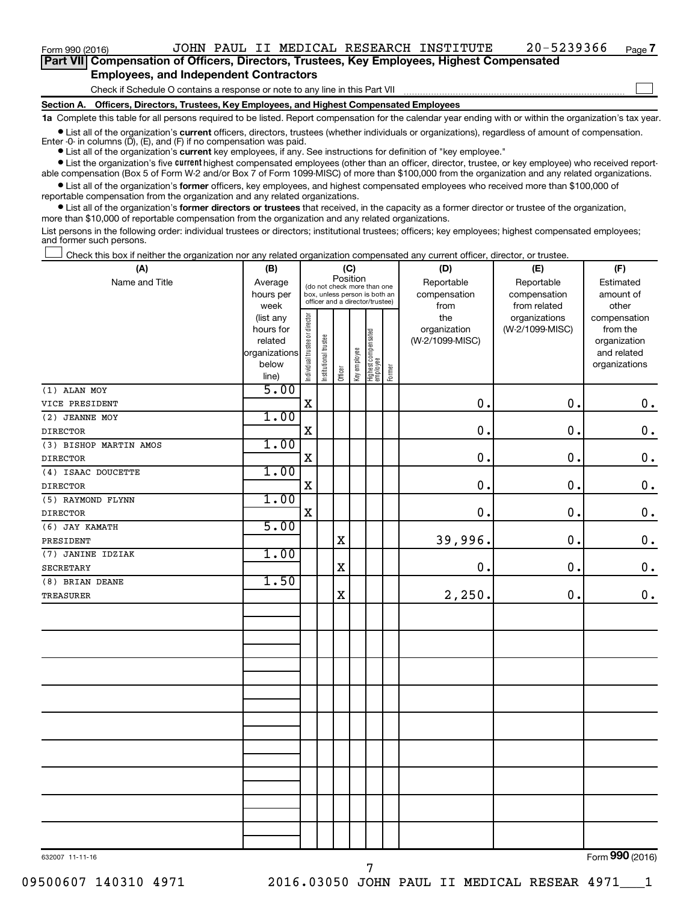$\Box$ 

| Part VII Compensation of Officers, Directors, Trustees, Key Employees, Highest Compensated |  |
|--------------------------------------------------------------------------------------------|--|
| <b>Employees, and Independent Contractors</b>                                              |  |

Check if Schedule O contains a response or note to any line in this Part VII

**Section A. Officers, Directors, Trustees, Key Employees, and Highest Compensated Employees**

**1a**  Complete this table for all persons required to be listed. Report compensation for the calendar year ending with or within the organization's tax year.

**•** List all of the organization's current officers, directors, trustees (whether individuals or organizations), regardless of amount of compensation. Enter -0- in columns  $(D)$ ,  $(E)$ , and  $(F)$  if no compensation was paid.

**•** List all of the organization's **current** key employees, if any. See instructions for definition of "key employee."

**•** List the organization's five current highest compensated employees (other than an officer, director, trustee, or key employee) who received reportable compensation (Box 5 of Form W-2 and/or Box 7 of Form 1099-MISC) of more than \$100,000 from the organization and any related organizations.

**•** List all of the organization's former officers, key employees, and highest compensated employees who received more than \$100,000 of reportable compensation from the organization and any related organizations.

**•** List all of the organization's former directors or trustees that received, in the capacity as a former director or trustee of the organization, more than \$10,000 of reportable compensation from the organization and any related organizations.

List persons in the following order: individual trustees or directors; institutional trustees; officers; key employees; highest compensated employees; and former such persons.

Check this box if neither the organization nor any related organization compensated any current officer, director, or trustee.  $\Box$ 

| (A)                    | (B)                    |                                                                  |                       |             | (C)          |                                 |        | (D)             | (E)             | (F)                          |
|------------------------|------------------------|------------------------------------------------------------------|-----------------------|-------------|--------------|---------------------------------|--------|-----------------|-----------------|------------------------------|
| Name and Title         | Average                | (do not check more than one                                      |                       | Position    |              |                                 |        | Reportable      | Reportable      | Estimated                    |
|                        | hours per              | box, unless person is both an<br>officer and a director/trustee) |                       |             |              |                                 |        | compensation    | compensation    | amount of                    |
|                        | week                   |                                                                  |                       |             |              |                                 |        | from            | from related    | other                        |
|                        | (list any              |                                                                  |                       |             |              |                                 |        | the             | organizations   | compensation                 |
|                        | hours for              |                                                                  |                       |             |              |                                 |        | organization    | (W-2/1099-MISC) | from the                     |
|                        | related                |                                                                  |                       |             |              |                                 |        | (W-2/1099-MISC) |                 | organization                 |
|                        | organizations<br>below |                                                                  |                       |             |              |                                 |        |                 |                 | and related<br>organizations |
|                        | line)                  | Individual trustee or director                                   | Institutional trustee | Officer     | Key employee | Highest compensated<br>employee | Former |                 |                 |                              |
| (1) ALAN MOY           | 5.00                   |                                                                  |                       |             |              |                                 |        |                 |                 |                              |
| VICE PRESIDENT         |                        | $\mathbf X$                                                      |                       |             |              |                                 |        | $\mathbf 0$ .   | 0.              | $\boldsymbol{0}$ .           |
| (2) JEANNE MOY         | 1.00                   |                                                                  |                       |             |              |                                 |        |                 |                 |                              |
| <b>DIRECTOR</b>        |                        | $\mathbf X$                                                      |                       |             |              |                                 |        | $\mathbf 0$ .   | $\mathbf 0$ .   | $\mathbf 0$ .                |
| (3) BISHOP MARTIN AMOS | 1.00                   |                                                                  |                       |             |              |                                 |        |                 |                 |                              |
| <b>DIRECTOR</b>        |                        | X                                                                |                       |             |              |                                 |        | $\mathbf 0$ .   | 0.              | $\boldsymbol{0}$ .           |
| (4) ISAAC DOUCETTE     | 1.00                   |                                                                  |                       |             |              |                                 |        |                 |                 |                              |
| <b>DIRECTOR</b>        |                        | $\mathbf X$                                                      |                       |             |              |                                 |        | 0.              | 0.              | $\mathbf 0$ .                |
| (5) RAYMOND FLYNN      | 1.00                   |                                                                  |                       |             |              |                                 |        |                 |                 |                              |
| <b>DIRECTOR</b>        |                        | $\mathbf X$                                                      |                       |             |              |                                 |        | 0.              | 0.              | $\mathbf 0$ .                |
| (6) JAY KAMATH         | 5.00                   |                                                                  |                       |             |              |                                 |        |                 |                 |                              |
| PRESIDENT              |                        |                                                                  |                       | $\mathbf X$ |              |                                 |        | 39,996.         | $\mathbf 0$ .   | $\mathbf 0$ .                |
| (7) JANINE IDZIAK      | 1.00                   |                                                                  |                       |             |              |                                 |        |                 |                 |                              |
| <b>SECRETARY</b>       |                        |                                                                  |                       | $\mathbf X$ |              |                                 |        | 0.              | 0.              | $\mathbf 0$ .                |
| (8) BRIAN DEANE        | 1.50                   |                                                                  |                       |             |              |                                 |        |                 |                 |                              |
| TREASURER              |                        |                                                                  |                       | $\mathbf X$ |              |                                 |        | 2,250.          | $\mathbf 0$ .   | 0.                           |
|                        |                        |                                                                  |                       |             |              |                                 |        |                 |                 |                              |
|                        |                        |                                                                  |                       |             |              |                                 |        |                 |                 |                              |
|                        |                        |                                                                  |                       |             |              |                                 |        |                 |                 |                              |
|                        |                        |                                                                  |                       |             |              |                                 |        |                 |                 |                              |
|                        |                        |                                                                  |                       |             |              |                                 |        |                 |                 |                              |
|                        |                        |                                                                  |                       |             |              |                                 |        |                 |                 |                              |
|                        |                        |                                                                  |                       |             |              |                                 |        |                 |                 |                              |
|                        |                        |                                                                  |                       |             |              |                                 |        |                 |                 |                              |
|                        |                        |                                                                  |                       |             |              |                                 |        |                 |                 |                              |
|                        |                        |                                                                  |                       |             |              |                                 |        |                 |                 |                              |
|                        |                        |                                                                  |                       |             |              |                                 |        |                 |                 |                              |
|                        |                        |                                                                  |                       |             |              |                                 |        |                 |                 |                              |
|                        |                        |                                                                  |                       |             |              |                                 |        |                 |                 |                              |
|                        |                        |                                                                  |                       |             |              |                                 |        |                 |                 |                              |
|                        |                        |                                                                  |                       |             |              |                                 |        |                 |                 |                              |
|                        |                        |                                                                  |                       |             |              |                                 |        |                 |                 |                              |
|                        |                        |                                                                  |                       |             |              |                                 |        |                 |                 |                              |

7

632007 11-11-16

Form (2016) **990**

09500607 140310 4971 2016.03050 JOHN PAUL II MEDICAL RESEAR 4971\_\_\_1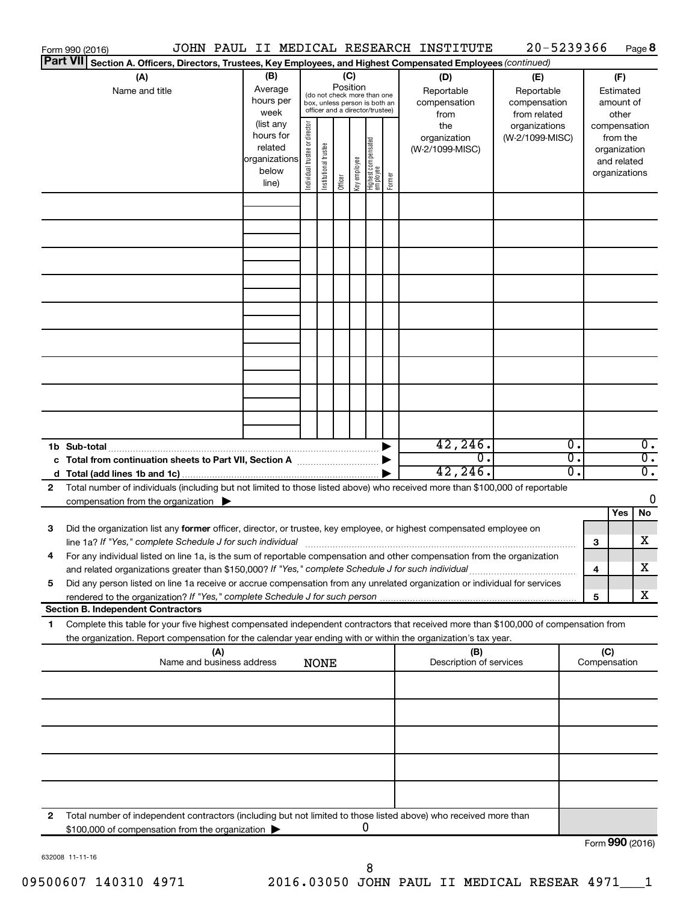|   | Form 990 (2016)                                                                                                                                                                                                                 |                                                                                                             |                                |                                                                                                                          |                     |                     |                                 |        | JOHN PAUL II MEDICAL RESEARCH INSTITUTE                                             | 20-5239366                                                                            |          |              | Page 8                                                                                                             |
|---|---------------------------------------------------------------------------------------------------------------------------------------------------------------------------------------------------------------------------------|-------------------------------------------------------------------------------------------------------------|--------------------------------|--------------------------------------------------------------------------------------------------------------------------|---------------------|---------------------|---------------------------------|--------|-------------------------------------------------------------------------------------|---------------------------------------------------------------------------------------|----------|--------------|--------------------------------------------------------------------------------------------------------------------|
|   | <b>Part VII</b><br>Section A. Officers, Directors, Trustees, Key Employees, and Highest Compensated Employees (continued)                                                                                                       |                                                                                                             |                                |                                                                                                                          |                     |                     |                                 |        |                                                                                     |                                                                                       |          |              |                                                                                                                    |
|   | (A)<br>Name and title                                                                                                                                                                                                           | (B)<br>Average<br>hours per<br>week<br>(list any<br>hours for<br>related<br>organizations<br>below<br>line) | Individual trustee or director | (do not check more than one<br>box, unless person is both an<br>officer and a director/trustee)<br>Institutional trustee | Position<br>Officer | (C)<br>Key employee | Highest compensated<br>employee | Former | (D)<br>Reportable<br>compensation<br>from<br>the<br>organization<br>(W-2/1099-MISC) | (E)<br>Reportable<br>compensation<br>from related<br>organizations<br>(W-2/1099-MISC) |          |              | (F)<br>Estimated<br>amount of<br>other<br>compensation<br>from the<br>organization<br>and related<br>organizations |
|   |                                                                                                                                                                                                                                 |                                                                                                             |                                |                                                                                                                          |                     |                     |                                 |        |                                                                                     |                                                                                       |          |              |                                                                                                                    |
|   |                                                                                                                                                                                                                                 |                                                                                                             |                                |                                                                                                                          |                     |                     |                                 |        |                                                                                     |                                                                                       |          |              |                                                                                                                    |
|   |                                                                                                                                                                                                                                 |                                                                                                             |                                |                                                                                                                          |                     |                     |                                 |        |                                                                                     |                                                                                       |          |              |                                                                                                                    |
|   |                                                                                                                                                                                                                                 |                                                                                                             |                                |                                                                                                                          |                     |                     |                                 |        |                                                                                     |                                                                                       |          |              |                                                                                                                    |
|   |                                                                                                                                                                                                                                 |                                                                                                             |                                |                                                                                                                          |                     |                     |                                 |        |                                                                                     |                                                                                       |          |              |                                                                                                                    |
|   |                                                                                                                                                                                                                                 |                                                                                                             |                                |                                                                                                                          |                     |                     |                                 |        |                                                                                     |                                                                                       |          |              |                                                                                                                    |
|   |                                                                                                                                                                                                                                 |                                                                                                             |                                |                                                                                                                          |                     |                     |                                 |        |                                                                                     |                                                                                       |          |              |                                                                                                                    |
|   |                                                                                                                                                                                                                                 |                                                                                                             |                                |                                                                                                                          |                     |                     |                                 |        |                                                                                     |                                                                                       |          |              |                                                                                                                    |
|   |                                                                                                                                                                                                                                 |                                                                                                             |                                |                                                                                                                          |                     |                     |                                 |        |                                                                                     |                                                                                       |          |              |                                                                                                                    |
|   |                                                                                                                                                                                                                                 |                                                                                                             |                                |                                                                                                                          |                     |                     |                                 |        |                                                                                     |                                                                                       |          |              |                                                                                                                    |
|   |                                                                                                                                                                                                                                 |                                                                                                             |                                |                                                                                                                          |                     |                     |                                 |        |                                                                                     |                                                                                       |          |              |                                                                                                                    |
|   |                                                                                                                                                                                                                                 |                                                                                                             |                                |                                                                                                                          |                     |                     |                                 |        |                                                                                     |                                                                                       |          |              |                                                                                                                    |
|   | 1b Sub-total                                                                                                                                                                                                                    |                                                                                                             |                                |                                                                                                                          |                     |                     |                                 |        | 42, 246.                                                                            |                                                                                       | Ο.       |              | $\overline{0}$ .                                                                                                   |
|   | c Total from continuation sheets to Part VII, Section A <b>manual</b> contains the Total Section A                                                                                                                              |                                                                                                             |                                |                                                                                                                          |                     |                     |                                 |        | σ.<br>42, 246.                                                                      |                                                                                       | Ο.<br>σ. |              | $\overline{0}$ .<br>$\overline{0}$ .                                                                               |
| 2 | Total number of individuals (including but not limited to those listed above) who received more than \$100,000 of reportable                                                                                                    |                                                                                                             |                                |                                                                                                                          |                     |                     |                                 |        |                                                                                     |                                                                                       |          |              |                                                                                                                    |
|   | compensation from the organization $\blacktriangleright$                                                                                                                                                                        |                                                                                                             |                                |                                                                                                                          |                     |                     |                                 |        |                                                                                     |                                                                                       |          |              | 0<br>No<br><b>Yes</b>                                                                                              |
| 3 | Did the organization list any former officer, director, or trustee, key employee, or highest compensated employee on                                                                                                            |                                                                                                             |                                |                                                                                                                          |                     |                     |                                 |        |                                                                                     |                                                                                       |          |              |                                                                                                                    |
|   |                                                                                                                                                                                                                                 |                                                                                                             |                                |                                                                                                                          |                     |                     |                                 |        |                                                                                     |                                                                                       |          | 3            | X                                                                                                                  |
|   | For any individual listed on line 1a, is the sum of reportable compensation and other compensation from the organization<br>and related organizations greater than \$150,000? If "Yes," complete Schedule J for such individual |                                                                                                             |                                |                                                                                                                          |                     |                     |                                 |        |                                                                                     |                                                                                       |          | 4            | X                                                                                                                  |
| 5 | Did any person listed on line 1a receive or accrue compensation from any unrelated organization or individual for services                                                                                                      |                                                                                                             |                                |                                                                                                                          |                     |                     |                                 |        |                                                                                     |                                                                                       |          |              |                                                                                                                    |
|   | rendered to the organization? If "Yes," complete Schedule J for such person<br><b>Section B. Independent Contractors</b>                                                                                                        |                                                                                                             |                                |                                                                                                                          |                     |                     |                                 |        |                                                                                     |                                                                                       |          | 5            | X                                                                                                                  |
| 1 | Complete this table for your five highest compensated independent contractors that received more than \$100,000 of compensation from                                                                                            |                                                                                                             |                                |                                                                                                                          |                     |                     |                                 |        |                                                                                     |                                                                                       |          |              |                                                                                                                    |
|   | the organization. Report compensation for the calendar year ending with or within the organization's tax year.<br>(A)                                                                                                           |                                                                                                             |                                |                                                                                                                          |                     |                     |                                 |        | (B)                                                                                 |                                                                                       |          | (C)          |                                                                                                                    |
|   | Name and business address                                                                                                                                                                                                       |                                                                                                             |                                | <b>NONE</b>                                                                                                              |                     |                     |                                 |        | Description of services                                                             |                                                                                       |          | Compensation |                                                                                                                    |
|   |                                                                                                                                                                                                                                 |                                                                                                             |                                |                                                                                                                          |                     |                     |                                 |        |                                                                                     |                                                                                       |          |              |                                                                                                                    |
|   |                                                                                                                                                                                                                                 |                                                                                                             |                                |                                                                                                                          |                     |                     |                                 |        |                                                                                     |                                                                                       |          |              |                                                                                                                    |
|   |                                                                                                                                                                                                                                 |                                                                                                             |                                |                                                                                                                          |                     |                     |                                 |        |                                                                                     |                                                                                       |          |              |                                                                                                                    |
|   |                                                                                                                                                                                                                                 |                                                                                                             |                                |                                                                                                                          |                     |                     |                                 |        |                                                                                     |                                                                                       |          |              |                                                                                                                    |
|   |                                                                                                                                                                                                                                 |                                                                                                             |                                |                                                                                                                          |                     |                     |                                 |        |                                                                                     |                                                                                       |          |              |                                                                                                                    |
|   |                                                                                                                                                                                                                                 |                                                                                                             |                                |                                                                                                                          |                     |                     |                                 |        |                                                                                     |                                                                                       |          |              |                                                                                                                    |
| 2 | Total number of independent contractors (including but not limited to those listed above) who received more than                                                                                                                |                                                                                                             |                                |                                                                                                                          |                     |                     |                                 |        |                                                                                     |                                                                                       |          |              |                                                                                                                    |
|   | \$100,000 of compensation from the organization                                                                                                                                                                                 |                                                                                                             |                                |                                                                                                                          |                     |                     | 0                               |        |                                                                                     |                                                                                       |          |              |                                                                                                                    |
|   |                                                                                                                                                                                                                                 |                                                                                                             |                                |                                                                                                                          |                     |                     |                                 |        |                                                                                     |                                                                                       |          |              | Form 990 (2016)                                                                                                    |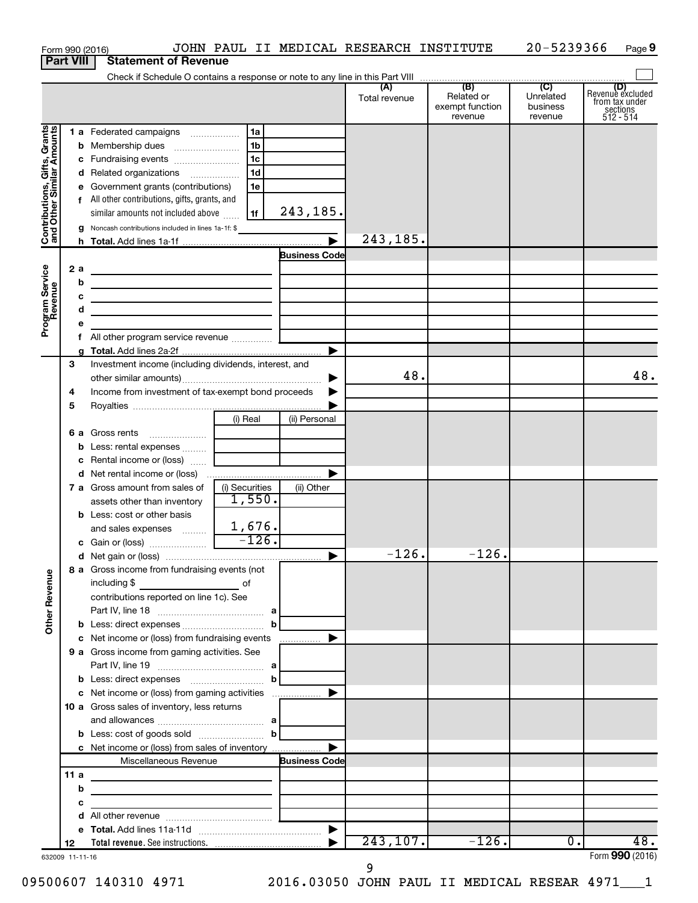|                                                           |                  |   | Form 990 (2016)                                                                                                       |                |                       | JOHN PAUL II MEDICAL RESEARCH INSTITUTE |                                                 | 20-5239366                              | Page 9                                                        |
|-----------------------------------------------------------|------------------|---|-----------------------------------------------------------------------------------------------------------------------|----------------|-----------------------|-----------------------------------------|-------------------------------------------------|-----------------------------------------|---------------------------------------------------------------|
|                                                           | <b>Part VIII</b> |   | <b>Statement of Revenue</b>                                                                                           |                |                       |                                         |                                                 |                                         |                                                               |
|                                                           |                  |   |                                                                                                                       |                |                       |                                         |                                                 |                                         |                                                               |
|                                                           |                  |   |                                                                                                                       |                |                       | (A)<br>Total revenue                    | (B)<br>Related or<br>exempt function<br>revenue | (C)<br>Unrelated<br>business<br>revenue | Revenue excluded<br>from tax under<br>sections<br>$512 - 514$ |
|                                                           |                  |   | 1 a Federated campaigns                                                                                               | 1a             |                       |                                         |                                                 |                                         |                                                               |
| Contributions, Gifts, Grants<br>and Other Similar Amounts |                  |   |                                                                                                                       | 1b             |                       |                                         |                                                 |                                         |                                                               |
|                                                           |                  |   | c Fundraising events                                                                                                  | l 1c           |                       |                                         |                                                 |                                         |                                                               |
|                                                           |                  |   | d Related organizations                                                                                               | 1 <sub>d</sub> |                       |                                         |                                                 |                                         |                                                               |
|                                                           |                  |   | e Government grants (contributions)                                                                                   | 1e             |                       |                                         |                                                 |                                         |                                                               |
|                                                           |                  |   | f All other contributions, gifts, grants, and                                                                         |                |                       |                                         |                                                 |                                         |                                                               |
|                                                           |                  |   | similar amounts not included above                                                                                    | 1f             | 243,185.              |                                         |                                                 |                                         |                                                               |
|                                                           |                  |   | g Noncash contributions included in lines 1a-1f: \$                                                                   |                |                       |                                         |                                                 |                                         |                                                               |
|                                                           |                  |   |                                                                                                                       |                | $\blacktriangleright$ | 243,185.                                |                                                 |                                         |                                                               |
|                                                           |                  |   |                                                                                                                       |                | <b>Business Code</b>  |                                         |                                                 |                                         |                                                               |
|                                                           | 2a               |   | the control of the control of the control of the control of the control of                                            |                |                       |                                         |                                                 |                                         |                                                               |
|                                                           |                  | b | the contract of the contract of the contract of the contract of the contract of                                       |                |                       |                                         |                                                 |                                         |                                                               |
|                                                           |                  | с | <u> 1989 - Johann Barbara, martxa alemaniar a</u>                                                                     |                |                       |                                         |                                                 |                                         |                                                               |
|                                                           |                  | d | the control of the control of the control of the control of the control of                                            |                |                       |                                         |                                                 |                                         |                                                               |
| Program Service<br>Revenue                                |                  | е |                                                                                                                       |                |                       |                                         |                                                 |                                         |                                                               |
|                                                           |                  |   |                                                                                                                       |                |                       |                                         |                                                 |                                         |                                                               |
|                                                           |                  |   |                                                                                                                       |                | ▶                     |                                         |                                                 |                                         |                                                               |
|                                                           | 3                |   | Investment income (including dividends, interest, and                                                                 |                |                       | 48.                                     |                                                 |                                         | 48.                                                           |
|                                                           |                  |   |                                                                                                                       |                | ▶                     |                                         |                                                 |                                         |                                                               |
|                                                           | 4                |   | Income from investment of tax-exempt bond proceeds                                                                    |                |                       |                                         |                                                 |                                         |                                                               |
|                                                           | 5                |   |                                                                                                                       |                |                       |                                         |                                                 |                                         |                                                               |
|                                                           |                  |   |                                                                                                                       | (i) Real       | (ii) Personal         |                                         |                                                 |                                         |                                                               |
|                                                           |                  |   | 6 a Gross rents                                                                                                       |                |                       |                                         |                                                 |                                         |                                                               |
|                                                           |                  |   | <b>b</b> Less: rental expenses                                                                                        |                |                       |                                         |                                                 |                                         |                                                               |
|                                                           |                  |   | c Rental income or (loss)                                                                                             |                | ▶                     |                                         |                                                 |                                         |                                                               |
|                                                           |                  |   | 7 a Gross amount from sales of                                                                                        | (i) Securities | (ii) Other            |                                         |                                                 |                                         |                                                               |
|                                                           |                  |   | assets other than inventory                                                                                           | 1,550.         |                       |                                         |                                                 |                                         |                                                               |
|                                                           |                  |   | <b>b</b> Less: cost or other basis                                                                                    |                |                       |                                         |                                                 |                                         |                                                               |
|                                                           |                  |   | and sales expenses                                                                                                    | 1,676.         |                       |                                         |                                                 |                                         |                                                               |
|                                                           |                  |   |                                                                                                                       | $-126.$        |                       |                                         |                                                 |                                         |                                                               |
|                                                           |                  |   |                                                                                                                       |                |                       | $-126$ .                                | $-126$ .                                        |                                         |                                                               |
|                                                           |                  |   | 8 a Gross income from fundraising events (not                                                                         |                |                       |                                         |                                                 |                                         |                                                               |
| <b>Other Revenue</b>                                      |                  |   | including \$<br>$\overline{\phantom{a}}$ of                                                                           |                |                       |                                         |                                                 |                                         |                                                               |
|                                                           |                  |   | contributions reported on line 1c). See                                                                               |                |                       |                                         |                                                 |                                         |                                                               |
|                                                           |                  |   |                                                                                                                       |                | b                     |                                         |                                                 |                                         |                                                               |
|                                                           |                  |   | c Net income or (loss) from fundraising events                                                                        |                |                       |                                         |                                                 |                                         |                                                               |
|                                                           |                  |   | 9 a Gross income from gaming activities. See                                                                          |                |                       |                                         |                                                 |                                         |                                                               |
|                                                           |                  |   |                                                                                                                       |                |                       |                                         |                                                 |                                         |                                                               |
|                                                           |                  |   |                                                                                                                       |                | $\mathbf b$           |                                         |                                                 |                                         |                                                               |
|                                                           |                  |   |                                                                                                                       |                |                       |                                         |                                                 |                                         |                                                               |
|                                                           |                  |   | 10 a Gross sales of inventory, less returns                                                                           |                |                       |                                         |                                                 |                                         |                                                               |
|                                                           |                  |   |                                                                                                                       |                |                       |                                         |                                                 |                                         |                                                               |
|                                                           |                  |   | <b>b</b> Less: cost of goods sold $\ldots$ <b>b</b>                                                                   |                |                       |                                         |                                                 |                                         |                                                               |
|                                                           |                  |   | c Net income or (loss) from sales of inventory                                                                        |                | ▶                     |                                         |                                                 |                                         |                                                               |
|                                                           |                  |   | Miscellaneous Revenue                                                                                                 |                | <b>Business Code</b>  |                                         |                                                 |                                         |                                                               |
|                                                           | 11 $a$           |   |                                                                                                                       |                |                       |                                         |                                                 |                                         |                                                               |
|                                                           |                  | b | <u> 1980 - Andrea Andrew Maria (h. 1980).</u>                                                                         |                |                       |                                         |                                                 |                                         |                                                               |
|                                                           |                  | с | <u> 1989 - Johann Harry Harry Harry Harry Harry Harry Harry Harry Harry Harry Harry Harry Harry Harry Harry Harry</u> |                |                       |                                         |                                                 |                                         |                                                               |
|                                                           |                  | d |                                                                                                                       |                |                       |                                         |                                                 |                                         |                                                               |
|                                                           |                  |   |                                                                                                                       |                |                       |                                         |                                                 |                                         |                                                               |
|                                                           | 12               |   |                                                                                                                       |                |                       | 243, 107.                               | $-126.$                                         | 0.                                      | 48.                                                           |
| 632009 11-11-16                                           |                  |   |                                                                                                                       |                |                       |                                         |                                                 |                                         | Form 990 (2016)                                               |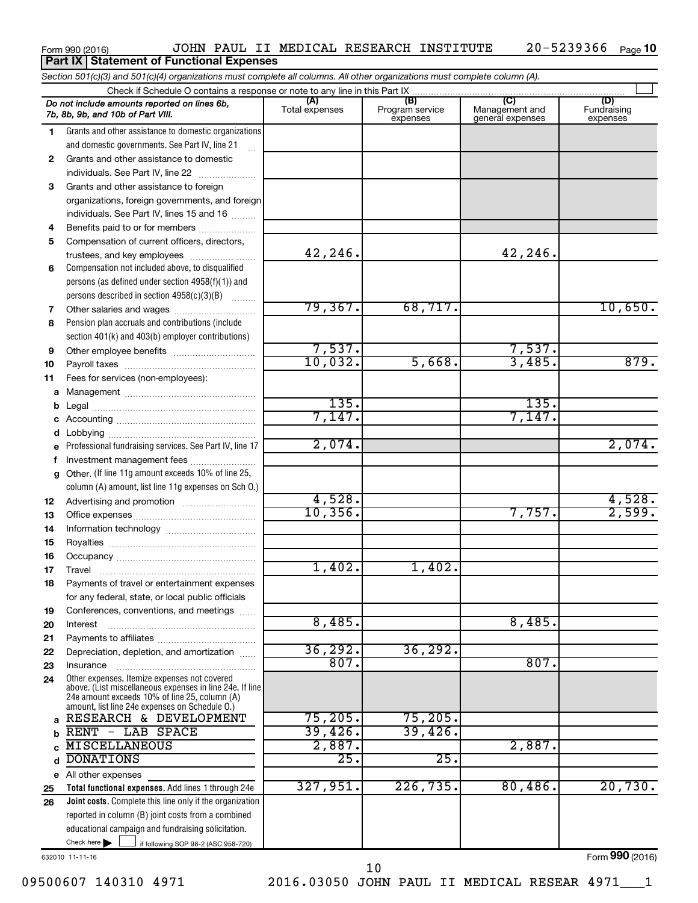## Form 990 (2016) JOHN PAUL II MEDICAL RESEARCH INSTITUTE 20-5239366 Page **Part IX Statement of Functional Expenses**

|    | Section 501(c)(3) and 501(c)(4) organizations must complete all columns. All other organizations must complete column (A).                                                                                  |                       |                                    |                                           |                                |  |  |  |  |  |
|----|-------------------------------------------------------------------------------------------------------------------------------------------------------------------------------------------------------------|-----------------------|------------------------------------|-------------------------------------------|--------------------------------|--|--|--|--|--|
|    | Check if Schedule O contains a response or note to any line in this Part IX                                                                                                                                 |                       |                                    |                                           |                                |  |  |  |  |  |
|    | Do not include amounts reported on lines 6b,<br>7b, 8b, 9b, and 10b of Part VIII.                                                                                                                           | (A)<br>Total expenses | (B)<br>Program service<br>expenses | (C)<br>Management and<br>general expenses | (D)<br>Fundraising<br>expenses |  |  |  |  |  |
| 1  | Grants and other assistance to domestic organizations                                                                                                                                                       |                       |                                    |                                           |                                |  |  |  |  |  |
|    | and domestic governments. See Part IV, line 21                                                                                                                                                              |                       |                                    |                                           |                                |  |  |  |  |  |
| 2  | Grants and other assistance to domestic                                                                                                                                                                     |                       |                                    |                                           |                                |  |  |  |  |  |
|    | individuals. See Part IV, line 22                                                                                                                                                                           |                       |                                    |                                           |                                |  |  |  |  |  |
| 3  | Grants and other assistance to foreign                                                                                                                                                                      |                       |                                    |                                           |                                |  |  |  |  |  |
|    | organizations, foreign governments, and foreign                                                                                                                                                             |                       |                                    |                                           |                                |  |  |  |  |  |
|    | individuals. See Part IV, lines 15 and 16                                                                                                                                                                   |                       |                                    |                                           |                                |  |  |  |  |  |
| 4  | Benefits paid to or for members                                                                                                                                                                             |                       |                                    |                                           |                                |  |  |  |  |  |
| 5  | Compensation of current officers, directors,                                                                                                                                                                |                       |                                    |                                           |                                |  |  |  |  |  |
|    | trustees, and key employees                                                                                                                                                                                 | 42,246.               |                                    | 42,246.                                   |                                |  |  |  |  |  |
| 6  | Compensation not included above, to disqualified                                                                                                                                                            |                       |                                    |                                           |                                |  |  |  |  |  |
|    | persons (as defined under section 4958(f)(1)) and                                                                                                                                                           |                       |                                    |                                           |                                |  |  |  |  |  |
|    | persons described in section 4958(c)(3)(B)                                                                                                                                                                  |                       |                                    |                                           |                                |  |  |  |  |  |
| 7  | Other salaries and wages                                                                                                                                                                                    | 79,367.               | 68,717.                            |                                           | 10,650.                        |  |  |  |  |  |
| 8  | Pension plan accruals and contributions (include                                                                                                                                                            |                       |                                    |                                           |                                |  |  |  |  |  |
|    | section 401(k) and 403(b) employer contributions)                                                                                                                                                           |                       |                                    |                                           |                                |  |  |  |  |  |
| 9  |                                                                                                                                                                                                             | 7,537.                |                                    | 7,537.                                    |                                |  |  |  |  |  |
| 10 |                                                                                                                                                                                                             | 10,032.               | 5,668.                             | 3,485.                                    | 879.                           |  |  |  |  |  |
| 11 | Fees for services (non-employees):                                                                                                                                                                          |                       |                                    |                                           |                                |  |  |  |  |  |
| а  |                                                                                                                                                                                                             |                       |                                    |                                           |                                |  |  |  |  |  |
| b  |                                                                                                                                                                                                             | 135.                  |                                    | 135.                                      |                                |  |  |  |  |  |
| с  |                                                                                                                                                                                                             | 7,147.                |                                    | 7,147.                                    |                                |  |  |  |  |  |
| d  |                                                                                                                                                                                                             |                       |                                    |                                           |                                |  |  |  |  |  |
| е  | Professional fundraising services. See Part IV, line 17                                                                                                                                                     | 2,074.                |                                    |                                           | 2,074.                         |  |  |  |  |  |
| f  | Investment management fees                                                                                                                                                                                  |                       |                                    |                                           |                                |  |  |  |  |  |
| g  | Other. (If line 11g amount exceeds 10% of line 25,                                                                                                                                                          |                       |                                    |                                           |                                |  |  |  |  |  |
|    | column (A) amount, list line 11g expenses on Sch O.)                                                                                                                                                        |                       |                                    |                                           |                                |  |  |  |  |  |
| 12 |                                                                                                                                                                                                             | 4,528.                |                                    |                                           | 4,528.                         |  |  |  |  |  |
| 13 |                                                                                                                                                                                                             | 10, 356.              |                                    | 7,757.                                    | 2,599.                         |  |  |  |  |  |
| 14 |                                                                                                                                                                                                             |                       |                                    |                                           |                                |  |  |  |  |  |
| 15 |                                                                                                                                                                                                             |                       |                                    |                                           |                                |  |  |  |  |  |
| 16 |                                                                                                                                                                                                             |                       |                                    |                                           |                                |  |  |  |  |  |
| 17 |                                                                                                                                                                                                             | 1,402.                | 1,402.                             |                                           |                                |  |  |  |  |  |
| 18 | Payments of travel or entertainment expenses                                                                                                                                                                |                       |                                    |                                           |                                |  |  |  |  |  |
|    | for any federal, state, or local public officials                                                                                                                                                           |                       |                                    |                                           |                                |  |  |  |  |  |
| 19 | Conferences, conventions, and meetings                                                                                                                                                                      |                       |                                    |                                           |                                |  |  |  |  |  |
| 20 | Interest                                                                                                                                                                                                    | 8,485.                |                                    | 8,485.                                    |                                |  |  |  |  |  |
| 21 |                                                                                                                                                                                                             |                       |                                    |                                           |                                |  |  |  |  |  |
| 22 | Depreciation, depletion, and amortization                                                                                                                                                                   | 36,292.               | 36, 292.                           |                                           |                                |  |  |  |  |  |
| 23 | Insurance                                                                                                                                                                                                   | 807.                  |                                    | 807.                                      |                                |  |  |  |  |  |
| 24 | Other expenses. Itemize expenses not covered<br>above. (List miscellaneous expenses in line 24e. If line<br>24e amount exceeds 10% of line 25, column (A)<br>amount, list line 24e expenses on Schedule O.) |                       |                                    |                                           |                                |  |  |  |  |  |
| a  | RESEARCH & DEVELOPMENT                                                                                                                                                                                      | 75,205.               | 75,205.                            |                                           |                                |  |  |  |  |  |
| b  | RENT - LAB SPACE                                                                                                                                                                                            | 39,426.               | 39,426.                            |                                           |                                |  |  |  |  |  |
| C  | <b>MISCELLANEOUS</b>                                                                                                                                                                                        | 2,887.                |                                    | 2,887.                                    |                                |  |  |  |  |  |
| d  | <b>DONATIONS</b>                                                                                                                                                                                            | 25.                   | 25.                                |                                           |                                |  |  |  |  |  |
|    | e All other expenses                                                                                                                                                                                        |                       |                                    |                                           |                                |  |  |  |  |  |
| 25 | Total functional expenses. Add lines 1 through 24e                                                                                                                                                          | 327,951.              | 226, 735.                          | 80,486.                                   | 20,730.                        |  |  |  |  |  |
| 26 | <b>Joint costs.</b> Complete this line only if the organization                                                                                                                                             |                       |                                    |                                           |                                |  |  |  |  |  |
|    | reported in column (B) joint costs from a combined                                                                                                                                                          |                       |                                    |                                           |                                |  |  |  |  |  |
|    | educational campaign and fundraising solicitation.                                                                                                                                                          |                       |                                    |                                           |                                |  |  |  |  |  |
|    | Check here $\blacktriangleright$<br>if following SOP 98-2 (ASC 958-720)                                                                                                                                     |                       |                                    |                                           |                                |  |  |  |  |  |

632010 11-11-16

Form (2016) **990**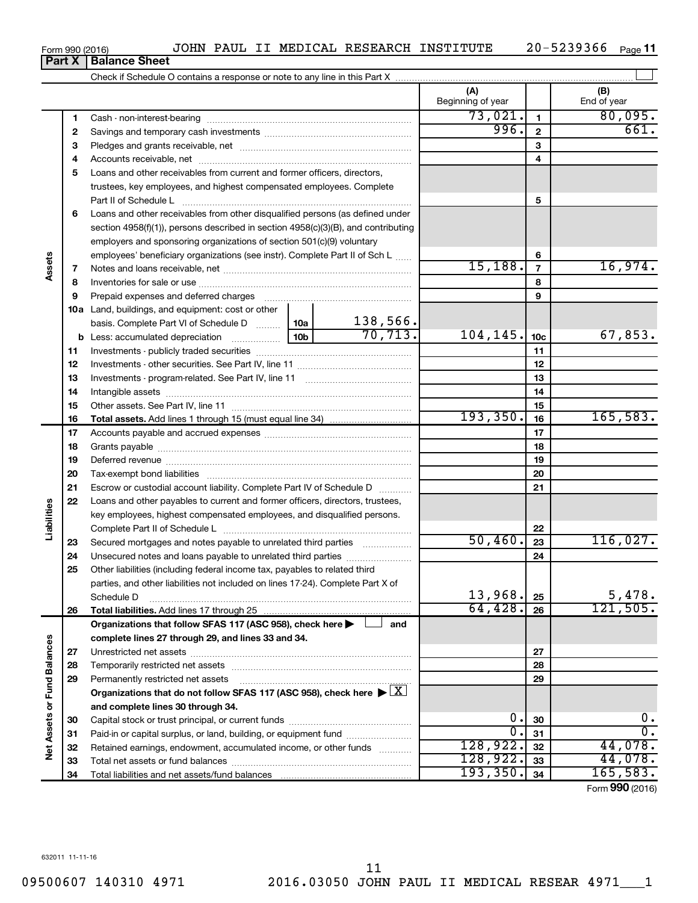| Form 990 (2016) | JOHN | PAUL | MEDICAL | RESEARCH | INSTITUTE | າ ∩ –<br>$\sim$<br>. .<br>$\lambda$ | Page |
|-----------------|------|------|---------|----------|-----------|-------------------------------------|------|
|                 |      |      |         |          |           |                                     |      |

| (A)<br>(B)<br>Beginning of year<br>End of year<br>73,021.<br>80,095.<br>1<br>1<br>996.<br>661.<br>$\mathbf{2}$<br>2<br>3<br>З<br>$\overline{4}$<br>4<br>Loans and other receivables from current and former officers, directors,<br>5<br>trustees, key employees, and highest compensated employees. Complete<br>5<br>Part II of Schedule L<br>Loans and other receivables from other disqualified persons (as defined under<br>6<br>section 4958(f)(1)), persons described in section 4958(c)(3)(B), and contributing<br>employers and sponsoring organizations of section 501(c)(9) voluntary<br>employees' beneficiary organizations (see instr). Complete Part II of Sch L<br>6<br>Assets<br>15, 188.<br>16,974.<br>$\overline{7}$<br>7<br>8<br>8<br>9<br>9<br>Prepaid expenses and deferred charges<br>10a Land, buildings, and equipment: cost or other<br>$\frac{138,566}{70,713}$<br>basis. Complete Part VI of Schedule D    10a  <br>104, 145.<br>67,853.<br>10 <sub>c</sub><br>b<br>11<br>11<br>12<br>12<br>13<br>13<br>14<br>14<br>15<br>15<br>193, 350.<br>165,583.<br>16<br>16<br>17<br>17<br>18<br>18<br>19<br>19<br>20<br>20<br>21<br>21<br>Escrow or custodial account liability. Complete Part IV of Schedule D<br>22<br>Loans and other payables to current and former officers, directors, trustees,<br>Liabilities<br>key employees, highest compensated employees, and disqualified persons.<br>22<br>116,027.<br>50,460.<br>23<br>Secured mortgages and notes payable to unrelated third parties<br>23<br>24<br>24<br>Unsecured notes and loans payable to unrelated third parties<br>25<br>Other liabilities (including federal income tax, payables to related third<br>parties, and other liabilities not included on lines 17-24). Complete Part X of<br>13,968.<br>5,478.<br>25<br>Schedule D<br>121,505.<br>64,428.<br>Total liabilities. Add lines 17 through 25<br>26<br>26<br>Organizations that follow SFAS 117 (ASC 958), check here ><br>and<br>complete lines 27 through 29, and lines 33 and 34.<br>Net Assets or Fund Balances<br>27<br>27<br>28<br>28<br>29<br>29<br>Permanently restricted net assets<br>Organizations that do not follow SFAS 117 (ASC 958), check here $\blacktriangleright \boxed{\text{X}}$<br>and complete lines 30 through 34.<br>0.<br>0.<br>30<br>30<br>$\overline{0}$ .<br>$\overline{0}$ .<br>Paid-in or capital surplus, or land, building, or equipment fund<br>31<br>31<br>128,922.<br>44,078.<br>32<br>Retained earnings, endowment, accumulated income, or other funds<br>32<br>128,922.<br>44,078.<br>33<br>33<br>193,350<br>165,583.<br>34<br>34<br>Total liabilities and net assets/fund balances<br>Form 990 (2016) |  |  |  |  |
|------------------------------------------------------------------------------------------------------------------------------------------------------------------------------------------------------------------------------------------------------------------------------------------------------------------------------------------------------------------------------------------------------------------------------------------------------------------------------------------------------------------------------------------------------------------------------------------------------------------------------------------------------------------------------------------------------------------------------------------------------------------------------------------------------------------------------------------------------------------------------------------------------------------------------------------------------------------------------------------------------------------------------------------------------------------------------------------------------------------------------------------------------------------------------------------------------------------------------------------------------------------------------------------------------------------------------------------------------------------------------------------------------------------------------------------------------------------------------------------------------------------------------------------------------------------------------------------------------------------------------------------------------------------------------------------------------------------------------------------------------------------------------------------------------------------------------------------------------------------------------------------------------------------------------------------------------------------------------------------------------------------------------------------------------------------------------------------------------------------------------------------------------------------------------------------------------------------------------------------------------------------------------------------------------------------------------------------------------------------------------------------------------------------------------------------------------------------------------------------------------------------------------------------------------------------------------------------------------------------------------------------------------------------------------------------------|--|--|--|--|
|                                                                                                                                                                                                                                                                                                                                                                                                                                                                                                                                                                                                                                                                                                                                                                                                                                                                                                                                                                                                                                                                                                                                                                                                                                                                                                                                                                                                                                                                                                                                                                                                                                                                                                                                                                                                                                                                                                                                                                                                                                                                                                                                                                                                                                                                                                                                                                                                                                                                                                                                                                                                                                                                                                |  |  |  |  |
|                                                                                                                                                                                                                                                                                                                                                                                                                                                                                                                                                                                                                                                                                                                                                                                                                                                                                                                                                                                                                                                                                                                                                                                                                                                                                                                                                                                                                                                                                                                                                                                                                                                                                                                                                                                                                                                                                                                                                                                                                                                                                                                                                                                                                                                                                                                                                                                                                                                                                                                                                                                                                                                                                                |  |  |  |  |
|                                                                                                                                                                                                                                                                                                                                                                                                                                                                                                                                                                                                                                                                                                                                                                                                                                                                                                                                                                                                                                                                                                                                                                                                                                                                                                                                                                                                                                                                                                                                                                                                                                                                                                                                                                                                                                                                                                                                                                                                                                                                                                                                                                                                                                                                                                                                                                                                                                                                                                                                                                                                                                                                                                |  |  |  |  |
|                                                                                                                                                                                                                                                                                                                                                                                                                                                                                                                                                                                                                                                                                                                                                                                                                                                                                                                                                                                                                                                                                                                                                                                                                                                                                                                                                                                                                                                                                                                                                                                                                                                                                                                                                                                                                                                                                                                                                                                                                                                                                                                                                                                                                                                                                                                                                                                                                                                                                                                                                                                                                                                                                                |  |  |  |  |
|                                                                                                                                                                                                                                                                                                                                                                                                                                                                                                                                                                                                                                                                                                                                                                                                                                                                                                                                                                                                                                                                                                                                                                                                                                                                                                                                                                                                                                                                                                                                                                                                                                                                                                                                                                                                                                                                                                                                                                                                                                                                                                                                                                                                                                                                                                                                                                                                                                                                                                                                                                                                                                                                                                |  |  |  |  |
|                                                                                                                                                                                                                                                                                                                                                                                                                                                                                                                                                                                                                                                                                                                                                                                                                                                                                                                                                                                                                                                                                                                                                                                                                                                                                                                                                                                                                                                                                                                                                                                                                                                                                                                                                                                                                                                                                                                                                                                                                                                                                                                                                                                                                                                                                                                                                                                                                                                                                                                                                                                                                                                                                                |  |  |  |  |
|                                                                                                                                                                                                                                                                                                                                                                                                                                                                                                                                                                                                                                                                                                                                                                                                                                                                                                                                                                                                                                                                                                                                                                                                                                                                                                                                                                                                                                                                                                                                                                                                                                                                                                                                                                                                                                                                                                                                                                                                                                                                                                                                                                                                                                                                                                                                                                                                                                                                                                                                                                                                                                                                                                |  |  |  |  |
|                                                                                                                                                                                                                                                                                                                                                                                                                                                                                                                                                                                                                                                                                                                                                                                                                                                                                                                                                                                                                                                                                                                                                                                                                                                                                                                                                                                                                                                                                                                                                                                                                                                                                                                                                                                                                                                                                                                                                                                                                                                                                                                                                                                                                                                                                                                                                                                                                                                                                                                                                                                                                                                                                                |  |  |  |  |
|                                                                                                                                                                                                                                                                                                                                                                                                                                                                                                                                                                                                                                                                                                                                                                                                                                                                                                                                                                                                                                                                                                                                                                                                                                                                                                                                                                                                                                                                                                                                                                                                                                                                                                                                                                                                                                                                                                                                                                                                                                                                                                                                                                                                                                                                                                                                                                                                                                                                                                                                                                                                                                                                                                |  |  |  |  |
|                                                                                                                                                                                                                                                                                                                                                                                                                                                                                                                                                                                                                                                                                                                                                                                                                                                                                                                                                                                                                                                                                                                                                                                                                                                                                                                                                                                                                                                                                                                                                                                                                                                                                                                                                                                                                                                                                                                                                                                                                                                                                                                                                                                                                                                                                                                                                                                                                                                                                                                                                                                                                                                                                                |  |  |  |  |
|                                                                                                                                                                                                                                                                                                                                                                                                                                                                                                                                                                                                                                                                                                                                                                                                                                                                                                                                                                                                                                                                                                                                                                                                                                                                                                                                                                                                                                                                                                                                                                                                                                                                                                                                                                                                                                                                                                                                                                                                                                                                                                                                                                                                                                                                                                                                                                                                                                                                                                                                                                                                                                                                                                |  |  |  |  |
|                                                                                                                                                                                                                                                                                                                                                                                                                                                                                                                                                                                                                                                                                                                                                                                                                                                                                                                                                                                                                                                                                                                                                                                                                                                                                                                                                                                                                                                                                                                                                                                                                                                                                                                                                                                                                                                                                                                                                                                                                                                                                                                                                                                                                                                                                                                                                                                                                                                                                                                                                                                                                                                                                                |  |  |  |  |
|                                                                                                                                                                                                                                                                                                                                                                                                                                                                                                                                                                                                                                                                                                                                                                                                                                                                                                                                                                                                                                                                                                                                                                                                                                                                                                                                                                                                                                                                                                                                                                                                                                                                                                                                                                                                                                                                                                                                                                                                                                                                                                                                                                                                                                                                                                                                                                                                                                                                                                                                                                                                                                                                                                |  |  |  |  |
|                                                                                                                                                                                                                                                                                                                                                                                                                                                                                                                                                                                                                                                                                                                                                                                                                                                                                                                                                                                                                                                                                                                                                                                                                                                                                                                                                                                                                                                                                                                                                                                                                                                                                                                                                                                                                                                                                                                                                                                                                                                                                                                                                                                                                                                                                                                                                                                                                                                                                                                                                                                                                                                                                                |  |  |  |  |
|                                                                                                                                                                                                                                                                                                                                                                                                                                                                                                                                                                                                                                                                                                                                                                                                                                                                                                                                                                                                                                                                                                                                                                                                                                                                                                                                                                                                                                                                                                                                                                                                                                                                                                                                                                                                                                                                                                                                                                                                                                                                                                                                                                                                                                                                                                                                                                                                                                                                                                                                                                                                                                                                                                |  |  |  |  |
|                                                                                                                                                                                                                                                                                                                                                                                                                                                                                                                                                                                                                                                                                                                                                                                                                                                                                                                                                                                                                                                                                                                                                                                                                                                                                                                                                                                                                                                                                                                                                                                                                                                                                                                                                                                                                                                                                                                                                                                                                                                                                                                                                                                                                                                                                                                                                                                                                                                                                                                                                                                                                                                                                                |  |  |  |  |
|                                                                                                                                                                                                                                                                                                                                                                                                                                                                                                                                                                                                                                                                                                                                                                                                                                                                                                                                                                                                                                                                                                                                                                                                                                                                                                                                                                                                                                                                                                                                                                                                                                                                                                                                                                                                                                                                                                                                                                                                                                                                                                                                                                                                                                                                                                                                                                                                                                                                                                                                                                                                                                                                                                |  |  |  |  |
|                                                                                                                                                                                                                                                                                                                                                                                                                                                                                                                                                                                                                                                                                                                                                                                                                                                                                                                                                                                                                                                                                                                                                                                                                                                                                                                                                                                                                                                                                                                                                                                                                                                                                                                                                                                                                                                                                                                                                                                                                                                                                                                                                                                                                                                                                                                                                                                                                                                                                                                                                                                                                                                                                                |  |  |  |  |
|                                                                                                                                                                                                                                                                                                                                                                                                                                                                                                                                                                                                                                                                                                                                                                                                                                                                                                                                                                                                                                                                                                                                                                                                                                                                                                                                                                                                                                                                                                                                                                                                                                                                                                                                                                                                                                                                                                                                                                                                                                                                                                                                                                                                                                                                                                                                                                                                                                                                                                                                                                                                                                                                                                |  |  |  |  |
|                                                                                                                                                                                                                                                                                                                                                                                                                                                                                                                                                                                                                                                                                                                                                                                                                                                                                                                                                                                                                                                                                                                                                                                                                                                                                                                                                                                                                                                                                                                                                                                                                                                                                                                                                                                                                                                                                                                                                                                                                                                                                                                                                                                                                                                                                                                                                                                                                                                                                                                                                                                                                                                                                                |  |  |  |  |
|                                                                                                                                                                                                                                                                                                                                                                                                                                                                                                                                                                                                                                                                                                                                                                                                                                                                                                                                                                                                                                                                                                                                                                                                                                                                                                                                                                                                                                                                                                                                                                                                                                                                                                                                                                                                                                                                                                                                                                                                                                                                                                                                                                                                                                                                                                                                                                                                                                                                                                                                                                                                                                                                                                |  |  |  |  |
|                                                                                                                                                                                                                                                                                                                                                                                                                                                                                                                                                                                                                                                                                                                                                                                                                                                                                                                                                                                                                                                                                                                                                                                                                                                                                                                                                                                                                                                                                                                                                                                                                                                                                                                                                                                                                                                                                                                                                                                                                                                                                                                                                                                                                                                                                                                                                                                                                                                                                                                                                                                                                                                                                                |  |  |  |  |
|                                                                                                                                                                                                                                                                                                                                                                                                                                                                                                                                                                                                                                                                                                                                                                                                                                                                                                                                                                                                                                                                                                                                                                                                                                                                                                                                                                                                                                                                                                                                                                                                                                                                                                                                                                                                                                                                                                                                                                                                                                                                                                                                                                                                                                                                                                                                                                                                                                                                                                                                                                                                                                                                                                |  |  |  |  |
|                                                                                                                                                                                                                                                                                                                                                                                                                                                                                                                                                                                                                                                                                                                                                                                                                                                                                                                                                                                                                                                                                                                                                                                                                                                                                                                                                                                                                                                                                                                                                                                                                                                                                                                                                                                                                                                                                                                                                                                                                                                                                                                                                                                                                                                                                                                                                                                                                                                                                                                                                                                                                                                                                                |  |  |  |  |
|                                                                                                                                                                                                                                                                                                                                                                                                                                                                                                                                                                                                                                                                                                                                                                                                                                                                                                                                                                                                                                                                                                                                                                                                                                                                                                                                                                                                                                                                                                                                                                                                                                                                                                                                                                                                                                                                                                                                                                                                                                                                                                                                                                                                                                                                                                                                                                                                                                                                                                                                                                                                                                                                                                |  |  |  |  |
|                                                                                                                                                                                                                                                                                                                                                                                                                                                                                                                                                                                                                                                                                                                                                                                                                                                                                                                                                                                                                                                                                                                                                                                                                                                                                                                                                                                                                                                                                                                                                                                                                                                                                                                                                                                                                                                                                                                                                                                                                                                                                                                                                                                                                                                                                                                                                                                                                                                                                                                                                                                                                                                                                                |  |  |  |  |
|                                                                                                                                                                                                                                                                                                                                                                                                                                                                                                                                                                                                                                                                                                                                                                                                                                                                                                                                                                                                                                                                                                                                                                                                                                                                                                                                                                                                                                                                                                                                                                                                                                                                                                                                                                                                                                                                                                                                                                                                                                                                                                                                                                                                                                                                                                                                                                                                                                                                                                                                                                                                                                                                                                |  |  |  |  |
|                                                                                                                                                                                                                                                                                                                                                                                                                                                                                                                                                                                                                                                                                                                                                                                                                                                                                                                                                                                                                                                                                                                                                                                                                                                                                                                                                                                                                                                                                                                                                                                                                                                                                                                                                                                                                                                                                                                                                                                                                                                                                                                                                                                                                                                                                                                                                                                                                                                                                                                                                                                                                                                                                                |  |  |  |  |
|                                                                                                                                                                                                                                                                                                                                                                                                                                                                                                                                                                                                                                                                                                                                                                                                                                                                                                                                                                                                                                                                                                                                                                                                                                                                                                                                                                                                                                                                                                                                                                                                                                                                                                                                                                                                                                                                                                                                                                                                                                                                                                                                                                                                                                                                                                                                                                                                                                                                                                                                                                                                                                                                                                |  |  |  |  |
|                                                                                                                                                                                                                                                                                                                                                                                                                                                                                                                                                                                                                                                                                                                                                                                                                                                                                                                                                                                                                                                                                                                                                                                                                                                                                                                                                                                                                                                                                                                                                                                                                                                                                                                                                                                                                                                                                                                                                                                                                                                                                                                                                                                                                                                                                                                                                                                                                                                                                                                                                                                                                                                                                                |  |  |  |  |
|                                                                                                                                                                                                                                                                                                                                                                                                                                                                                                                                                                                                                                                                                                                                                                                                                                                                                                                                                                                                                                                                                                                                                                                                                                                                                                                                                                                                                                                                                                                                                                                                                                                                                                                                                                                                                                                                                                                                                                                                                                                                                                                                                                                                                                                                                                                                                                                                                                                                                                                                                                                                                                                                                                |  |  |  |  |
|                                                                                                                                                                                                                                                                                                                                                                                                                                                                                                                                                                                                                                                                                                                                                                                                                                                                                                                                                                                                                                                                                                                                                                                                                                                                                                                                                                                                                                                                                                                                                                                                                                                                                                                                                                                                                                                                                                                                                                                                                                                                                                                                                                                                                                                                                                                                                                                                                                                                                                                                                                                                                                                                                                |  |  |  |  |
|                                                                                                                                                                                                                                                                                                                                                                                                                                                                                                                                                                                                                                                                                                                                                                                                                                                                                                                                                                                                                                                                                                                                                                                                                                                                                                                                                                                                                                                                                                                                                                                                                                                                                                                                                                                                                                                                                                                                                                                                                                                                                                                                                                                                                                                                                                                                                                                                                                                                                                                                                                                                                                                                                                |  |  |  |  |
|                                                                                                                                                                                                                                                                                                                                                                                                                                                                                                                                                                                                                                                                                                                                                                                                                                                                                                                                                                                                                                                                                                                                                                                                                                                                                                                                                                                                                                                                                                                                                                                                                                                                                                                                                                                                                                                                                                                                                                                                                                                                                                                                                                                                                                                                                                                                                                                                                                                                                                                                                                                                                                                                                                |  |  |  |  |
|                                                                                                                                                                                                                                                                                                                                                                                                                                                                                                                                                                                                                                                                                                                                                                                                                                                                                                                                                                                                                                                                                                                                                                                                                                                                                                                                                                                                                                                                                                                                                                                                                                                                                                                                                                                                                                                                                                                                                                                                                                                                                                                                                                                                                                                                                                                                                                                                                                                                                                                                                                                                                                                                                                |  |  |  |  |
|                                                                                                                                                                                                                                                                                                                                                                                                                                                                                                                                                                                                                                                                                                                                                                                                                                                                                                                                                                                                                                                                                                                                                                                                                                                                                                                                                                                                                                                                                                                                                                                                                                                                                                                                                                                                                                                                                                                                                                                                                                                                                                                                                                                                                                                                                                                                                                                                                                                                                                                                                                                                                                                                                                |  |  |  |  |
|                                                                                                                                                                                                                                                                                                                                                                                                                                                                                                                                                                                                                                                                                                                                                                                                                                                                                                                                                                                                                                                                                                                                                                                                                                                                                                                                                                                                                                                                                                                                                                                                                                                                                                                                                                                                                                                                                                                                                                                                                                                                                                                                                                                                                                                                                                                                                                                                                                                                                                                                                                                                                                                                                                |  |  |  |  |
|                                                                                                                                                                                                                                                                                                                                                                                                                                                                                                                                                                                                                                                                                                                                                                                                                                                                                                                                                                                                                                                                                                                                                                                                                                                                                                                                                                                                                                                                                                                                                                                                                                                                                                                                                                                                                                                                                                                                                                                                                                                                                                                                                                                                                                                                                                                                                                                                                                                                                                                                                                                                                                                                                                |  |  |  |  |
|                                                                                                                                                                                                                                                                                                                                                                                                                                                                                                                                                                                                                                                                                                                                                                                                                                                                                                                                                                                                                                                                                                                                                                                                                                                                                                                                                                                                                                                                                                                                                                                                                                                                                                                                                                                                                                                                                                                                                                                                                                                                                                                                                                                                                                                                                                                                                                                                                                                                                                                                                                                                                                                                                                |  |  |  |  |
|                                                                                                                                                                                                                                                                                                                                                                                                                                                                                                                                                                                                                                                                                                                                                                                                                                                                                                                                                                                                                                                                                                                                                                                                                                                                                                                                                                                                                                                                                                                                                                                                                                                                                                                                                                                                                                                                                                                                                                                                                                                                                                                                                                                                                                                                                                                                                                                                                                                                                                                                                                                                                                                                                                |  |  |  |  |
|                                                                                                                                                                                                                                                                                                                                                                                                                                                                                                                                                                                                                                                                                                                                                                                                                                                                                                                                                                                                                                                                                                                                                                                                                                                                                                                                                                                                                                                                                                                                                                                                                                                                                                                                                                                                                                                                                                                                                                                                                                                                                                                                                                                                                                                                                                                                                                                                                                                                                                                                                                                                                                                                                                |  |  |  |  |
|                                                                                                                                                                                                                                                                                                                                                                                                                                                                                                                                                                                                                                                                                                                                                                                                                                                                                                                                                                                                                                                                                                                                                                                                                                                                                                                                                                                                                                                                                                                                                                                                                                                                                                                                                                                                                                                                                                                                                                                                                                                                                                                                                                                                                                                                                                                                                                                                                                                                                                                                                                                                                                                                                                |  |  |  |  |
|                                                                                                                                                                                                                                                                                                                                                                                                                                                                                                                                                                                                                                                                                                                                                                                                                                                                                                                                                                                                                                                                                                                                                                                                                                                                                                                                                                                                                                                                                                                                                                                                                                                                                                                                                                                                                                                                                                                                                                                                                                                                                                                                                                                                                                                                                                                                                                                                                                                                                                                                                                                                                                                                                                |  |  |  |  |
|                                                                                                                                                                                                                                                                                                                                                                                                                                                                                                                                                                                                                                                                                                                                                                                                                                                                                                                                                                                                                                                                                                                                                                                                                                                                                                                                                                                                                                                                                                                                                                                                                                                                                                                                                                                                                                                                                                                                                                                                                                                                                                                                                                                                                                                                                                                                                                                                                                                                                                                                                                                                                                                                                                |  |  |  |  |
|                                                                                                                                                                                                                                                                                                                                                                                                                                                                                                                                                                                                                                                                                                                                                                                                                                                                                                                                                                                                                                                                                                                                                                                                                                                                                                                                                                                                                                                                                                                                                                                                                                                                                                                                                                                                                                                                                                                                                                                                                                                                                                                                                                                                                                                                                                                                                                                                                                                                                                                                                                                                                                                                                                |  |  |  |  |
|                                                                                                                                                                                                                                                                                                                                                                                                                                                                                                                                                                                                                                                                                                                                                                                                                                                                                                                                                                                                                                                                                                                                                                                                                                                                                                                                                                                                                                                                                                                                                                                                                                                                                                                                                                                                                                                                                                                                                                                                                                                                                                                                                                                                                                                                                                                                                                                                                                                                                                                                                                                                                                                                                                |  |  |  |  |
|                                                                                                                                                                                                                                                                                                                                                                                                                                                                                                                                                                                                                                                                                                                                                                                                                                                                                                                                                                                                                                                                                                                                                                                                                                                                                                                                                                                                                                                                                                                                                                                                                                                                                                                                                                                                                                                                                                                                                                                                                                                                                                                                                                                                                                                                                                                                                                                                                                                                                                                                                                                                                                                                                                |  |  |  |  |
|                                                                                                                                                                                                                                                                                                                                                                                                                                                                                                                                                                                                                                                                                                                                                                                                                                                                                                                                                                                                                                                                                                                                                                                                                                                                                                                                                                                                                                                                                                                                                                                                                                                                                                                                                                                                                                                                                                                                                                                                                                                                                                                                                                                                                                                                                                                                                                                                                                                                                                                                                                                                                                                                                                |  |  |  |  |
|                                                                                                                                                                                                                                                                                                                                                                                                                                                                                                                                                                                                                                                                                                                                                                                                                                                                                                                                                                                                                                                                                                                                                                                                                                                                                                                                                                                                                                                                                                                                                                                                                                                                                                                                                                                                                                                                                                                                                                                                                                                                                                                                                                                                                                                                                                                                                                                                                                                                                                                                                                                                                                                                                                |  |  |  |  |
|                                                                                                                                                                                                                                                                                                                                                                                                                                                                                                                                                                                                                                                                                                                                                                                                                                                                                                                                                                                                                                                                                                                                                                                                                                                                                                                                                                                                                                                                                                                                                                                                                                                                                                                                                                                                                                                                                                                                                                                                                                                                                                                                                                                                                                                                                                                                                                                                                                                                                                                                                                                                                                                                                                |  |  |  |  |

 $\overline{\phantom{a}}$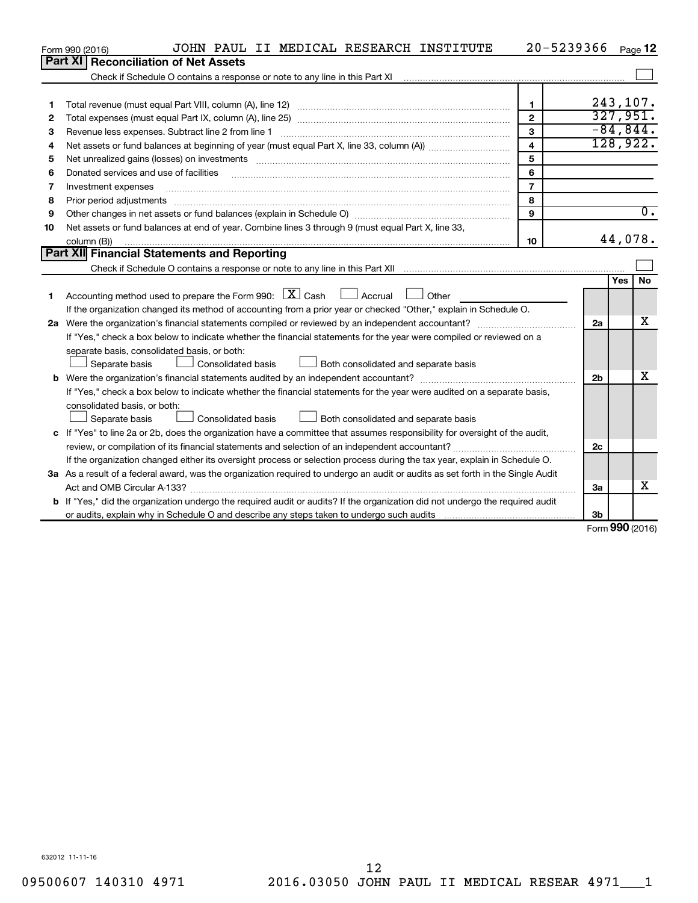|    | JOHN PAUL II MEDICAL RESEARCH INSTITUTE<br>Form 990 (2016)                                                                                                                                                                          | 20-5239366     | Page 12                 |  |  |  |  |  |
|----|-------------------------------------------------------------------------------------------------------------------------------------------------------------------------------------------------------------------------------------|----------------|-------------------------|--|--|--|--|--|
|    | Part XI<br><b>Reconciliation of Net Assets</b>                                                                                                                                                                                      |                |                         |  |  |  |  |  |
|    |                                                                                                                                                                                                                                     |                |                         |  |  |  |  |  |
|    |                                                                                                                                                                                                                                     |                |                         |  |  |  |  |  |
| 1  | 1.                                                                                                                                                                                                                                  |                | 243,107.                |  |  |  |  |  |
| 2  | $\mathbf{2}$                                                                                                                                                                                                                        |                | 327,951.                |  |  |  |  |  |
| З  | $\mathbf{a}$<br>Revenue less expenses. Subtract line 2 from line 1                                                                                                                                                                  |                | $-84,844.$              |  |  |  |  |  |
| 4  | $\overline{\mathbf{4}}$                                                                                                                                                                                                             |                | 128,922.                |  |  |  |  |  |
| 5  | 5<br>Net unrealized gains (losses) on investments [11] matter contracts and the state of the state of the state of the state of the state of the state of the state of the state of the state of the state of the state of the stat |                |                         |  |  |  |  |  |
| 6  | 6<br>Donated services and use of facilities                                                                                                                                                                                         |                |                         |  |  |  |  |  |
| 7  | $\overline{7}$<br>Investment expenses                                                                                                                                                                                               |                |                         |  |  |  |  |  |
| 8  | 8<br>Prior period adjustments                                                                                                                                                                                                       |                |                         |  |  |  |  |  |
| 9  | 9                                                                                                                                                                                                                                   |                | 0.                      |  |  |  |  |  |
| 10 | Net assets or fund balances at end of year. Combine lines 3 through 9 (must equal Part X, line 33,                                                                                                                                  |                |                         |  |  |  |  |  |
|    | 10<br>column (B))                                                                                                                                                                                                                   |                | 44,078.                 |  |  |  |  |  |
|    | Part XII Financial Statements and Reporting                                                                                                                                                                                         |                |                         |  |  |  |  |  |
|    |                                                                                                                                                                                                                                     |                |                         |  |  |  |  |  |
|    |                                                                                                                                                                                                                                     |                | <b>No</b><br><b>Yes</b> |  |  |  |  |  |
| 1  | Accounting method used to prepare the Form 990: $X \subset X$ Cash $\Box$ Accrual $\Box$<br>Other                                                                                                                                   |                |                         |  |  |  |  |  |
|    | If the organization changed its method of accounting from a prior year or checked "Other," explain in Schedule O.                                                                                                                   |                |                         |  |  |  |  |  |
|    |                                                                                                                                                                                                                                     | 2a             | х                       |  |  |  |  |  |
|    | If "Yes," check a box below to indicate whether the financial statements for the year were compiled or reviewed on a                                                                                                                |                |                         |  |  |  |  |  |
|    | separate basis, consolidated basis, or both:                                                                                                                                                                                        |                |                         |  |  |  |  |  |
|    | Both consolidated and separate basis<br>Separate basis<br><b>Consolidated basis</b>                                                                                                                                                 |                |                         |  |  |  |  |  |
|    |                                                                                                                                                                                                                                     | 2 <sub>b</sub> | х                       |  |  |  |  |  |
|    | If "Yes," check a box below to indicate whether the financial statements for the year were audited on a separate basis,                                                                                                             |                |                         |  |  |  |  |  |
|    | consolidated basis, or both:                                                                                                                                                                                                        |                |                         |  |  |  |  |  |
|    | Separate basis<br><b>Consolidated basis</b><br>Both consolidated and separate basis                                                                                                                                                 |                |                         |  |  |  |  |  |
|    | c If "Yes" to line 2a or 2b, does the organization have a committee that assumes responsibility for oversight of the audit,                                                                                                         |                |                         |  |  |  |  |  |
|    | review, or compilation of its financial statements and selection of an independent accountant?                                                                                                                                      | 2c             |                         |  |  |  |  |  |
|    | If the organization changed either its oversight process or selection process during the tax year, explain in Schedule O.                                                                                                           |                |                         |  |  |  |  |  |
|    | 3a As a result of a federal award, was the organization required to undergo an audit or audits as set forth in the Single Audit                                                                                                     |                |                         |  |  |  |  |  |
|    | Act and OMB Circular A-133?                                                                                                                                                                                                         | За             | х                       |  |  |  |  |  |
|    | b If "Yes," did the organization undergo the required audit or audits? If the organization did not undergo the required audit                                                                                                       |                |                         |  |  |  |  |  |
|    |                                                                                                                                                                                                                                     | 3b             | $\sim$                  |  |  |  |  |  |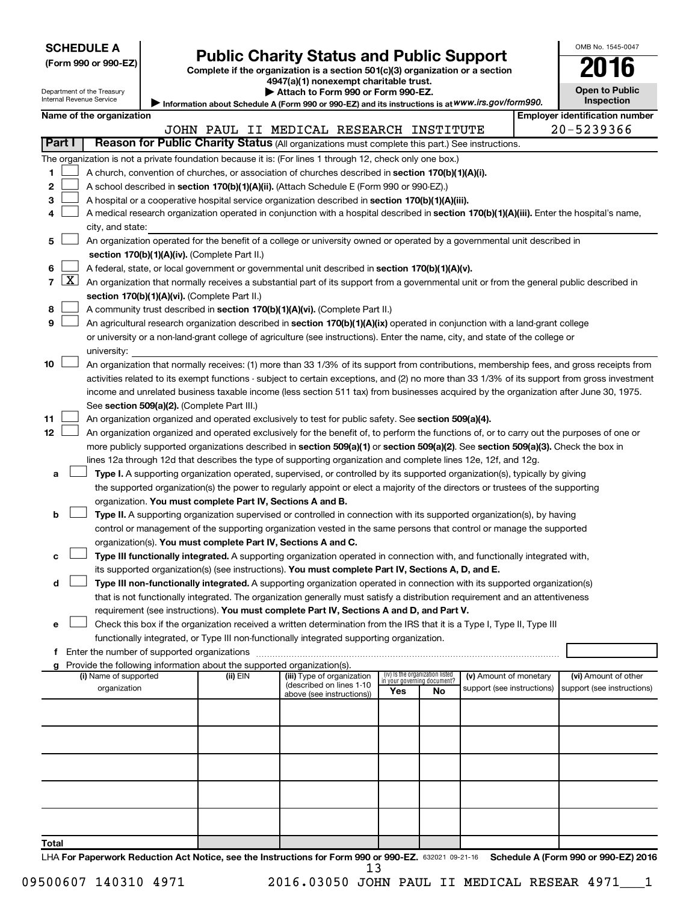Department of the Treasury Internal Revenue Service

|  |  | (Form 990 or 990-EZ |
|--|--|---------------------|
|--|--|---------------------|

# Form 990 or 990-EZ) **Public Charity Status and Public Support**<br>
Complete if the organization is a section 501(c)(3) organization or a section<br> **2016**

**4947(a)(1) nonexempt charitable trust. | Attach to Form 990 or Form 990-EZ.** 

| Ш                                   |
|-------------------------------------|
| <b>Open to Public</b><br>Inspection |

OMB No. 1545-0047

| . |                                                                                                   | تاميمتها |
|---|---------------------------------------------------------------------------------------------------|----------|
|   | Information about Schedule A (Form 990 or 990-EZ) and its instructions is at www.irs.gov/form990. |          |
|   |                                                                                                   |          |

|    |        | Name of the organization                                                                                                                      |          |                                                        |     |                                                                |                            | <b>Employer identification number</b> |
|----|--------|-----------------------------------------------------------------------------------------------------------------------------------------------|----------|--------------------------------------------------------|-----|----------------------------------------------------------------|----------------------------|---------------------------------------|
|    |        |                                                                                                                                               |          | JOHN PAUL II MEDICAL RESEARCH INSTITUTE                |     |                                                                |                            | 20-5239366                            |
|    | Part I | Reason for Public Charity Status (All organizations must complete this part.) See instructions.                                               |          |                                                        |     |                                                                |                            |                                       |
|    |        | The organization is not a private foundation because it is: (For lines 1 through 12, check only one box.)                                     |          |                                                        |     |                                                                |                            |                                       |
| 1  |        | A church, convention of churches, or association of churches described in section 170(b)(1)(A)(i).                                            |          |                                                        |     |                                                                |                            |                                       |
| 2  |        | A school described in section 170(b)(1)(A)(ii). (Attach Schedule E (Form 990 or 990-EZ).)                                                     |          |                                                        |     |                                                                |                            |                                       |
| З  |        | A hospital or a cooperative hospital service organization described in section 170(b)(1)(A)(iii).                                             |          |                                                        |     |                                                                |                            |                                       |
| 4  |        | A medical research organization operated in conjunction with a hospital described in section 170(b)(1)(A)(iii). Enter the hospital's name,    |          |                                                        |     |                                                                |                            |                                       |
|    |        | city, and state:                                                                                                                              |          |                                                        |     |                                                                |                            |                                       |
| 5  |        | An organization operated for the benefit of a college or university owned or operated by a governmental unit described in                     |          |                                                        |     |                                                                |                            |                                       |
|    |        | section 170(b)(1)(A)(iv). (Complete Part II.)                                                                                                 |          |                                                        |     |                                                                |                            |                                       |
| 6  |        | A federal, state, or local government or governmental unit described in section 170(b)(1)(A)(v).                                              |          |                                                        |     |                                                                |                            |                                       |
| 7  |        |                                                                                                                                               |          |                                                        |     |                                                                |                            |                                       |
|    |        | $X$ An organization that normally receives a substantial part of its support from a governmental unit or from the general public described in |          |                                                        |     |                                                                |                            |                                       |
|    |        | section 170(b)(1)(A)(vi). (Complete Part II.)                                                                                                 |          |                                                        |     |                                                                |                            |                                       |
| 8  |        | A community trust described in section 170(b)(1)(A)(vi). (Complete Part II.)                                                                  |          |                                                        |     |                                                                |                            |                                       |
| 9  |        | An agricultural research organization described in section 170(b)(1)(A)(ix) operated in conjunction with a land-grant college                 |          |                                                        |     |                                                                |                            |                                       |
|    |        | or university or a non-land-grant college of agriculture (see instructions). Enter the name, city, and state of the college or                |          |                                                        |     |                                                                |                            |                                       |
|    |        | university:                                                                                                                                   |          |                                                        |     |                                                                |                            |                                       |
| 10 |        | An organization that normally receives: (1) more than 33 1/3% of its support from contributions, membership fees, and gross receipts from     |          |                                                        |     |                                                                |                            |                                       |
|    |        | activities related to its exempt functions - subject to certain exceptions, and (2) no more than 33 1/3% of its support from gross investment |          |                                                        |     |                                                                |                            |                                       |
|    |        | income and unrelated business taxable income (less section 511 tax) from businesses acquired by the organization after June 30, 1975.         |          |                                                        |     |                                                                |                            |                                       |
|    |        | See section 509(a)(2). (Complete Part III.)                                                                                                   |          |                                                        |     |                                                                |                            |                                       |
| 11 |        | An organization organized and operated exclusively to test for public safety. See section 509(a)(4).                                          |          |                                                        |     |                                                                |                            |                                       |
| 12 |        | An organization organized and operated exclusively for the benefit of, to perform the functions of, or to carry out the purposes of one or    |          |                                                        |     |                                                                |                            |                                       |
|    |        | more publicly supported organizations described in section 509(a)(1) or section 509(a)(2). See section 509(a)(3). Check the box in            |          |                                                        |     |                                                                |                            |                                       |
|    |        | lines 12a through 12d that describes the type of supporting organization and complete lines 12e, 12f, and 12g.                                |          |                                                        |     |                                                                |                            |                                       |
| а  |        | Type I. A supporting organization operated, supervised, or controlled by its supported organization(s), typically by giving                   |          |                                                        |     |                                                                |                            |                                       |
|    |        | the supported organization(s) the power to regularly appoint or elect a majority of the directors or trustees of the supporting               |          |                                                        |     |                                                                |                            |                                       |
|    |        | organization. You must complete Part IV, Sections A and B.                                                                                    |          |                                                        |     |                                                                |                            |                                       |
| b  |        | Type II. A supporting organization supervised or controlled in connection with its supported organization(s), by having                       |          |                                                        |     |                                                                |                            |                                       |
|    |        | control or management of the supporting organization vested in the same persons that control or manage the supported                          |          |                                                        |     |                                                                |                            |                                       |
|    |        | organization(s). You must complete Part IV, Sections A and C.                                                                                 |          |                                                        |     |                                                                |                            |                                       |
| с  |        | Type III functionally integrated. A supporting organization operated in connection with, and functionally integrated with,                    |          |                                                        |     |                                                                |                            |                                       |
|    |        | its supported organization(s) (see instructions). You must complete Part IV, Sections A, D, and E.                                            |          |                                                        |     |                                                                |                            |                                       |
| d  |        | Type III non-functionally integrated. A supporting organization operated in connection with its supported organization(s)                     |          |                                                        |     |                                                                |                            |                                       |
|    |        | that is not functionally integrated. The organization generally must satisfy a distribution requirement and an attentiveness                  |          |                                                        |     |                                                                |                            |                                       |
|    |        | requirement (see instructions). You must complete Part IV, Sections A and D, and Part V.                                                      |          |                                                        |     |                                                                |                            |                                       |
| е  |        | Check this box if the organization received a written determination from the IRS that it is a Type I, Type II, Type III                       |          |                                                        |     |                                                                |                            |                                       |
|    |        | functionally integrated, or Type III non-functionally integrated supporting organization.                                                     |          |                                                        |     |                                                                |                            |                                       |
| f  |        | Enter the number of supported organizations                                                                                                   |          |                                                        |     |                                                                |                            |                                       |
|    |        | Provide the following information about the supported organization(s).                                                                        |          |                                                        |     |                                                                |                            |                                       |
|    |        | (i) Name of supported                                                                                                                         | (ii) EIN | (iii) Type of organization<br>(described on lines 1-10 |     | (iv) Is the organization listed<br>in your governing document? | (v) Amount of monetary     | (vi) Amount of other                  |
|    |        | organization                                                                                                                                  |          | above (see instructions))                              | Yes | No                                                             | support (see instructions) | support (see instructions)            |
|    |        |                                                                                                                                               |          |                                                        |     |                                                                |                            |                                       |
|    |        |                                                                                                                                               |          |                                                        |     |                                                                |                            |                                       |
|    |        |                                                                                                                                               |          |                                                        |     |                                                                |                            |                                       |
|    |        |                                                                                                                                               |          |                                                        |     |                                                                |                            |                                       |
|    |        |                                                                                                                                               |          |                                                        |     |                                                                |                            |                                       |
|    |        |                                                                                                                                               |          |                                                        |     |                                                                |                            |                                       |
|    |        |                                                                                                                                               |          |                                                        |     |                                                                |                            |                                       |

LHA For Paperwork Reduction Act Notice, see the Instructions for Form 990 or 990-EZ. 632021 09-21-16 Schedule A (Form 990 or 990-EZ) 2016 13

**Total**

09500607 140310 4971 2016.03050 JOHN PAUL II MEDICAL RESEAR 4971 1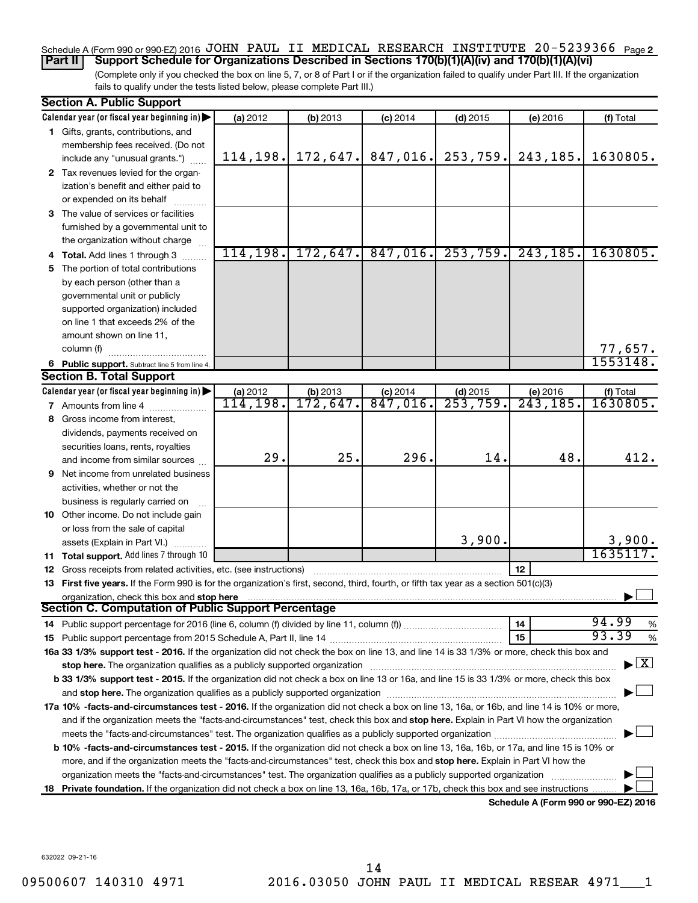## Schedule A (Form 990 or 990-EZ) 2016 JOHN PAUL II MEDICAL RESEARCH INSTITUTE 20-5239366 <sub>Page</sub> 2 **Part II Support Schedule for Organizations Described in Sections 170(b)(1)(A)(iv) and 170(b)(1)(A)(vi)**

(Complete only if you checked the box on line 5, 7, or 8 of Part I or if the organization failed to qualify under Part III. If the organization fails to qualify under the tests listed below, please complete Part III.)

| Calendar year (or fiscal year beginning in)<br>(a) 2012<br>(f) Total<br>(b) 2013<br>$(c)$ 2014<br>$(d)$ 2015<br>(e) 2016<br>1 Gifts, grants, contributions, and<br>membership fees received. (Do not<br>172,647.<br>847,016.<br>253,759.<br>243,185.<br>1630805.<br>114, 198.<br>include any "unusual grants.")<br>2 Tax revenues levied for the organ-<br>ization's benefit and either paid to<br>or expended on its behalf<br>3 The value of services or facilities<br>furnished by a governmental unit to<br>the organization without charge<br>847,016.<br>253,759.<br>243, 185.<br>1630805.<br>114, 198.<br>172,647.<br>4 Total. Add lines 1 through 3<br>The portion of total contributions<br>5.<br>by each person (other than a<br>governmental unit or publicly<br>supported organization) included<br>on line 1 that exceeds 2% of the<br>amount shown on line 11,<br>77,657.<br>column (f)<br>1553148.<br>6 Public support. Subtract line 5 from line 4.<br><b>Section B. Total Support</b><br>Calendar year (or fiscal year beginning in) $\blacktriangleright$<br>(a) 2012<br>(b) 2013<br>$(c)$ 2014<br>$(d)$ 2015<br>(e) 2016<br>(f) Total<br>847,016.<br>253,759.<br>1630805.<br>172,647.<br>$\overline{243,185}$ .<br>114, 198.<br><b>7</b> Amounts from line 4<br>8 Gross income from interest,<br>dividends, payments received on<br>securities loans, rents, royalties<br>29.<br>25.<br>296.<br>14.<br>48.<br>412.<br>and income from similar sources<br><b>9</b> Net income from unrelated business<br>activities, whether or not the<br>business is regularly carried on<br>10 Other income. Do not include gain<br>or loss from the sale of capital<br>3,900.<br>3,900.<br>assets (Explain in Part VI.)<br>1635117.<br>11 Total support. Add lines 7 through 10<br>12<br>12 Gross receipts from related activities, etc. (see instructions)<br>13 First five years. If the Form 990 is for the organization's first, second, third, fourth, or fifth tax year as a section 501(c)(3)<br>organization, check this box and stop here<br>Section C. Computation of Public Support Percentage<br>94.99<br>%<br>14<br>93.39<br>15<br>%<br>16a 33 1/3% support test - 2016. If the organization did not check the box on line 13, and line 14 is 33 1/3% or more, check this box and<br>$\blacktriangleright$ $\mathbf{X}$<br>stop here. The organization qualifies as a publicly supported organization manufaction manufacture or the organization<br>b 33 1/3% support test - 2015. If the organization did not check a box on line 13 or 16a, and line 15 is 33 1/3% or more, check this box<br>17a 10% -facts-and-circumstances test - 2016. If the organization did not check a box on line 13, 16a, or 16b, and line 14 is 10% or more,<br>and if the organization meets the "facts-and-circumstances" test, check this box and stop here. Explain in Part VI how the organization<br>b 10% -facts-and-circumstances test - 2015. If the organization did not check a box on line 13, 16a, 16b, or 17a, and line 15 is 10% or<br>more, and if the organization meets the "facts-and-circumstances" test, check this box and <b>stop here.</b> Explain in Part VI how the<br>organization meets the "facts-and-circumstances" test. The organization qualifies as a publicly supported organization<br>18 Private foundation. If the organization did not check a box on line 13, 16a, 16b, 17a, or 17b, check this box and see instructions<br>Schedule A (Form 990 or 990-EZ) 2016 | <b>Section A. Public Support</b> |  |  |  |
|------------------------------------------------------------------------------------------------------------------------------------------------------------------------------------------------------------------------------------------------------------------------------------------------------------------------------------------------------------------------------------------------------------------------------------------------------------------------------------------------------------------------------------------------------------------------------------------------------------------------------------------------------------------------------------------------------------------------------------------------------------------------------------------------------------------------------------------------------------------------------------------------------------------------------------------------------------------------------------------------------------------------------------------------------------------------------------------------------------------------------------------------------------------------------------------------------------------------------------------------------------------------------------------------------------------------------------------------------------------------------------------------------------------------------------------------------------------------------------------------------------------------------------------------------------------------------------------------------------------------------------------------------------------------------------------------------------------------------------------------------------------------------------------------------------------------------------------------------------------------------------------------------------------------------------------------------------------------------------------------------------------------------------------------------------------------------------------------------------------------------------------------------------------------------------------------------------------------------------------------------------------------------------------------------------------------------------------------------------------------------------------------------------------------------------------------------------------------------------------------------------------------------------------------------------------------------------------------------------------------------------------------------------------------------------------------------------------------------------------------------------------------------------------------------------------------------------------------------------------------------------------------------------------------------------------------------------------------------------------------------------------------------------------------------------------------------------------------------------------------------------------------------------------------------------------------------------------------------------------------------------------------------------------------------------------------------------------------------------------------------------------------------------------------------------------------------------------------------------------------------------|----------------------------------|--|--|--|
|                                                                                                                                                                                                                                                                                                                                                                                                                                                                                                                                                                                                                                                                                                                                                                                                                                                                                                                                                                                                                                                                                                                                                                                                                                                                                                                                                                                                                                                                                                                                                                                                                                                                                                                                                                                                                                                                                                                                                                                                                                                                                                                                                                                                                                                                                                                                                                                                                                                                                                                                                                                                                                                                                                                                                                                                                                                                                                                                                                                                                                                                                                                                                                                                                                                                                                                                                                                                                                                                                                            |                                  |  |  |  |
|                                                                                                                                                                                                                                                                                                                                                                                                                                                                                                                                                                                                                                                                                                                                                                                                                                                                                                                                                                                                                                                                                                                                                                                                                                                                                                                                                                                                                                                                                                                                                                                                                                                                                                                                                                                                                                                                                                                                                                                                                                                                                                                                                                                                                                                                                                                                                                                                                                                                                                                                                                                                                                                                                                                                                                                                                                                                                                                                                                                                                                                                                                                                                                                                                                                                                                                                                                                                                                                                                                            |                                  |  |  |  |
|                                                                                                                                                                                                                                                                                                                                                                                                                                                                                                                                                                                                                                                                                                                                                                                                                                                                                                                                                                                                                                                                                                                                                                                                                                                                                                                                                                                                                                                                                                                                                                                                                                                                                                                                                                                                                                                                                                                                                                                                                                                                                                                                                                                                                                                                                                                                                                                                                                                                                                                                                                                                                                                                                                                                                                                                                                                                                                                                                                                                                                                                                                                                                                                                                                                                                                                                                                                                                                                                                                            |                                  |  |  |  |
|                                                                                                                                                                                                                                                                                                                                                                                                                                                                                                                                                                                                                                                                                                                                                                                                                                                                                                                                                                                                                                                                                                                                                                                                                                                                                                                                                                                                                                                                                                                                                                                                                                                                                                                                                                                                                                                                                                                                                                                                                                                                                                                                                                                                                                                                                                                                                                                                                                                                                                                                                                                                                                                                                                                                                                                                                                                                                                                                                                                                                                                                                                                                                                                                                                                                                                                                                                                                                                                                                                            |                                  |  |  |  |
|                                                                                                                                                                                                                                                                                                                                                                                                                                                                                                                                                                                                                                                                                                                                                                                                                                                                                                                                                                                                                                                                                                                                                                                                                                                                                                                                                                                                                                                                                                                                                                                                                                                                                                                                                                                                                                                                                                                                                                                                                                                                                                                                                                                                                                                                                                                                                                                                                                                                                                                                                                                                                                                                                                                                                                                                                                                                                                                                                                                                                                                                                                                                                                                                                                                                                                                                                                                                                                                                                                            |                                  |  |  |  |
|                                                                                                                                                                                                                                                                                                                                                                                                                                                                                                                                                                                                                                                                                                                                                                                                                                                                                                                                                                                                                                                                                                                                                                                                                                                                                                                                                                                                                                                                                                                                                                                                                                                                                                                                                                                                                                                                                                                                                                                                                                                                                                                                                                                                                                                                                                                                                                                                                                                                                                                                                                                                                                                                                                                                                                                                                                                                                                                                                                                                                                                                                                                                                                                                                                                                                                                                                                                                                                                                                                            |                                  |  |  |  |
|                                                                                                                                                                                                                                                                                                                                                                                                                                                                                                                                                                                                                                                                                                                                                                                                                                                                                                                                                                                                                                                                                                                                                                                                                                                                                                                                                                                                                                                                                                                                                                                                                                                                                                                                                                                                                                                                                                                                                                                                                                                                                                                                                                                                                                                                                                                                                                                                                                                                                                                                                                                                                                                                                                                                                                                                                                                                                                                                                                                                                                                                                                                                                                                                                                                                                                                                                                                                                                                                                                            |                                  |  |  |  |
|                                                                                                                                                                                                                                                                                                                                                                                                                                                                                                                                                                                                                                                                                                                                                                                                                                                                                                                                                                                                                                                                                                                                                                                                                                                                                                                                                                                                                                                                                                                                                                                                                                                                                                                                                                                                                                                                                                                                                                                                                                                                                                                                                                                                                                                                                                                                                                                                                                                                                                                                                                                                                                                                                                                                                                                                                                                                                                                                                                                                                                                                                                                                                                                                                                                                                                                                                                                                                                                                                                            |                                  |  |  |  |
|                                                                                                                                                                                                                                                                                                                                                                                                                                                                                                                                                                                                                                                                                                                                                                                                                                                                                                                                                                                                                                                                                                                                                                                                                                                                                                                                                                                                                                                                                                                                                                                                                                                                                                                                                                                                                                                                                                                                                                                                                                                                                                                                                                                                                                                                                                                                                                                                                                                                                                                                                                                                                                                                                                                                                                                                                                                                                                                                                                                                                                                                                                                                                                                                                                                                                                                                                                                                                                                                                                            |                                  |  |  |  |
|                                                                                                                                                                                                                                                                                                                                                                                                                                                                                                                                                                                                                                                                                                                                                                                                                                                                                                                                                                                                                                                                                                                                                                                                                                                                                                                                                                                                                                                                                                                                                                                                                                                                                                                                                                                                                                                                                                                                                                                                                                                                                                                                                                                                                                                                                                                                                                                                                                                                                                                                                                                                                                                                                                                                                                                                                                                                                                                                                                                                                                                                                                                                                                                                                                                                                                                                                                                                                                                                                                            |                                  |  |  |  |
|                                                                                                                                                                                                                                                                                                                                                                                                                                                                                                                                                                                                                                                                                                                                                                                                                                                                                                                                                                                                                                                                                                                                                                                                                                                                                                                                                                                                                                                                                                                                                                                                                                                                                                                                                                                                                                                                                                                                                                                                                                                                                                                                                                                                                                                                                                                                                                                                                                                                                                                                                                                                                                                                                                                                                                                                                                                                                                                                                                                                                                                                                                                                                                                                                                                                                                                                                                                                                                                                                                            |                                  |  |  |  |
|                                                                                                                                                                                                                                                                                                                                                                                                                                                                                                                                                                                                                                                                                                                                                                                                                                                                                                                                                                                                                                                                                                                                                                                                                                                                                                                                                                                                                                                                                                                                                                                                                                                                                                                                                                                                                                                                                                                                                                                                                                                                                                                                                                                                                                                                                                                                                                                                                                                                                                                                                                                                                                                                                                                                                                                                                                                                                                                                                                                                                                                                                                                                                                                                                                                                                                                                                                                                                                                                                                            |                                  |  |  |  |
|                                                                                                                                                                                                                                                                                                                                                                                                                                                                                                                                                                                                                                                                                                                                                                                                                                                                                                                                                                                                                                                                                                                                                                                                                                                                                                                                                                                                                                                                                                                                                                                                                                                                                                                                                                                                                                                                                                                                                                                                                                                                                                                                                                                                                                                                                                                                                                                                                                                                                                                                                                                                                                                                                                                                                                                                                                                                                                                                                                                                                                                                                                                                                                                                                                                                                                                                                                                                                                                                                                            |                                  |  |  |  |
|                                                                                                                                                                                                                                                                                                                                                                                                                                                                                                                                                                                                                                                                                                                                                                                                                                                                                                                                                                                                                                                                                                                                                                                                                                                                                                                                                                                                                                                                                                                                                                                                                                                                                                                                                                                                                                                                                                                                                                                                                                                                                                                                                                                                                                                                                                                                                                                                                                                                                                                                                                                                                                                                                                                                                                                                                                                                                                                                                                                                                                                                                                                                                                                                                                                                                                                                                                                                                                                                                                            |                                  |  |  |  |
|                                                                                                                                                                                                                                                                                                                                                                                                                                                                                                                                                                                                                                                                                                                                                                                                                                                                                                                                                                                                                                                                                                                                                                                                                                                                                                                                                                                                                                                                                                                                                                                                                                                                                                                                                                                                                                                                                                                                                                                                                                                                                                                                                                                                                                                                                                                                                                                                                                                                                                                                                                                                                                                                                                                                                                                                                                                                                                                                                                                                                                                                                                                                                                                                                                                                                                                                                                                                                                                                                                            |                                  |  |  |  |
|                                                                                                                                                                                                                                                                                                                                                                                                                                                                                                                                                                                                                                                                                                                                                                                                                                                                                                                                                                                                                                                                                                                                                                                                                                                                                                                                                                                                                                                                                                                                                                                                                                                                                                                                                                                                                                                                                                                                                                                                                                                                                                                                                                                                                                                                                                                                                                                                                                                                                                                                                                                                                                                                                                                                                                                                                                                                                                                                                                                                                                                                                                                                                                                                                                                                                                                                                                                                                                                                                                            |                                  |  |  |  |
|                                                                                                                                                                                                                                                                                                                                                                                                                                                                                                                                                                                                                                                                                                                                                                                                                                                                                                                                                                                                                                                                                                                                                                                                                                                                                                                                                                                                                                                                                                                                                                                                                                                                                                                                                                                                                                                                                                                                                                                                                                                                                                                                                                                                                                                                                                                                                                                                                                                                                                                                                                                                                                                                                                                                                                                                                                                                                                                                                                                                                                                                                                                                                                                                                                                                                                                                                                                                                                                                                                            |                                  |  |  |  |
|                                                                                                                                                                                                                                                                                                                                                                                                                                                                                                                                                                                                                                                                                                                                                                                                                                                                                                                                                                                                                                                                                                                                                                                                                                                                                                                                                                                                                                                                                                                                                                                                                                                                                                                                                                                                                                                                                                                                                                                                                                                                                                                                                                                                                                                                                                                                                                                                                                                                                                                                                                                                                                                                                                                                                                                                                                                                                                                                                                                                                                                                                                                                                                                                                                                                                                                                                                                                                                                                                                            |                                  |  |  |  |
|                                                                                                                                                                                                                                                                                                                                                                                                                                                                                                                                                                                                                                                                                                                                                                                                                                                                                                                                                                                                                                                                                                                                                                                                                                                                                                                                                                                                                                                                                                                                                                                                                                                                                                                                                                                                                                                                                                                                                                                                                                                                                                                                                                                                                                                                                                                                                                                                                                                                                                                                                                                                                                                                                                                                                                                                                                                                                                                                                                                                                                                                                                                                                                                                                                                                                                                                                                                                                                                                                                            |                                  |  |  |  |
|                                                                                                                                                                                                                                                                                                                                                                                                                                                                                                                                                                                                                                                                                                                                                                                                                                                                                                                                                                                                                                                                                                                                                                                                                                                                                                                                                                                                                                                                                                                                                                                                                                                                                                                                                                                                                                                                                                                                                                                                                                                                                                                                                                                                                                                                                                                                                                                                                                                                                                                                                                                                                                                                                                                                                                                                                                                                                                                                                                                                                                                                                                                                                                                                                                                                                                                                                                                                                                                                                                            |                                  |  |  |  |
|                                                                                                                                                                                                                                                                                                                                                                                                                                                                                                                                                                                                                                                                                                                                                                                                                                                                                                                                                                                                                                                                                                                                                                                                                                                                                                                                                                                                                                                                                                                                                                                                                                                                                                                                                                                                                                                                                                                                                                                                                                                                                                                                                                                                                                                                                                                                                                                                                                                                                                                                                                                                                                                                                                                                                                                                                                                                                                                                                                                                                                                                                                                                                                                                                                                                                                                                                                                                                                                                                                            |                                  |  |  |  |
|                                                                                                                                                                                                                                                                                                                                                                                                                                                                                                                                                                                                                                                                                                                                                                                                                                                                                                                                                                                                                                                                                                                                                                                                                                                                                                                                                                                                                                                                                                                                                                                                                                                                                                                                                                                                                                                                                                                                                                                                                                                                                                                                                                                                                                                                                                                                                                                                                                                                                                                                                                                                                                                                                                                                                                                                                                                                                                                                                                                                                                                                                                                                                                                                                                                                                                                                                                                                                                                                                                            |                                  |  |  |  |
|                                                                                                                                                                                                                                                                                                                                                                                                                                                                                                                                                                                                                                                                                                                                                                                                                                                                                                                                                                                                                                                                                                                                                                                                                                                                                                                                                                                                                                                                                                                                                                                                                                                                                                                                                                                                                                                                                                                                                                                                                                                                                                                                                                                                                                                                                                                                                                                                                                                                                                                                                                                                                                                                                                                                                                                                                                                                                                                                                                                                                                                                                                                                                                                                                                                                                                                                                                                                                                                                                                            |                                  |  |  |  |
|                                                                                                                                                                                                                                                                                                                                                                                                                                                                                                                                                                                                                                                                                                                                                                                                                                                                                                                                                                                                                                                                                                                                                                                                                                                                                                                                                                                                                                                                                                                                                                                                                                                                                                                                                                                                                                                                                                                                                                                                                                                                                                                                                                                                                                                                                                                                                                                                                                                                                                                                                                                                                                                                                                                                                                                                                                                                                                                                                                                                                                                                                                                                                                                                                                                                                                                                                                                                                                                                                                            |                                  |  |  |  |
|                                                                                                                                                                                                                                                                                                                                                                                                                                                                                                                                                                                                                                                                                                                                                                                                                                                                                                                                                                                                                                                                                                                                                                                                                                                                                                                                                                                                                                                                                                                                                                                                                                                                                                                                                                                                                                                                                                                                                                                                                                                                                                                                                                                                                                                                                                                                                                                                                                                                                                                                                                                                                                                                                                                                                                                                                                                                                                                                                                                                                                                                                                                                                                                                                                                                                                                                                                                                                                                                                                            |                                  |  |  |  |
|                                                                                                                                                                                                                                                                                                                                                                                                                                                                                                                                                                                                                                                                                                                                                                                                                                                                                                                                                                                                                                                                                                                                                                                                                                                                                                                                                                                                                                                                                                                                                                                                                                                                                                                                                                                                                                                                                                                                                                                                                                                                                                                                                                                                                                                                                                                                                                                                                                                                                                                                                                                                                                                                                                                                                                                                                                                                                                                                                                                                                                                                                                                                                                                                                                                                                                                                                                                                                                                                                                            |                                  |  |  |  |
|                                                                                                                                                                                                                                                                                                                                                                                                                                                                                                                                                                                                                                                                                                                                                                                                                                                                                                                                                                                                                                                                                                                                                                                                                                                                                                                                                                                                                                                                                                                                                                                                                                                                                                                                                                                                                                                                                                                                                                                                                                                                                                                                                                                                                                                                                                                                                                                                                                                                                                                                                                                                                                                                                                                                                                                                                                                                                                                                                                                                                                                                                                                                                                                                                                                                                                                                                                                                                                                                                                            |                                  |  |  |  |
|                                                                                                                                                                                                                                                                                                                                                                                                                                                                                                                                                                                                                                                                                                                                                                                                                                                                                                                                                                                                                                                                                                                                                                                                                                                                                                                                                                                                                                                                                                                                                                                                                                                                                                                                                                                                                                                                                                                                                                                                                                                                                                                                                                                                                                                                                                                                                                                                                                                                                                                                                                                                                                                                                                                                                                                                                                                                                                                                                                                                                                                                                                                                                                                                                                                                                                                                                                                                                                                                                                            |                                  |  |  |  |
|                                                                                                                                                                                                                                                                                                                                                                                                                                                                                                                                                                                                                                                                                                                                                                                                                                                                                                                                                                                                                                                                                                                                                                                                                                                                                                                                                                                                                                                                                                                                                                                                                                                                                                                                                                                                                                                                                                                                                                                                                                                                                                                                                                                                                                                                                                                                                                                                                                                                                                                                                                                                                                                                                                                                                                                                                                                                                                                                                                                                                                                                                                                                                                                                                                                                                                                                                                                                                                                                                                            |                                  |  |  |  |
|                                                                                                                                                                                                                                                                                                                                                                                                                                                                                                                                                                                                                                                                                                                                                                                                                                                                                                                                                                                                                                                                                                                                                                                                                                                                                                                                                                                                                                                                                                                                                                                                                                                                                                                                                                                                                                                                                                                                                                                                                                                                                                                                                                                                                                                                                                                                                                                                                                                                                                                                                                                                                                                                                                                                                                                                                                                                                                                                                                                                                                                                                                                                                                                                                                                                                                                                                                                                                                                                                                            |                                  |  |  |  |
|                                                                                                                                                                                                                                                                                                                                                                                                                                                                                                                                                                                                                                                                                                                                                                                                                                                                                                                                                                                                                                                                                                                                                                                                                                                                                                                                                                                                                                                                                                                                                                                                                                                                                                                                                                                                                                                                                                                                                                                                                                                                                                                                                                                                                                                                                                                                                                                                                                                                                                                                                                                                                                                                                                                                                                                                                                                                                                                                                                                                                                                                                                                                                                                                                                                                                                                                                                                                                                                                                                            |                                  |  |  |  |
|                                                                                                                                                                                                                                                                                                                                                                                                                                                                                                                                                                                                                                                                                                                                                                                                                                                                                                                                                                                                                                                                                                                                                                                                                                                                                                                                                                                                                                                                                                                                                                                                                                                                                                                                                                                                                                                                                                                                                                                                                                                                                                                                                                                                                                                                                                                                                                                                                                                                                                                                                                                                                                                                                                                                                                                                                                                                                                                                                                                                                                                                                                                                                                                                                                                                                                                                                                                                                                                                                                            |                                  |  |  |  |
|                                                                                                                                                                                                                                                                                                                                                                                                                                                                                                                                                                                                                                                                                                                                                                                                                                                                                                                                                                                                                                                                                                                                                                                                                                                                                                                                                                                                                                                                                                                                                                                                                                                                                                                                                                                                                                                                                                                                                                                                                                                                                                                                                                                                                                                                                                                                                                                                                                                                                                                                                                                                                                                                                                                                                                                                                                                                                                                                                                                                                                                                                                                                                                                                                                                                                                                                                                                                                                                                                                            |                                  |  |  |  |
|                                                                                                                                                                                                                                                                                                                                                                                                                                                                                                                                                                                                                                                                                                                                                                                                                                                                                                                                                                                                                                                                                                                                                                                                                                                                                                                                                                                                                                                                                                                                                                                                                                                                                                                                                                                                                                                                                                                                                                                                                                                                                                                                                                                                                                                                                                                                                                                                                                                                                                                                                                                                                                                                                                                                                                                                                                                                                                                                                                                                                                                                                                                                                                                                                                                                                                                                                                                                                                                                                                            |                                  |  |  |  |
|                                                                                                                                                                                                                                                                                                                                                                                                                                                                                                                                                                                                                                                                                                                                                                                                                                                                                                                                                                                                                                                                                                                                                                                                                                                                                                                                                                                                                                                                                                                                                                                                                                                                                                                                                                                                                                                                                                                                                                                                                                                                                                                                                                                                                                                                                                                                                                                                                                                                                                                                                                                                                                                                                                                                                                                                                                                                                                                                                                                                                                                                                                                                                                                                                                                                                                                                                                                                                                                                                                            |                                  |  |  |  |
|                                                                                                                                                                                                                                                                                                                                                                                                                                                                                                                                                                                                                                                                                                                                                                                                                                                                                                                                                                                                                                                                                                                                                                                                                                                                                                                                                                                                                                                                                                                                                                                                                                                                                                                                                                                                                                                                                                                                                                                                                                                                                                                                                                                                                                                                                                                                                                                                                                                                                                                                                                                                                                                                                                                                                                                                                                                                                                                                                                                                                                                                                                                                                                                                                                                                                                                                                                                                                                                                                                            |                                  |  |  |  |
|                                                                                                                                                                                                                                                                                                                                                                                                                                                                                                                                                                                                                                                                                                                                                                                                                                                                                                                                                                                                                                                                                                                                                                                                                                                                                                                                                                                                                                                                                                                                                                                                                                                                                                                                                                                                                                                                                                                                                                                                                                                                                                                                                                                                                                                                                                                                                                                                                                                                                                                                                                                                                                                                                                                                                                                                                                                                                                                                                                                                                                                                                                                                                                                                                                                                                                                                                                                                                                                                                                            |                                  |  |  |  |
|                                                                                                                                                                                                                                                                                                                                                                                                                                                                                                                                                                                                                                                                                                                                                                                                                                                                                                                                                                                                                                                                                                                                                                                                                                                                                                                                                                                                                                                                                                                                                                                                                                                                                                                                                                                                                                                                                                                                                                                                                                                                                                                                                                                                                                                                                                                                                                                                                                                                                                                                                                                                                                                                                                                                                                                                                                                                                                                                                                                                                                                                                                                                                                                                                                                                                                                                                                                                                                                                                                            |                                  |  |  |  |
|                                                                                                                                                                                                                                                                                                                                                                                                                                                                                                                                                                                                                                                                                                                                                                                                                                                                                                                                                                                                                                                                                                                                                                                                                                                                                                                                                                                                                                                                                                                                                                                                                                                                                                                                                                                                                                                                                                                                                                                                                                                                                                                                                                                                                                                                                                                                                                                                                                                                                                                                                                                                                                                                                                                                                                                                                                                                                                                                                                                                                                                                                                                                                                                                                                                                                                                                                                                                                                                                                                            |                                  |  |  |  |
|                                                                                                                                                                                                                                                                                                                                                                                                                                                                                                                                                                                                                                                                                                                                                                                                                                                                                                                                                                                                                                                                                                                                                                                                                                                                                                                                                                                                                                                                                                                                                                                                                                                                                                                                                                                                                                                                                                                                                                                                                                                                                                                                                                                                                                                                                                                                                                                                                                                                                                                                                                                                                                                                                                                                                                                                                                                                                                                                                                                                                                                                                                                                                                                                                                                                                                                                                                                                                                                                                                            |                                  |  |  |  |
|                                                                                                                                                                                                                                                                                                                                                                                                                                                                                                                                                                                                                                                                                                                                                                                                                                                                                                                                                                                                                                                                                                                                                                                                                                                                                                                                                                                                                                                                                                                                                                                                                                                                                                                                                                                                                                                                                                                                                                                                                                                                                                                                                                                                                                                                                                                                                                                                                                                                                                                                                                                                                                                                                                                                                                                                                                                                                                                                                                                                                                                                                                                                                                                                                                                                                                                                                                                                                                                                                                            |                                  |  |  |  |
|                                                                                                                                                                                                                                                                                                                                                                                                                                                                                                                                                                                                                                                                                                                                                                                                                                                                                                                                                                                                                                                                                                                                                                                                                                                                                                                                                                                                                                                                                                                                                                                                                                                                                                                                                                                                                                                                                                                                                                                                                                                                                                                                                                                                                                                                                                                                                                                                                                                                                                                                                                                                                                                                                                                                                                                                                                                                                                                                                                                                                                                                                                                                                                                                                                                                                                                                                                                                                                                                                                            |                                  |  |  |  |
|                                                                                                                                                                                                                                                                                                                                                                                                                                                                                                                                                                                                                                                                                                                                                                                                                                                                                                                                                                                                                                                                                                                                                                                                                                                                                                                                                                                                                                                                                                                                                                                                                                                                                                                                                                                                                                                                                                                                                                                                                                                                                                                                                                                                                                                                                                                                                                                                                                                                                                                                                                                                                                                                                                                                                                                                                                                                                                                                                                                                                                                                                                                                                                                                                                                                                                                                                                                                                                                                                                            |                                  |  |  |  |
|                                                                                                                                                                                                                                                                                                                                                                                                                                                                                                                                                                                                                                                                                                                                                                                                                                                                                                                                                                                                                                                                                                                                                                                                                                                                                                                                                                                                                                                                                                                                                                                                                                                                                                                                                                                                                                                                                                                                                                                                                                                                                                                                                                                                                                                                                                                                                                                                                                                                                                                                                                                                                                                                                                                                                                                                                                                                                                                                                                                                                                                                                                                                                                                                                                                                                                                                                                                                                                                                                                            |                                  |  |  |  |
|                                                                                                                                                                                                                                                                                                                                                                                                                                                                                                                                                                                                                                                                                                                                                                                                                                                                                                                                                                                                                                                                                                                                                                                                                                                                                                                                                                                                                                                                                                                                                                                                                                                                                                                                                                                                                                                                                                                                                                                                                                                                                                                                                                                                                                                                                                                                                                                                                                                                                                                                                                                                                                                                                                                                                                                                                                                                                                                                                                                                                                                                                                                                                                                                                                                                                                                                                                                                                                                                                                            |                                  |  |  |  |
|                                                                                                                                                                                                                                                                                                                                                                                                                                                                                                                                                                                                                                                                                                                                                                                                                                                                                                                                                                                                                                                                                                                                                                                                                                                                                                                                                                                                                                                                                                                                                                                                                                                                                                                                                                                                                                                                                                                                                                                                                                                                                                                                                                                                                                                                                                                                                                                                                                                                                                                                                                                                                                                                                                                                                                                                                                                                                                                                                                                                                                                                                                                                                                                                                                                                                                                                                                                                                                                                                                            |                                  |  |  |  |
|                                                                                                                                                                                                                                                                                                                                                                                                                                                                                                                                                                                                                                                                                                                                                                                                                                                                                                                                                                                                                                                                                                                                                                                                                                                                                                                                                                                                                                                                                                                                                                                                                                                                                                                                                                                                                                                                                                                                                                                                                                                                                                                                                                                                                                                                                                                                                                                                                                                                                                                                                                                                                                                                                                                                                                                                                                                                                                                                                                                                                                                                                                                                                                                                                                                                                                                                                                                                                                                                                                            |                                  |  |  |  |
|                                                                                                                                                                                                                                                                                                                                                                                                                                                                                                                                                                                                                                                                                                                                                                                                                                                                                                                                                                                                                                                                                                                                                                                                                                                                                                                                                                                                                                                                                                                                                                                                                                                                                                                                                                                                                                                                                                                                                                                                                                                                                                                                                                                                                                                                                                                                                                                                                                                                                                                                                                                                                                                                                                                                                                                                                                                                                                                                                                                                                                                                                                                                                                                                                                                                                                                                                                                                                                                                                                            |                                  |  |  |  |
|                                                                                                                                                                                                                                                                                                                                                                                                                                                                                                                                                                                                                                                                                                                                                                                                                                                                                                                                                                                                                                                                                                                                                                                                                                                                                                                                                                                                                                                                                                                                                                                                                                                                                                                                                                                                                                                                                                                                                                                                                                                                                                                                                                                                                                                                                                                                                                                                                                                                                                                                                                                                                                                                                                                                                                                                                                                                                                                                                                                                                                                                                                                                                                                                                                                                                                                                                                                                                                                                                                            |                                  |  |  |  |
|                                                                                                                                                                                                                                                                                                                                                                                                                                                                                                                                                                                                                                                                                                                                                                                                                                                                                                                                                                                                                                                                                                                                                                                                                                                                                                                                                                                                                                                                                                                                                                                                                                                                                                                                                                                                                                                                                                                                                                                                                                                                                                                                                                                                                                                                                                                                                                                                                                                                                                                                                                                                                                                                                                                                                                                                                                                                                                                                                                                                                                                                                                                                                                                                                                                                                                                                                                                                                                                                                                            |                                  |  |  |  |

**Schedule A (Form 990 or 990-EZ) 2016**

632022 09-21-16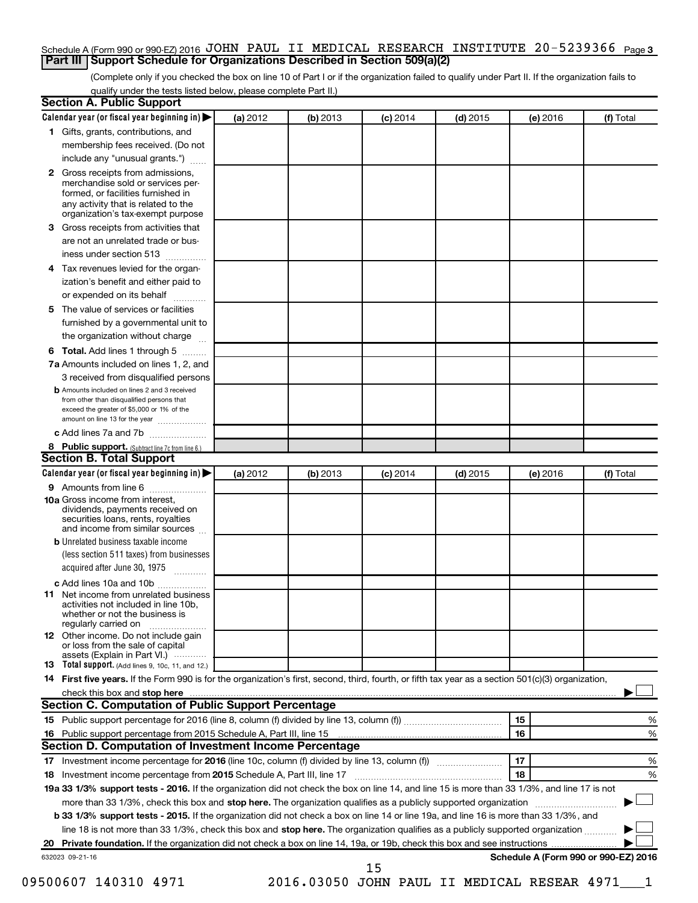## Schedule A (Form 990 or 990-EZ) 2016 JOHN PAUL II MEDICAL RESEARCH INSTITUTE 20-5239366 <sub>Page 3</sub> **Part III Support Schedule for Organizations Described in Section 509(a)(2)**

(Complete only if you checked the box on line 10 of Part I or if the organization failed to qualify under Part II. If the organization fails to qualify under the tests listed below, please complete Part II.)

|              | Calendar year (or fiscal year beginning in)                                                                                                                                            | (a) 2012 | (b) 2013                                    | $(c)$ 2014 | $(d)$ 2015 | (e) 2016 | (f) Total                            |
|--------------|----------------------------------------------------------------------------------------------------------------------------------------------------------------------------------------|----------|---------------------------------------------|------------|------------|----------|--------------------------------------|
|              | 1 Gifts, grants, contributions, and                                                                                                                                                    |          |                                             |            |            |          |                                      |
|              | membership fees received. (Do not                                                                                                                                                      |          |                                             |            |            |          |                                      |
|              | include any "unusual grants.")                                                                                                                                                         |          |                                             |            |            |          |                                      |
| $\mathbf{2}$ | Gross receipts from admissions,<br>merchandise sold or services per-<br>formed, or facilities furnished in<br>any activity that is related to the<br>organization's tax-exempt purpose |          |                                             |            |            |          |                                      |
| 3.           | Gross receipts from activities that                                                                                                                                                    |          |                                             |            |            |          |                                      |
|              | are not an unrelated trade or bus-                                                                                                                                                     |          |                                             |            |            |          |                                      |
|              | iness under section 513                                                                                                                                                                |          |                                             |            |            |          |                                      |
| 4            | Tax revenues levied for the organ-                                                                                                                                                     |          |                                             |            |            |          |                                      |
|              | ization's benefit and either paid to<br>or expended on its behalf<br>.                                                                                                                 |          |                                             |            |            |          |                                      |
| 5            | The value of services or facilities                                                                                                                                                    |          |                                             |            |            |          |                                      |
|              | furnished by a governmental unit to<br>the organization without charge                                                                                                                 |          |                                             |            |            |          |                                      |
| 6            | Total. Add lines 1 through 5                                                                                                                                                           |          |                                             |            |            |          |                                      |
|              | 7a Amounts included on lines 1, 2, and                                                                                                                                                 |          |                                             |            |            |          |                                      |
|              | 3 received from disqualified persons                                                                                                                                                   |          |                                             |            |            |          |                                      |
|              | <b>b</b> Amounts included on lines 2 and 3 received                                                                                                                                    |          |                                             |            |            |          |                                      |
|              | from other than disqualified persons that<br>exceed the greater of \$5,000 or 1% of the<br>amount on line 13 for the year                                                              |          |                                             |            |            |          |                                      |
|              | c Add lines 7a and 7b                                                                                                                                                                  |          |                                             |            |            |          |                                      |
|              | 8 Public support. (Subtract line 7c from line 6.)                                                                                                                                      |          |                                             |            |            |          |                                      |
|              | <b>Section B. Total Support</b>                                                                                                                                                        |          |                                             |            |            |          |                                      |
|              | Calendar year (or fiscal year beginning in)                                                                                                                                            | (a) 2012 | (b) 2013                                    | $(c)$ 2014 | $(d)$ 2015 | (e) 2016 | (f) Total                            |
|              | 9 Amounts from line 6                                                                                                                                                                  |          |                                             |            |            |          |                                      |
|              | <b>10a</b> Gross income from interest,<br>dividends, payments received on<br>securities loans, rents, royalties<br>and income from similar sources                                     |          |                                             |            |            |          |                                      |
|              | <b>b</b> Unrelated business taxable income                                                                                                                                             |          |                                             |            |            |          |                                      |
|              | (less section 511 taxes) from businesses<br>acquired after June 30, 1975                                                                                                               |          |                                             |            |            |          |                                      |
|              | c Add lines 10a and 10b                                                                                                                                                                |          |                                             |            |            |          |                                      |
| 11           | Net income from unrelated business<br>activities not included in line 10b.<br>whether or not the business is<br>regularly carried on                                                   |          |                                             |            |            |          |                                      |
|              | <b>12</b> Other income. Do not include gain<br>or loss from the sale of capital<br>assets (Explain in Part VI.)                                                                        |          |                                             |            |            |          |                                      |
|              | <b>13</b> Total support. (Add lines 9, 10c, 11, and 12.)                                                                                                                               |          |                                             |            |            |          |                                      |
|              | 14 First five years. If the Form 990 is for the organization's first, second, third, fourth, or fifth tax year as a section 501(c)(3) organization,                                    |          |                                             |            |            |          |                                      |
|              |                                                                                                                                                                                        |          |                                             |            |            |          |                                      |
|              | Section C. Computation of Public Support Percentage                                                                                                                                    |          |                                             |            |            |          |                                      |
|              |                                                                                                                                                                                        |          |                                             |            |            | 15       | %                                    |
|              |                                                                                                                                                                                        |          |                                             |            |            | 16       | %                                    |
|              | Section D. Computation of Investment Income Percentage                                                                                                                                 |          |                                             |            |            |          |                                      |
|              |                                                                                                                                                                                        |          |                                             |            |            | 17       | %                                    |
|              |                                                                                                                                                                                        |          |                                             |            |            | 18       | %                                    |
|              | 19a 33 1/3% support tests - 2016. If the organization did not check the box on line 14, and line 15 is more than 33 1/3%, and line 17 is not                                           |          |                                             |            |            |          |                                      |
|              | more than 33 1/3%, check this box and stop here. The organization qualifies as a publicly supported organization                                                                       |          |                                             |            |            |          |                                      |
|              | <b>b 33 1/3% support tests - 2015.</b> If the organization did not check a box on line 14 or line 19a, and line 16 is more than 33 1/3%, and                                           |          |                                             |            |            |          |                                      |
|              | line 18 is not more than 33 1/3%, check this box and stop here. The organization qualifies as a publicly supported organization                                                        |          |                                             |            |            |          |                                      |
|              |                                                                                                                                                                                        |          |                                             |            |            |          |                                      |
|              | 632023 09-21-16                                                                                                                                                                        |          |                                             | 15         |            |          | Schedule A (Form 990 or 990-EZ) 2016 |
|              | 09500607 140310 4971                                                                                                                                                                   |          | 2016.03050 JOHN PAUL II MEDICAL RESEAR 4971 |            |            |          |                                      |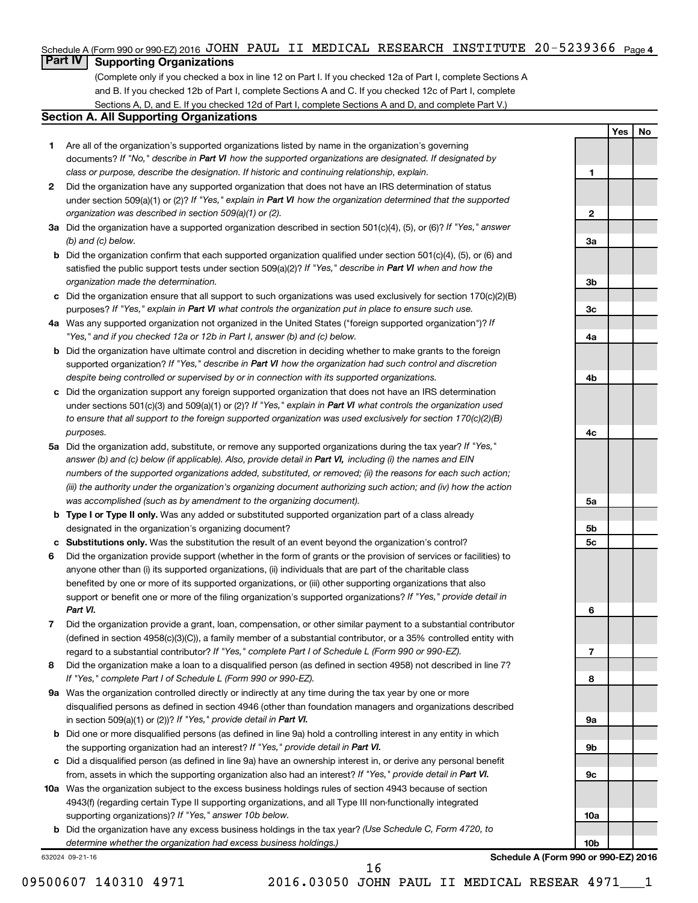## Schedule A (Form 990 or 990-EZ) 2016 JOHN PAUL II MEDICAL RESEARCH INSTITUTE 20-5239366 <sub>Page 4</sub>

## **Part IV Supporting Organizations**

(Complete only if you checked a box in line 12 on Part I. If you checked 12a of Part I, complete Sections A and B. If you checked 12b of Part I, complete Sections A and C. If you checked 12c of Part I, complete Sections A, D, and E. If you checked 12d of Part I, complete Sections A and D, and complete Part V.)

## **Section A. All Supporting Organizations**

- **1** Are all of the organization's supported organizations listed by name in the organization's governing documents? If "No," describe in Part VI how the supported organizations are designated. If designated by *class or purpose, describe the designation. If historic and continuing relationship, explain.*
- **2** Did the organization have any supported organization that does not have an IRS determination of status under section 509(a)(1) or (2)? If "Yes," explain in Part VI how the organization determined that the supported *organization was described in section 509(a)(1) or (2).*
- **3a** Did the organization have a supported organization described in section 501(c)(4), (5), or (6)? If "Yes," answer *(b) and (c) below.*
- **b** Did the organization confirm that each supported organization qualified under section 501(c)(4), (5), or (6) and satisfied the public support tests under section 509(a)(2)? If "Yes," describe in Part VI when and how the *organization made the determination.*
- **c** Did the organization ensure that all support to such organizations was used exclusively for section 170(c)(2)(B) purposes? If "Yes," explain in Part VI what controls the organization put in place to ensure such use.
- **4 a** *If* Was any supported organization not organized in the United States ("foreign supported organization")? *"Yes," and if you checked 12a or 12b in Part I, answer (b) and (c) below.*
- **b** Did the organization have ultimate control and discretion in deciding whether to make grants to the foreign supported organization? If "Yes," describe in Part VI how the organization had such control and discretion *despite being controlled or supervised by or in connection with its supported organizations.*
- **c** Did the organization support any foreign supported organization that does not have an IRS determination under sections 501(c)(3) and 509(a)(1) or (2)? If "Yes," explain in Part VI what controls the organization used *to ensure that all support to the foreign supported organization was used exclusively for section 170(c)(2)(B) purposes.*
- **5a** Did the organization add, substitute, or remove any supported organizations during the tax year? If "Yes," answer (b) and (c) below (if applicable). Also, provide detail in Part VI, including (i) the names and EIN *numbers of the supported organizations added, substituted, or removed; (ii) the reasons for each such action; (iii) the authority under the organization's organizing document authorizing such action; and (iv) how the action was accomplished (such as by amendment to the organizing document).*
- **b** Type I or Type II only. Was any added or substituted supported organization part of a class already designated in the organization's organizing document?
- **c Substitutions only.**  Was the substitution the result of an event beyond the organization's control?
- **6** Did the organization provide support (whether in the form of grants or the provision of services or facilities) to support or benefit one or more of the filing organization's supported organizations? If "Yes," provide detail in anyone other than (i) its supported organizations, (ii) individuals that are part of the charitable class benefited by one or more of its supported organizations, or (iii) other supporting organizations that also *Part VI.*
- **7** Did the organization provide a grant, loan, compensation, or other similar payment to a substantial contributor regard to a substantial contributor? If "Yes," complete Part I of Schedule L (Form 990 or 990-EZ). (defined in section 4958(c)(3)(C)), a family member of a substantial contributor, or a 35% controlled entity with
- **8** Did the organization make a loan to a disqualified person (as defined in section 4958) not described in line 7? *If "Yes," complete Part I of Schedule L (Form 990 or 990-EZ).*
- **9 a** Was the organization controlled directly or indirectly at any time during the tax year by one or more in section 509(a)(1) or (2))? If "Yes," provide detail in Part VI. disqualified persons as defined in section 4946 (other than foundation managers and organizations described
- **b** Did one or more disqualified persons (as defined in line 9a) hold a controlling interest in any entity in which the supporting organization had an interest? If "Yes," provide detail in Part VI.
- **c** Did a disqualified person (as defined in line 9a) have an ownership interest in, or derive any personal benefit from, assets in which the supporting organization also had an interest? If "Yes," provide detail in Part VI.
- **10 a** Was the organization subject to the excess business holdings rules of section 4943 because of section supporting organizations)? If "Yes," answer 10b below. 4943(f) (regarding certain Type II supporting organizations, and all Type III non-functionally integrated
	- **b** Did the organization have any excess business holdings in the tax year? (Use Schedule C, Form 4720, to *determine whether the organization had excess business holdings.)*

632024 09-21-16

**Schedule A (Form 990 or 990-EZ) 2016**

**Yes No**

**1**

**2**

**3a**

**3b**

**3c**

**4a**

**4b**

**4c**

**5a**

**5b 5c**

**6**

**7**

**8**

**9a**

**9b**

**9c**

**10a**

**10b**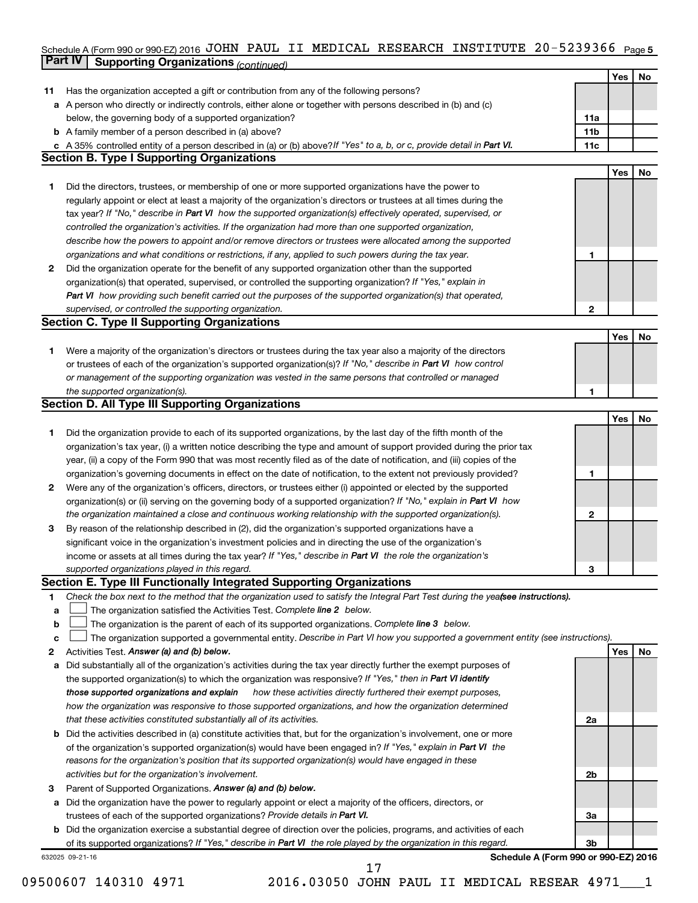### Schedule A (Form 990 or 990-EZ) 2016 JOHN PAUL II MEDICAL RESEARCH INSTITUTE ZU-5Z3Y366 Page 5 **Part IV Supporting Organizations** *(continued)* JOHN PAUL II MEDICAL RESEARCH INSTITUTE 20-5239366

|              | <i>Continued of Barmadaons (Continued)</i>                                                                                                                                   |              |     |    |
|--------------|------------------------------------------------------------------------------------------------------------------------------------------------------------------------------|--------------|-----|----|
|              |                                                                                                                                                                              |              | Yes | No |
| 11           | Has the organization accepted a gift or contribution from any of the following persons?                                                                                      |              |     |    |
|              | a A person who directly or indirectly controls, either alone or together with persons described in (b) and (c)                                                               |              |     |    |
|              | below, the governing body of a supported organization?<br><b>b</b> A family member of a person described in (a) above?                                                       | 11a<br>11b   |     |    |
|              |                                                                                                                                                                              | 11c          |     |    |
|              | c A 35% controlled entity of a person described in (a) or (b) above? If "Yes" to a, b, or c, provide detail in Part VI.<br><b>Section B. Type I Supporting Organizations</b> |              |     |    |
|              |                                                                                                                                                                              |              | Yes | No |
| 1.           | Did the directors, trustees, or membership of one or more supported organizations have the power to                                                                          |              |     |    |
|              | regularly appoint or elect at least a majority of the organization's directors or trustees at all times during the                                                           |              |     |    |
|              | tax year? If "No," describe in Part VI how the supported organization(s) effectively operated, supervised, or                                                                |              |     |    |
|              | controlled the organization's activities. If the organization had more than one supported organization,                                                                      |              |     |    |
|              | describe how the powers to appoint and/or remove directors or trustees were allocated among the supported                                                                    |              |     |    |
|              | organizations and what conditions or restrictions, if any, applied to such powers during the tax year.                                                                       | 1            |     |    |
| $\mathbf{2}$ | Did the organization operate for the benefit of any supported organization other than the supported                                                                          |              |     |    |
|              | organization(s) that operated, supervised, or controlled the supporting organization? If "Yes," explain in                                                                   |              |     |    |
|              | Part VI how providing such benefit carried out the purposes of the supported organization(s) that operated,                                                                  |              |     |    |
|              | supervised, or controlled the supporting organization.                                                                                                                       | $\mathbf{2}$ |     |    |
|              | <b>Section C. Type II Supporting Organizations</b>                                                                                                                           |              |     |    |
|              |                                                                                                                                                                              |              | Yes | No |
| 1.           | Were a majority of the organization's directors or trustees during the tax year also a majority of the directors                                                             |              |     |    |
|              | or trustees of each of the organization's supported organization(s)? If "No," describe in Part VI how control                                                                |              |     |    |
|              | or management of the supporting organization was vested in the same persons that controlled or managed                                                                       |              |     |    |
|              | the supported organization(s).                                                                                                                                               | 1            |     |    |
|              | <b>Section D. All Type III Supporting Organizations</b>                                                                                                                      |              |     |    |
|              |                                                                                                                                                                              |              | Yes | No |
| 1.           | Did the organization provide to each of its supported organizations, by the last day of the fifth month of the                                                               |              |     |    |
|              | organization's tax year, (i) a written notice describing the type and amount of support provided during the prior tax                                                        |              |     |    |
|              | year, (ii) a copy of the Form 990 that was most recently filed as of the date of notification, and (iii) copies of the                                                       |              |     |    |
|              | organization's governing documents in effect on the date of notification, to the extent not previously provided?                                                             | 1            |     |    |
| $\mathbf{2}$ | Were any of the organization's officers, directors, or trustees either (i) appointed or elected by the supported                                                             |              |     |    |
|              | organization(s) or (ii) serving on the governing body of a supported organization? If "No," explain in Part VI how                                                           |              |     |    |
|              | the organization maintained a close and continuous working relationship with the supported organization(s).                                                                  | $\mathbf{2}$ |     |    |
| 3            | By reason of the relationship described in (2), did the organization's supported organizations have a                                                                        |              |     |    |
|              | significant voice in the organization's investment policies and in directing the use of the organization's                                                                   |              |     |    |
|              | income or assets at all times during the tax year? If "Yes," describe in Part VI the role the organization's                                                                 |              |     |    |
|              | supported organizations played in this regard.                                                                                                                               | 3            |     |    |
|              | <b>Section E. Type III Functionally Integrated Supporting Organizations</b>                                                                                                  |              |     |    |
| 1            | Check the box next to the method that the organization used to satisfy the Integral Part Test during the yea(see instructions).                                              |              |     |    |
| a            | The organization satisfied the Activities Test. Complete line 2 below.                                                                                                       |              |     |    |
| b            | The organization is the parent of each of its supported organizations. Complete line 3 below.                                                                                |              |     |    |
| C            | The organization supported a governmental entity. Describe in Part VI how you supported a government entity (see instructions).                                              |              |     |    |
| 2            | Activities Test. Answer (a) and (b) below.                                                                                                                                   |              | Yes | No |
| a            | Did substantially all of the organization's activities during the tax year directly further the exempt purposes of                                                           |              |     |    |
|              | the supported organization(s) to which the organization was responsive? If "Yes," then in Part VI identify                                                                   |              |     |    |
|              | those supported organizations and explain<br>how these activities directly furthered their exempt purposes,                                                                  |              |     |    |
|              | how the organization was responsive to those supported organizations, and how the organization determined                                                                    |              |     |    |
|              | that these activities constituted substantially all of its activities.                                                                                                       | 2a           |     |    |
| b            | Did the activities described in (a) constitute activities that, but for the organization's involvement, one or more                                                          |              |     |    |
|              | of the organization's supported organization(s) would have been engaged in? If "Yes," explain in Part VI the                                                                 |              |     |    |
|              | reasons for the organization's position that its supported organization(s) would have engaged in these                                                                       |              |     |    |
|              | activities but for the organization's involvement.                                                                                                                           | 2b           |     |    |
| 3            | Parent of Supported Organizations. Answer (a) and (b) below.                                                                                                                 |              |     |    |
| a            | Did the organization have the power to regularly appoint or elect a majority of the officers, directors, or                                                                  |              |     |    |
|              | trustees of each of the supported organizations? Provide details in Part VI.                                                                                                 | 3a           |     |    |
| b            | Did the organization exercise a substantial degree of direction over the policies, programs, and activities of each                                                          |              |     |    |
|              | of its supported organizations? If "Yes," describe in Part VI the role played by the organization in this regard.                                                            | 3b           |     |    |
|              | Schedule A (Form 990 or 990-EZ) 2016<br>632025 09-21-16                                                                                                                      |              |     |    |
|              | 17                                                                                                                                                                           |              |     |    |

09500607 140310 4971 2016.03050 JOHN PAUL II MEDICAL RESEAR 4971\_\_\_1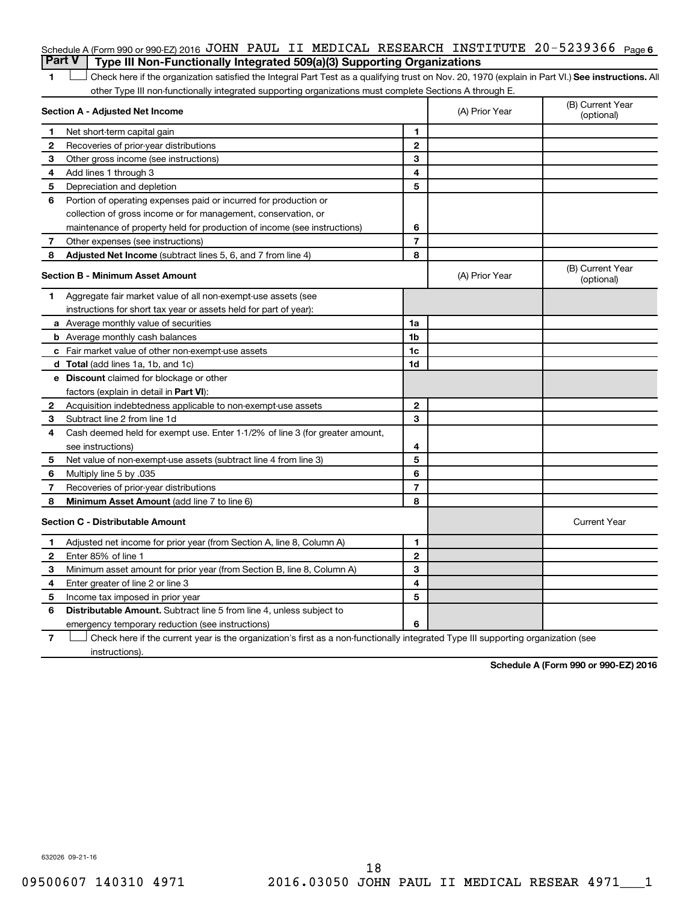## Schedule A (Form 990 or 990-EZ) 2016 JOHN PAUL II MEDICAL RESEARCH INSTITUTE 20-5239366 <sub>Page 6</sub> **Part V Type III Non-Functionally Integrated 509(a)(3) Supporting Organizations**

1 **Letter See instructions.** All Check here if the organization satisfied the Integral Part Test as a qualifying trust on Nov. 20, 1970 (explain in Part VI.) See instructions. All other Type III non-functionally integrated supporting organizations must complete Sections A through E.

| Section A - Adjusted Net Income |                                                                              | (A) Prior Year | (B) Current Year<br>(optional) |                                |
|---------------------------------|------------------------------------------------------------------------------|----------------|--------------------------------|--------------------------------|
| 1                               | Net short-term capital gain                                                  | 1              |                                |                                |
| 2                               | Recoveries of prior-year distributions                                       | $\mathbf{2}$   |                                |                                |
| З                               | Other gross income (see instructions)                                        | 3              |                                |                                |
| 4                               | Add lines 1 through 3                                                        | 4              |                                |                                |
| 5                               | Depreciation and depletion                                                   | 5              |                                |                                |
| 6                               | Portion of operating expenses paid or incurred for production or             |                |                                |                                |
|                                 | collection of gross income or for management, conservation, or               |                |                                |                                |
|                                 | maintenance of property held for production of income (see instructions)     | 6              |                                |                                |
| 7                               | Other expenses (see instructions)                                            | $\overline{7}$ |                                |                                |
| 8                               | Adjusted Net Income (subtract lines 5, 6, and 7 from line 4)                 | 8              |                                |                                |
|                                 | <b>Section B - Minimum Asset Amount</b>                                      |                | (A) Prior Year                 | (B) Current Year<br>(optional) |
| 1.                              | Aggregate fair market value of all non-exempt-use assets (see                |                |                                |                                |
|                                 | instructions for short tax year or assets held for part of year):            |                |                                |                                |
|                                 | <b>a</b> Average monthly value of securities                                 | 1a             |                                |                                |
|                                 | <b>b</b> Average monthly cash balances                                       | 1 <sub>b</sub> |                                |                                |
|                                 | <b>c</b> Fair market value of other non-exempt-use assets                    | 1 <sub>c</sub> |                                |                                |
|                                 | d Total (add lines 1a, 1b, and 1c)                                           | 1 <sub>d</sub> |                                |                                |
|                                 | e Discount claimed for blockage or other                                     |                |                                |                                |
|                                 | factors (explain in detail in Part VI):                                      |                |                                |                                |
| $\mathbf{2}$                    | Acquisition indebtedness applicable to non-exempt-use assets                 | $\mathbf{2}$   |                                |                                |
| 3                               | Subtract line 2 from line 1d                                                 | 3              |                                |                                |
| 4                               | Cash deemed held for exempt use. Enter 1-1/2% of line 3 (for greater amount, |                |                                |                                |
|                                 | see instructions)                                                            | 4              |                                |                                |
| 5                               | Net value of non-exempt-use assets (subtract line 4 from line 3)             | 5              |                                |                                |
| 6                               | Multiply line 5 by .035                                                      | 6              |                                |                                |
| 7                               | Recoveries of prior-year distributions                                       | $\overline{7}$ |                                |                                |
| 8                               | Minimum Asset Amount (add line 7 to line 6)                                  | 8              |                                |                                |
|                                 | <b>Section C - Distributable Amount</b>                                      |                |                                | <b>Current Year</b>            |
| 1                               | Adjusted net income for prior year (from Section A, line 8, Column A)        | 1              |                                |                                |
| 2                               | Enter 85% of line 1                                                          | $\mathbf{2}$   |                                |                                |
| З                               | Minimum asset amount for prior year (from Section B, line 8, Column A)       | 3              |                                |                                |
| 4                               | Enter greater of line 2 or line 3                                            | 4              |                                |                                |
| 5                               | Income tax imposed in prior year                                             | 5              |                                |                                |
| 6                               | <b>Distributable Amount.</b> Subtract line 5 from line 4, unless subject to  |                |                                |                                |
|                                 | emergency temporary reduction (see instructions)                             | 6              |                                |                                |
|                                 |                                                                              |                |                                |                                |

**7** Let Check here if the current year is the organization's first as a non-functionally integrated Type III supporting organization (see instructions).

**Schedule A (Form 990 or 990-EZ) 2016**

632026 09-21-16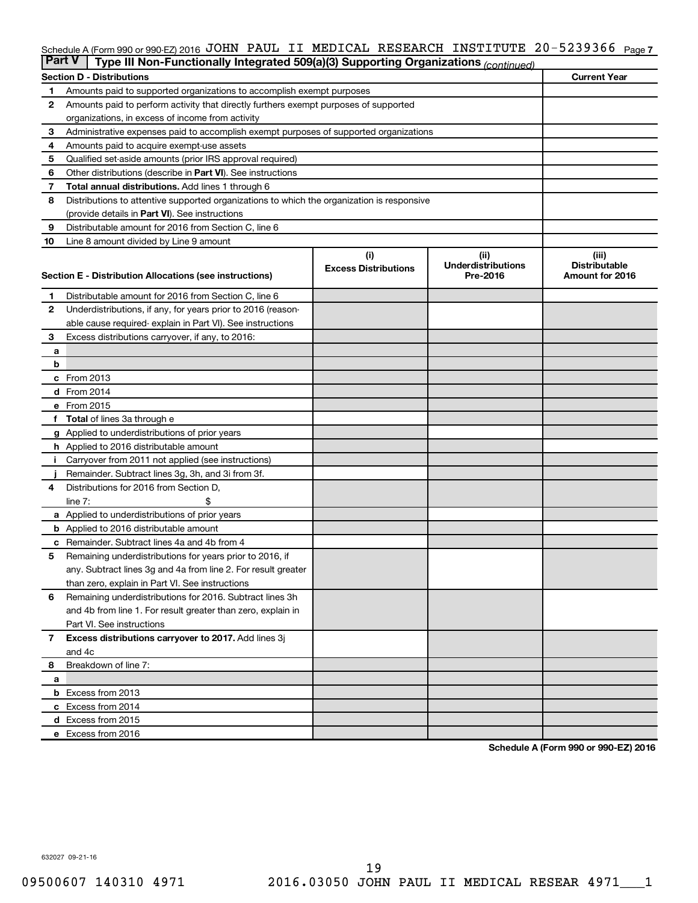#### Schedule A (Form 990 or 990-EZ) 2016 JOHN PAUL II MEDICAL RESEARCH INSTITUTE ZU-5Z3Y366 Page 7 JOHN PAUL II MEDICAL RESEARCH INSTITUTE 20-5239366

| <b>Part V</b> | Type III Non-Functionally Integrated 509(a)(3) Supporting Organizations (continued)         |                             |                                       |                                         |
|---------------|---------------------------------------------------------------------------------------------|-----------------------------|---------------------------------------|-----------------------------------------|
|               | <b>Section D - Distributions</b>                                                            |                             |                                       | <b>Current Year</b>                     |
| 1             | Amounts paid to supported organizations to accomplish exempt purposes                       |                             |                                       |                                         |
| 2             | Amounts paid to perform activity that directly furthers exempt purposes of supported        |                             |                                       |                                         |
|               | organizations, in excess of income from activity                                            |                             |                                       |                                         |
| 3             | Administrative expenses paid to accomplish exempt purposes of supported organizations       |                             |                                       |                                         |
| 4             | Amounts paid to acquire exempt-use assets                                                   |                             |                                       |                                         |
| 5             | Qualified set-aside amounts (prior IRS approval required)                                   |                             |                                       |                                         |
| 6             | Other distributions (describe in Part VI). See instructions                                 |                             |                                       |                                         |
| 7             | <b>Total annual distributions.</b> Add lines 1 through 6                                    |                             |                                       |                                         |
| 8             | Distributions to attentive supported organizations to which the organization is responsive  |                             |                                       |                                         |
|               | (provide details in Part VI). See instructions                                              |                             |                                       |                                         |
| 9             | Distributable amount for 2016 from Section C, line 6                                        |                             |                                       |                                         |
| 10            | Line 8 amount divided by Line 9 amount                                                      |                             |                                       |                                         |
|               |                                                                                             | (i)                         | (ii)                                  | (iii)                                   |
|               | Section E - Distribution Allocations (see instructions)                                     | <b>Excess Distributions</b> | <b>Underdistributions</b><br>Pre-2016 | <b>Distributable</b><br>Amount for 2016 |
|               |                                                                                             |                             |                                       |                                         |
| 1             | Distributable amount for 2016 from Section C, line 6                                        |                             |                                       |                                         |
| $\mathbf{2}$  | Underdistributions, if any, for years prior to 2016 (reason-                                |                             |                                       |                                         |
|               | able cause required- explain in Part VI). See instructions                                  |                             |                                       |                                         |
| 3             | Excess distributions carryover, if any, to 2016:                                            |                             |                                       |                                         |
| а             |                                                                                             |                             |                                       |                                         |
| b             |                                                                                             |                             |                                       |                                         |
|               | c From 2013                                                                                 |                             |                                       |                                         |
|               | <b>d</b> From 2014                                                                          |                             |                                       |                                         |
|               | e From 2015                                                                                 |                             |                                       |                                         |
|               | f Total of lines 3a through e                                                               |                             |                                       |                                         |
|               | <b>g</b> Applied to underdistributions of prior years                                       |                             |                                       |                                         |
|               | <b>h</b> Applied to 2016 distributable amount                                               |                             |                                       |                                         |
|               | Carryover from 2011 not applied (see instructions)                                          |                             |                                       |                                         |
|               | Remainder. Subtract lines 3g, 3h, and 3i from 3f.<br>Distributions for 2016 from Section D, |                             |                                       |                                         |
| 4             | $line 7$ :                                                                                  |                             |                                       |                                         |
|               | a Applied to underdistributions of prior years                                              |                             |                                       |                                         |
|               | <b>b</b> Applied to 2016 distributable amount                                               |                             |                                       |                                         |
| с             | Remainder. Subtract lines 4a and 4b from 4                                                  |                             |                                       |                                         |
| 5             | Remaining underdistributions for years prior to 2016, if                                    |                             |                                       |                                         |
|               | any. Subtract lines 3g and 4a from line 2. For result greater                               |                             |                                       |                                         |
|               | than zero, explain in Part VI. See instructions                                             |                             |                                       |                                         |
| 6             | Remaining underdistributions for 2016. Subtract lines 3h                                    |                             |                                       |                                         |
|               | and 4b from line 1. For result greater than zero, explain in                                |                             |                                       |                                         |
|               | Part VI. See instructions                                                                   |                             |                                       |                                         |
| $\mathbf{7}$  | Excess distributions carryover to 2017. Add lines 3j                                        |                             |                                       |                                         |
|               | and 4c                                                                                      |                             |                                       |                                         |
| 8             | Breakdown of line 7:                                                                        |                             |                                       |                                         |
| a             |                                                                                             |                             |                                       |                                         |
|               | <b>b</b> Excess from 2013                                                                   |                             |                                       |                                         |
|               | c Excess from 2014                                                                          |                             |                                       |                                         |
|               | d Excess from 2015                                                                          |                             |                                       |                                         |
|               | e Excess from 2016                                                                          |                             |                                       |                                         |

**Schedule A (Form 990 or 990-EZ) 2016**

632027 09-21-16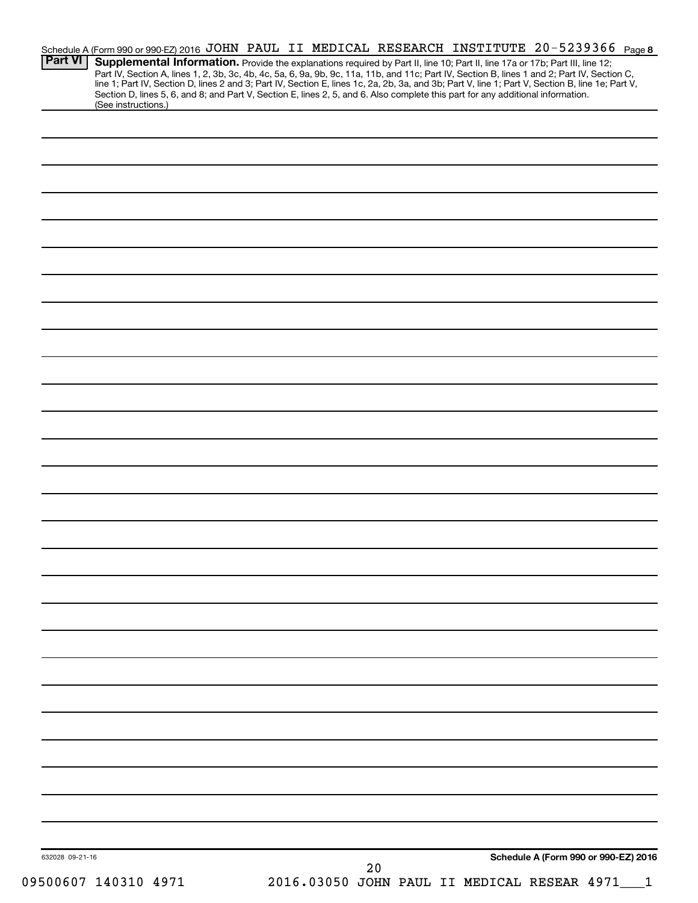| <b>Part VI</b>  |                                                                                                                                                        |  |    |  | Schedule A (Form 990 or 990-EZ) 2016 JOHN PAUL II MEDICAL RESEARCH INSTITUTE 20-5239366 Page 8                                                                                                                                                                                |  |
|-----------------|--------------------------------------------------------------------------------------------------------------------------------------------------------|--|----|--|-------------------------------------------------------------------------------------------------------------------------------------------------------------------------------------------------------------------------------------------------------------------------------|--|
|                 |                                                                                                                                                        |  |    |  | Supplemental Information. Provide the explanations required by Part II, line 10; Part II, line 17a or 17b; Part III, line 12;<br>Part IV, Section A, lines 1, 2, 3b, 3c, 4b, 4c, 5a, 6, 9a, 9b, 9c, 11a, 11b, and 11c; Part IV, Section B, lines 1 and 2; Part IV, Section C, |  |
|                 |                                                                                                                                                        |  |    |  | line 1; Part IV, Section D, lines 2 and 3; Part IV, Section E, lines 1c, 2a, 2b, 3a, and 3b; Part V, line 1; Part V, Section B, line 1e; Part V,                                                                                                                              |  |
|                 | Section D, lines 5, 6, and 8; and Part V, Section E, lines 2, 5, and 6. Also complete this part for any additional information.<br>(See instructions.) |  |    |  |                                                                                                                                                                                                                                                                               |  |
|                 |                                                                                                                                                        |  |    |  |                                                                                                                                                                                                                                                                               |  |
|                 |                                                                                                                                                        |  |    |  |                                                                                                                                                                                                                                                                               |  |
|                 |                                                                                                                                                        |  |    |  |                                                                                                                                                                                                                                                                               |  |
|                 |                                                                                                                                                        |  |    |  |                                                                                                                                                                                                                                                                               |  |
|                 |                                                                                                                                                        |  |    |  |                                                                                                                                                                                                                                                                               |  |
|                 |                                                                                                                                                        |  |    |  |                                                                                                                                                                                                                                                                               |  |
|                 |                                                                                                                                                        |  |    |  |                                                                                                                                                                                                                                                                               |  |
|                 |                                                                                                                                                        |  |    |  |                                                                                                                                                                                                                                                                               |  |
|                 |                                                                                                                                                        |  |    |  |                                                                                                                                                                                                                                                                               |  |
|                 |                                                                                                                                                        |  |    |  |                                                                                                                                                                                                                                                                               |  |
|                 |                                                                                                                                                        |  |    |  |                                                                                                                                                                                                                                                                               |  |
|                 |                                                                                                                                                        |  |    |  |                                                                                                                                                                                                                                                                               |  |
|                 |                                                                                                                                                        |  |    |  |                                                                                                                                                                                                                                                                               |  |
|                 |                                                                                                                                                        |  |    |  |                                                                                                                                                                                                                                                                               |  |
|                 |                                                                                                                                                        |  |    |  |                                                                                                                                                                                                                                                                               |  |
|                 |                                                                                                                                                        |  |    |  |                                                                                                                                                                                                                                                                               |  |
|                 |                                                                                                                                                        |  |    |  |                                                                                                                                                                                                                                                                               |  |
|                 |                                                                                                                                                        |  |    |  |                                                                                                                                                                                                                                                                               |  |
|                 |                                                                                                                                                        |  |    |  |                                                                                                                                                                                                                                                                               |  |
|                 |                                                                                                                                                        |  |    |  |                                                                                                                                                                                                                                                                               |  |
|                 |                                                                                                                                                        |  |    |  |                                                                                                                                                                                                                                                                               |  |
|                 |                                                                                                                                                        |  |    |  |                                                                                                                                                                                                                                                                               |  |
|                 |                                                                                                                                                        |  |    |  |                                                                                                                                                                                                                                                                               |  |
|                 |                                                                                                                                                        |  |    |  |                                                                                                                                                                                                                                                                               |  |
|                 |                                                                                                                                                        |  |    |  |                                                                                                                                                                                                                                                                               |  |
|                 |                                                                                                                                                        |  |    |  |                                                                                                                                                                                                                                                                               |  |
|                 |                                                                                                                                                        |  |    |  |                                                                                                                                                                                                                                                                               |  |
|                 |                                                                                                                                                        |  |    |  |                                                                                                                                                                                                                                                                               |  |
|                 |                                                                                                                                                        |  |    |  |                                                                                                                                                                                                                                                                               |  |
|                 |                                                                                                                                                        |  |    |  |                                                                                                                                                                                                                                                                               |  |
|                 |                                                                                                                                                        |  |    |  |                                                                                                                                                                                                                                                                               |  |
|                 |                                                                                                                                                        |  |    |  |                                                                                                                                                                                                                                                                               |  |
|                 |                                                                                                                                                        |  |    |  |                                                                                                                                                                                                                                                                               |  |
|                 |                                                                                                                                                        |  |    |  |                                                                                                                                                                                                                                                                               |  |
|                 |                                                                                                                                                        |  |    |  |                                                                                                                                                                                                                                                                               |  |
|                 |                                                                                                                                                        |  |    |  |                                                                                                                                                                                                                                                                               |  |
|                 |                                                                                                                                                        |  |    |  |                                                                                                                                                                                                                                                                               |  |
|                 |                                                                                                                                                        |  |    |  |                                                                                                                                                                                                                                                                               |  |
|                 |                                                                                                                                                        |  |    |  |                                                                                                                                                                                                                                                                               |  |
|                 |                                                                                                                                                        |  |    |  |                                                                                                                                                                                                                                                                               |  |
|                 |                                                                                                                                                        |  |    |  |                                                                                                                                                                                                                                                                               |  |
|                 |                                                                                                                                                        |  |    |  |                                                                                                                                                                                                                                                                               |  |
|                 |                                                                                                                                                        |  |    |  |                                                                                                                                                                                                                                                                               |  |
|                 |                                                                                                                                                        |  |    |  |                                                                                                                                                                                                                                                                               |  |
|                 |                                                                                                                                                        |  |    |  |                                                                                                                                                                                                                                                                               |  |
|                 |                                                                                                                                                        |  |    |  |                                                                                                                                                                                                                                                                               |  |
| 632028 09-21-16 |                                                                                                                                                        |  | 20 |  | Schedule A (Form 990 or 990-EZ) 2016                                                                                                                                                                                                                                          |  |
|                 | 09500607 140310 4971                                                                                                                                   |  |    |  | 2016.03050 JOHN PAUL II MEDICAL RESEAR 4971                                                                                                                                                                                                                                   |  |
|                 |                                                                                                                                                        |  |    |  |                                                                                                                                                                                                                                                                               |  |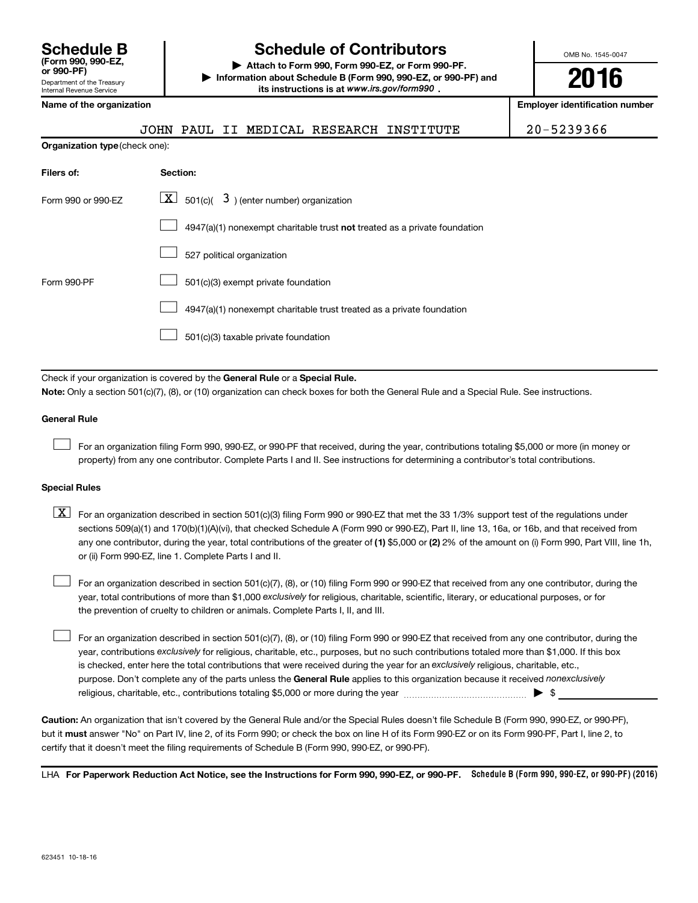| <b>Schedule B</b><br>(Form 990, 990-EZ.<br>or 990-PF)         |
|---------------------------------------------------------------|
| Department of the Treasury<br><b>Internal Revenue Service</b> |

## **Schedule of Contributors**

**or 990-PF) | Attach to Form 990, Form 990-EZ, or Form 990-PF. | Information about Schedule B (Form 990, 990-EZ, or 990-PF) and** its instructions is at www.irs.gov/form990.

**Name of the organization Employer identification number**

**2016**

OMB No. 1545-0047

|                                       | PAUL II MEDICAL RESEARCH INSTITUTE<br><b>JOHN</b>                                  | $20 - 5239366$ |
|---------------------------------------|------------------------------------------------------------------------------------|----------------|
| <b>Organization type (check one):</b> |                                                                                    |                |
| Filers of:                            | Section:                                                                           |                |
| Form 990 or 990-EZ                    | $\lfloor x \rfloor$ 501(c)( 3) (enter number) organization                         |                |
|                                       | $4947(a)(1)$ nonexempt charitable trust <b>not</b> treated as a private foundation |                |
|                                       | 527 political organization                                                         |                |
| Form 990-PF                           | 501(c)(3) exempt private foundation                                                |                |
|                                       | 4947(a)(1) nonexempt charitable trust treated as a private foundation              |                |

501(c)(3) taxable private foundation  $\Box$ 

Check if your organization is covered by the General Rule or a Special Rule.

**Note:**  Only a section 501(c)(7), (8), or (10) organization can check boxes for both the General Rule and a Special Rule. See instructions.

## **General Rule**

 $\Box$ 

For an organization filing Form 990, 990-EZ, or 990-PF that received, during the year, contributions totaling \$5,000 or more (in money or property) from any one contributor. Complete Parts I and II. See instructions for determining a contributor's total contributions.

## **Special Rules**

any one contributor, during the year, total contributions of the greater of **(1)** \$5,000 or **(2)** 2% of the amount on (i) Form 990, Part VIII, line 1h,  $\boxed{\text{X}}$  For an organization described in section 501(c)(3) filing Form 990 or 990-EZ that met the 33 1/3% support test of the regulations under sections 509(a)(1) and 170(b)(1)(A)(vi), that checked Schedule A (Form 990 or 990-EZ), Part II, line 13, 16a, or 16b, and that received from or (ii) Form 990-EZ, line 1. Complete Parts I and II.

year, total contributions of more than \$1,000 *exclusively* for religious, charitable, scientific, literary, or educational purposes, or for For an organization described in section 501(c)(7), (8), or (10) filing Form 990 or 990-EZ that received from any one contributor, during the the prevention of cruelty to children or animals. Complete Parts I, II, and III.  $\Box$ 

purpose. Don't complete any of the parts unless the General Rule applies to this organization because it received nonexclusively year, contributions exclusively for religious, charitable, etc., purposes, but no such contributions totaled more than \$1,000. If this box is checked, enter here the total contributions that were received during the year for an exclusively religious, charitable, etc., For an organization described in section 501(c)(7), (8), or (10) filing Form 990 or 990-EZ that received from any one contributor, during the religious, charitable, etc., contributions totaling \$5,000 or more during the year  $\ldots$  $\ldots$  $\ldots$  $\ldots$  $\ldots$  $\ldots$  $\Box$ 

**Caution:**  An organization that isn't covered by the General Rule and/or the Special Rules doesn't file Schedule B (Form 990, 990-EZ, or 990-PF),  **must** but it answer "No" on Part IV, line 2, of its Form 990; or check the box on line H of its Form 990-EZ or on its Form 990-PF, Part I, line 2, to certify that it doesn't meet the filing requirements of Schedule B (Form 990, 990-EZ, or 990-PF).

LHA For Paperwork Reduction Act Notice, see the Instructions for Form 990, 990-EZ, or 990-PF. Schedule B (Form 990, 990-EZ, or 990-PF) (2016)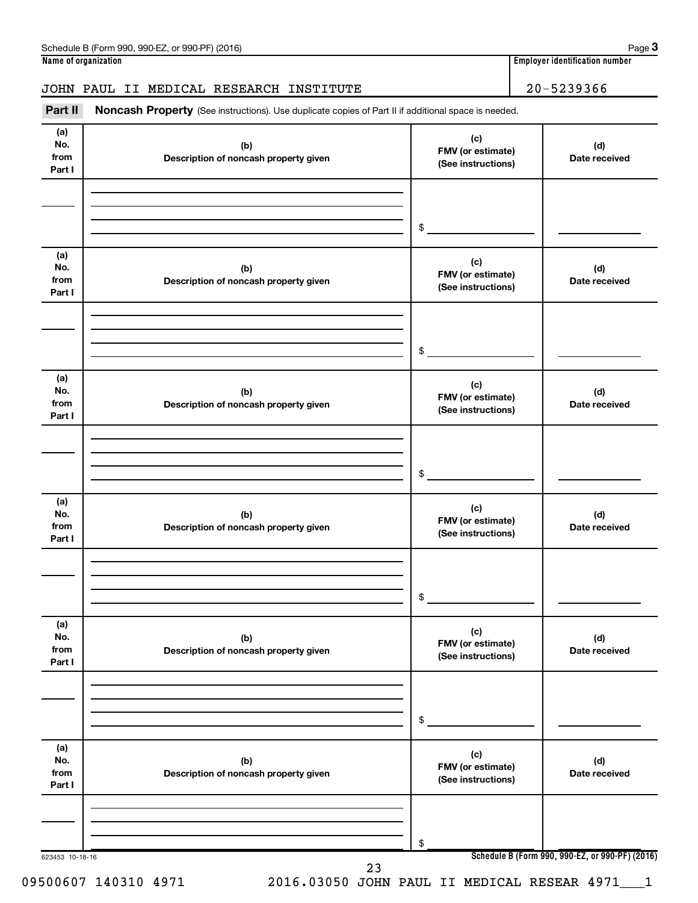## JOHN PAUL II MEDICAL RESEARCH INSTITUTE | 20-5239366

Part II Noncash Property (See instructions). Use duplicate copies of Part II if additional space is needed.

| No.<br>from<br>Part I        | (b)<br>Description of noncash property given | (c)<br>FMV (or estimate)<br>(See instructions) | (d)<br>Date received                            |
|------------------------------|----------------------------------------------|------------------------------------------------|-------------------------------------------------|
|                              |                                              | \$                                             |                                                 |
| (a)<br>No.<br>from<br>Part I | (b)<br>Description of noncash property given | (c)<br>FMV (or estimate)<br>(See instructions) | (d)<br>Date received                            |
|                              |                                              | \$                                             |                                                 |
| (a)<br>No.<br>from<br>Part I | (b)<br>Description of noncash property given | (c)<br>FMV (or estimate)<br>(See instructions) | (d)<br>Date received                            |
|                              |                                              | \$                                             |                                                 |
| (a)<br>No.<br>from<br>Part I | (b)<br>Description of noncash property given | (c)<br>FMV (or estimate)<br>(See instructions) | (d)<br>Date received                            |
|                              |                                              | \$                                             |                                                 |
| (a)<br>No.<br>from<br>Part I | (b)<br>Description of noncash property given | (c)<br>FMV (or estimate)<br>(See instructions) | (d)<br>Date received                            |
|                              |                                              | \$                                             |                                                 |
| (a)<br>No.<br>from<br>Part I | (b)<br>Description of noncash property given | (c)<br>FMV (or estimate)<br>(See instructions) | (d)<br>Date received                            |
|                              |                                              | \$                                             | Schedule B (Form 990, 990-EZ, or 990-PF) (2016) |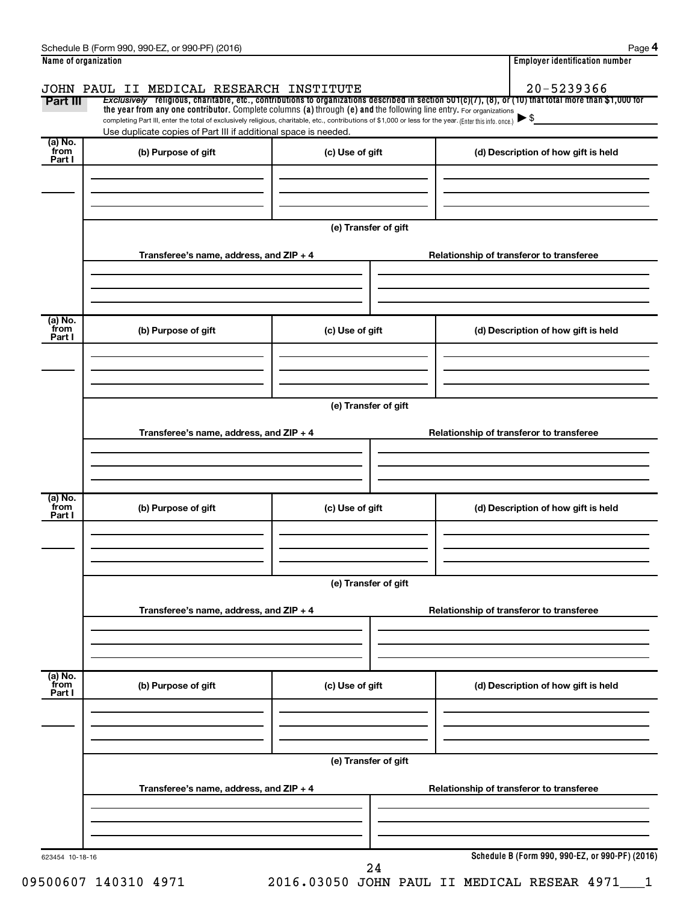| Name of organization |                                                                                                                                                                                                                                                                              |                      |                                                 | <b>Employer identification number</b> |
|----------------------|------------------------------------------------------------------------------------------------------------------------------------------------------------------------------------------------------------------------------------------------------------------------------|----------------------|-------------------------------------------------|---------------------------------------|
|                      | JOHN PAUL II MEDICAL RESEARCH INSTITUTE                                                                                                                                                                                                                                      |                      |                                                 | 20-5239366                            |
| Part III             | Exclusively religious, charitable, etc., contributions to organizations described in section 501(c)(7), (8), or (10) that total more than \$1,000 for<br>the year from any one contributor. Complete columns (a) through (e) and the following line entry. For organizations |                      |                                                 |                                       |
|                      | completing Part III, enter the total of exclusively religious, charitable, etc., contributions of \$1,000 or less for the year. (Enter this info. once.)<br>Use duplicate copies of Part III if additional space is needed.                                                  |                      |                                                 |                                       |
| (a) No.<br>from      |                                                                                                                                                                                                                                                                              |                      |                                                 |                                       |
| Part I               | (b) Purpose of gift                                                                                                                                                                                                                                                          | (c) Use of gift      | (d) Description of how gift is held             |                                       |
|                      |                                                                                                                                                                                                                                                                              |                      |                                                 |                                       |
|                      |                                                                                                                                                                                                                                                                              |                      |                                                 |                                       |
|                      |                                                                                                                                                                                                                                                                              | (e) Transfer of gift |                                                 |                                       |
|                      | Transferee's name, address, and ZIP + 4                                                                                                                                                                                                                                      |                      | Relationship of transferor to transferee        |                                       |
|                      |                                                                                                                                                                                                                                                                              |                      |                                                 |                                       |
|                      |                                                                                                                                                                                                                                                                              |                      |                                                 |                                       |
| (a) No.              |                                                                                                                                                                                                                                                                              |                      |                                                 |                                       |
| from<br>Part I       | (b) Purpose of gift                                                                                                                                                                                                                                                          | (c) Use of gift      | (d) Description of how gift is held             |                                       |
|                      |                                                                                                                                                                                                                                                                              |                      |                                                 |                                       |
|                      |                                                                                                                                                                                                                                                                              |                      |                                                 |                                       |
|                      |                                                                                                                                                                                                                                                                              | (e) Transfer of gift |                                                 |                                       |
|                      | Transferee's name, address, and ZIP + 4                                                                                                                                                                                                                                      |                      | Relationship of transferor to transferee        |                                       |
|                      |                                                                                                                                                                                                                                                                              |                      |                                                 |                                       |
|                      |                                                                                                                                                                                                                                                                              |                      |                                                 |                                       |
| $\overline{a}$ ) No. |                                                                                                                                                                                                                                                                              |                      |                                                 |                                       |
| from<br>Part I       | (b) Purpose of gift                                                                                                                                                                                                                                                          | (c) Use of gift      | (d) Description of how gift is held             |                                       |
|                      |                                                                                                                                                                                                                                                                              |                      |                                                 |                                       |
|                      |                                                                                                                                                                                                                                                                              |                      |                                                 |                                       |
|                      |                                                                                                                                                                                                                                                                              | (e) Transfer of gift |                                                 |                                       |
|                      | Transferee's name, address, and ZIP + 4                                                                                                                                                                                                                                      |                      | Relationship of transferor to transferee        |                                       |
|                      |                                                                                                                                                                                                                                                                              |                      |                                                 |                                       |
|                      |                                                                                                                                                                                                                                                                              |                      |                                                 |                                       |
| (a) No.              |                                                                                                                                                                                                                                                                              |                      |                                                 |                                       |
| from<br>Part I       | (b) Purpose of gift                                                                                                                                                                                                                                                          | (c) Use of gift      | (d) Description of how gift is held             |                                       |
|                      |                                                                                                                                                                                                                                                                              |                      |                                                 |                                       |
|                      |                                                                                                                                                                                                                                                                              |                      |                                                 |                                       |
|                      |                                                                                                                                                                                                                                                                              | (e) Transfer of gift |                                                 |                                       |
|                      | Transferee's name, address, and ZIP + 4                                                                                                                                                                                                                                      |                      | Relationship of transferor to transferee        |                                       |
|                      |                                                                                                                                                                                                                                                                              |                      |                                                 |                                       |
|                      |                                                                                                                                                                                                                                                                              |                      |                                                 |                                       |
|                      |                                                                                                                                                                                                                                                                              |                      | Schedule B (Form 990, 990-EZ, or 990-PF) (2016) |                                       |
| 623454 10-18-16      |                                                                                                                                                                                                                                                                              | 24                   |                                                 |                                       |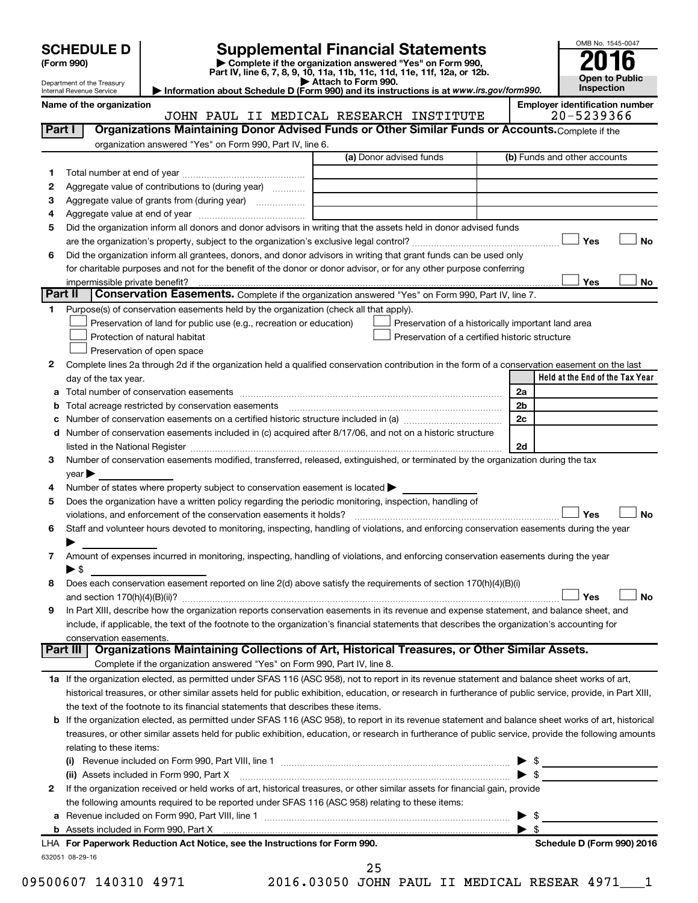| (Form 990) |  |
|------------|--|
|------------|--|

## Supplemental Financial Statements<br> **Examplete if the organization answered "Yes" on Form 990,**

**(Form 990) | Complete if the organization answered "Yes" on Form 990, Part IV, line 6, 7, 8, 9, 10, 11a, 11b, 11c, 11d, 11e, 11f, 12a, or 12b.**



Department of the Treasury Internal Revenue Service **Held at the End of the Tax Year | Attach to Form 990. | Information about Schedule D (Form 990) and its instructions is at**  *www.irs.gov/form990.* **Name of the organization Employer identification number** (a) Donor advised funds **1 2 3 4 5 6 Yes No Yes No 1 2** Complete lines 2a through 2d if the organization held a qualified conservation contribution in the form of a conservation easement on the last **3 4 5** Does the organization have a written policy regarding the periodic monitoring, inspection, handling of **6 7 8 9 a** Total number of conservation easements ~~~~~~~~~~~~~~~~~~~~~~~~~~~~~~~~ **b** Total acreage restricted by conservation easements ~~~~~~~~~~~~~~~~~~~~~~~~~~ **c** Number of conservation easements on a certified historic structure included in (a)  $\ldots$  $\ldots$  $\ldots$  $\ldots$  $\ldots$  $\ldots$ **d 2a 2b 2c 2d Yes No Yes No 1 a** If the organization elected, as permitted under SFAS 116 (ASC 958), not to report in its revenue statement and balance sheet works of art, **2** If the organization received or held works of art, historical treasures, or other similar assets for financial gain, provide **b** If the organization elected, as permitted under SFAS 116 (ASC 958), to report in its revenue statement and balance sheet works of art, historical **(i)** Revenue included on Form 990, Part VIII, line 1 ~~~~~~~~~~~~~~~~~~~~~~~~~~~~ | \$ **(ii)** Assets included in Form 990, Part X ~~~~~~~~~~~~~~~~~~~~~~~~~~~~~~~~~ | \$ **a** Revenue included on Form 990, Part VIII, line 1 ~~~~~~~~~~~~~~~~~~~~~~~~~~~~~~ | \$ **b Part I** | Organizations Maintaining Donor Advised Funds or Other Similar Funds or Accounts. Complete if the organization answered "Yes" on Form 990, Part IV, line 6. (b) Funds and other accounts Total number at end of year ~~~~~~~~~~~~~~~ Aggregate value of contributions to (during year)  $\quad \quad \ldots \ldots \ldots$ Aggregate value of grants from (during year) will contain the Aggregate value of grants from (during year) Aggregate value at end of year ~~~~~~~~~~~~~ Did the organization inform all donors and donor advisors in writing that the assets held in donor advised funds are the organization's property, subject to the organization's exclusive legal control?~~~~~~~~~~~~~~~~~~ Did the organization inform all grantees, donors, and donor advisors in writing that grant funds can be used only for charitable purposes and not for the benefit of the donor or donor advisor, or for any other purpose conferring impermissible private benefit? **Part II** Conservation Easements. Complete if the organization answered "Yes" on Form 990, Part IV, line 7. Purpose(s) of conservation easements held by the organization (check all that apply). **Preservation of land for public use (e.g., recreation or education) Example 1** Protection of natural habitat Preservation of open space Preservation of a historically important land area Preservation of a certified historic structure day of the tax year. Number of conservation easements included in (c) acquired after 8/17/06, and not on a historic structure listed in the National Register ~~~~~~~~~~~~~~~~~~~~~~~~~~~~~~~~~~~~~~ Number of conservation easements modified, transferred, released, extinguished, or terminated by the organization during the tax  $year$ Number of states where property subject to conservation easement is located  $\blacktriangleright$ violations, and enforcement of the conservation easements it holds? ~~~~~~~~~~~~~~~~~~~~~~~~~ Staff and volunteer hours devoted to monitoring, inspecting, handling of violations, and enforcing conservation easements during the year  $\blacktriangleright$ Amount of expenses incurred in monitoring, inspecting, handling of violations, and enforcing conservation easements during the year  $\triangleright$  \$ Does each conservation easement reported on line 2(d) above satisfy the requirements of section 170(h)(4)(B)(i) and section 170(h)(4)(B)(ii)? ~~~~~~~~~~~~~~~~~~~~~~~~~~~~~~~~~~~~~~~~~~~~~~ In Part XIII, describe how the organization reports conservation easements in its revenue and expense statement, and balance sheet, and include, if applicable, the text of the footnote to the organization's financial statements that describes the organization's accounting for conservation easements. Complete if the organization answered "Yes" on Form 990, Part IV, line 8. historical treasures, or other similar assets held for public exhibition, education, or research in furtherance of public service, provide, in Part XIII, the text of the footnote to its financial statements that describes these items. treasures, or other similar assets held for public exhibition, education, or research in furtherance of public service, provide the following amounts relating to these items: the following amounts required to be reported under SFAS 116 (ASC 958) relating to these items: Assets included in Form 990, Part X | \$ **Part III Organizations Maintaining Collections of Art, Historical Treasures, or Other Similar Assets.** Yes † †  $\Box$  $|$  Yes  $|$  Yes JOHN PAUL II MEDICAL RESEARCH INSTITUTE 20-5239366

| LHA For Paperwork Reduction Act Notice, see the Instructions for Form 990. |
|----------------------------------------------------------------------------|
| 632051 08-29-16                                                            |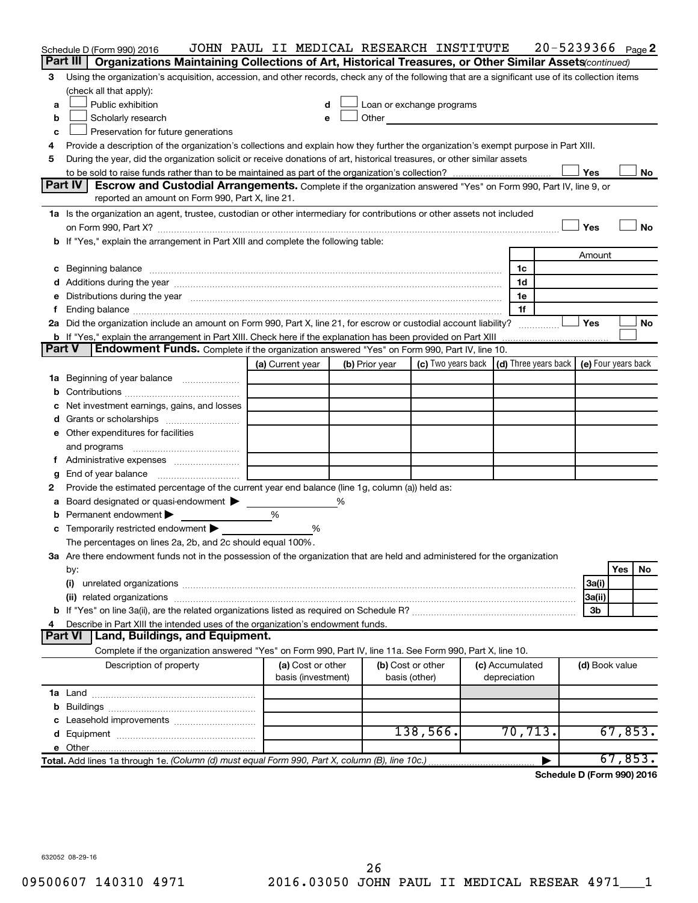|          | Schedule D (Form 990) 2016                                                                                                                                                                                                     | JOHN PAUL II MEDICAL RESEARCH INSTITUTE |                                                                                                                                                                                                                                |                                                                             |                                 | $20 - 5239366$ Page 2 |         |           |
|----------|--------------------------------------------------------------------------------------------------------------------------------------------------------------------------------------------------------------------------------|-----------------------------------------|--------------------------------------------------------------------------------------------------------------------------------------------------------------------------------------------------------------------------------|-----------------------------------------------------------------------------|---------------------------------|-----------------------|---------|-----------|
| Part III | Organizations Maintaining Collections of Art, Historical Treasures, or Other Similar Assets (continued)                                                                                                                        |                                         |                                                                                                                                                                                                                                |                                                                             |                                 |                       |         |           |
| З        | Using the organization's acquisition, accession, and other records, check any of the following that are a significant use of its collection items                                                                              |                                         |                                                                                                                                                                                                                                |                                                                             |                                 |                       |         |           |
|          | (check all that apply):                                                                                                                                                                                                        |                                         |                                                                                                                                                                                                                                |                                                                             |                                 |                       |         |           |
| a        | Public exhibition                                                                                                                                                                                                              | d                                       | Loan or exchange programs                                                                                                                                                                                                      |                                                                             |                                 |                       |         |           |
| b        | Scholarly research                                                                                                                                                                                                             | е                                       | Other and the control of the control of the control of the control of the control of the control of the control of the control of the control of the control of the control of the control of the control of the control of th |                                                                             |                                 |                       |         |           |
| c        | Preservation for future generations                                                                                                                                                                                            |                                         |                                                                                                                                                                                                                                |                                                                             |                                 |                       |         |           |
| 4        | Provide a description of the organization's collections and explain how they further the organization's exempt purpose in Part XIII.                                                                                           |                                         |                                                                                                                                                                                                                                |                                                                             |                                 |                       |         |           |
| 5        | During the year, did the organization solicit or receive donations of art, historical treasures, or other similar assets                                                                                                       |                                         |                                                                                                                                                                                                                                |                                                                             |                                 |                       |         |           |
|          |                                                                                                                                                                                                                                |                                         |                                                                                                                                                                                                                                |                                                                             |                                 | Yes                   |         | No        |
|          | Part IV<br>Escrow and Custodial Arrangements. Complete if the organization answered "Yes" on Form 990, Part IV, line 9, or                                                                                                     |                                         |                                                                                                                                                                                                                                |                                                                             |                                 |                       |         |           |
|          | reported an amount on Form 990, Part X, line 21.                                                                                                                                                                               |                                         |                                                                                                                                                                                                                                |                                                                             |                                 |                       |         |           |
|          | 1a Is the organization an agent, trustee, custodian or other intermediary for contributions or other assets not included                                                                                                       |                                         |                                                                                                                                                                                                                                |                                                                             |                                 |                       |         |           |
|          |                                                                                                                                                                                                                                |                                         |                                                                                                                                                                                                                                |                                                                             |                                 | Yes                   |         | <b>No</b> |
|          | b If "Yes," explain the arrangement in Part XIII and complete the following table:                                                                                                                                             |                                         |                                                                                                                                                                                                                                |                                                                             |                                 |                       |         |           |
|          |                                                                                                                                                                                                                                |                                         |                                                                                                                                                                                                                                |                                                                             |                                 | Amount                |         |           |
| c        | Beginning balance www.communication.com/multiplication.com/multiplication.com/multiplication.com/multiplicatio                                                                                                                 |                                         |                                                                                                                                                                                                                                |                                                                             | 1c                              |                       |         |           |
|          |                                                                                                                                                                                                                                |                                         |                                                                                                                                                                                                                                |                                                                             | 1d                              |                       |         |           |
|          | Distributions during the year manufactured and an account of the year manufactured and the year manufactured and the year manufactured and the year manufactured and the year manufactured and the year manufactured and the y |                                         |                                                                                                                                                                                                                                |                                                                             | 1e                              |                       |         |           |
| f.       |                                                                                                                                                                                                                                |                                         |                                                                                                                                                                                                                                |                                                                             | 1f                              |                       |         |           |
|          | 2a Did the organization include an amount on Form 990, Part X, line 21, for escrow or custodial account liability?                                                                                                             |                                         |                                                                                                                                                                                                                                |                                                                             |                                 | Yes                   |         | No        |
| Part V   | <b>b</b> If "Yes," explain the arrangement in Part XIII. Check here if the explanation has been provided on Part XIII                                                                                                          |                                         |                                                                                                                                                                                                                                |                                                                             |                                 |                       |         |           |
|          | Endowment Funds. Complete if the organization answered "Yes" on Form 990, Part IV, line 10.                                                                                                                                    |                                         |                                                                                                                                                                                                                                |                                                                             |                                 |                       |         |           |
|          |                                                                                                                                                                                                                                | (a) Current year                        | (b) Prior year                                                                                                                                                                                                                 | (c) Two years back $\vert$ (d) Three years back $\vert$ (e) Four years back |                                 |                       |         |           |
|          |                                                                                                                                                                                                                                |                                         |                                                                                                                                                                                                                                |                                                                             |                                 |                       |         |           |
|          |                                                                                                                                                                                                                                |                                         |                                                                                                                                                                                                                                |                                                                             |                                 |                       |         |           |
|          | Net investment earnings, gains, and losses                                                                                                                                                                                     |                                         |                                                                                                                                                                                                                                |                                                                             |                                 |                       |         |           |
| d        | e Other expenditures for facilities                                                                                                                                                                                            |                                         |                                                                                                                                                                                                                                |                                                                             |                                 |                       |         |           |
|          | and programs                                                                                                                                                                                                                   |                                         |                                                                                                                                                                                                                                |                                                                             |                                 |                       |         |           |
|          |                                                                                                                                                                                                                                |                                         |                                                                                                                                                                                                                                |                                                                             |                                 |                       |         |           |
|          | End of year balance                                                                                                                                                                                                            |                                         |                                                                                                                                                                                                                                |                                                                             |                                 |                       |         |           |
| g<br>2   | Provide the estimated percentage of the current year end balance (line 1g, column (a)) held as:                                                                                                                                |                                         |                                                                                                                                                                                                                                |                                                                             |                                 |                       |         |           |
| а        | Board designated or quasi-endowment                                                                                                                                                                                            |                                         |                                                                                                                                                                                                                                |                                                                             |                                 |                       |         |           |
| b        | Permanent endowment                                                                                                                                                                                                            | %                                       |                                                                                                                                                                                                                                |                                                                             |                                 |                       |         |           |
|          | c Temporarily restricted endowment $\blacktriangleright$                                                                                                                                                                       | %                                       |                                                                                                                                                                                                                                |                                                                             |                                 |                       |         |           |
|          | The percentages on lines 2a, 2b, and 2c should equal 100%.                                                                                                                                                                     |                                         |                                                                                                                                                                                                                                |                                                                             |                                 |                       |         |           |
|          | 3a Are there endowment funds not in the possession of the organization that are held and administered for the organization                                                                                                     |                                         |                                                                                                                                                                                                                                |                                                                             |                                 |                       |         |           |
|          | by:                                                                                                                                                                                                                            |                                         |                                                                                                                                                                                                                                |                                                                             |                                 |                       | Yes     | No.       |
|          | (i)                                                                                                                                                                                                                            |                                         |                                                                                                                                                                                                                                |                                                                             |                                 | 3a(i)                 |         |           |
|          |                                                                                                                                                                                                                                |                                         |                                                                                                                                                                                                                                |                                                                             |                                 | 3a(ii)                |         |           |
|          |                                                                                                                                                                                                                                |                                         |                                                                                                                                                                                                                                |                                                                             |                                 | 3b                    |         |           |
| 4        | Describe in Part XIII the intended uses of the organization's endowment funds.                                                                                                                                                 |                                         |                                                                                                                                                                                                                                |                                                                             |                                 |                       |         |           |
|          | <b>Part VI</b><br>Land, Buildings, and Equipment.                                                                                                                                                                              |                                         |                                                                                                                                                                                                                                |                                                                             |                                 |                       |         |           |
|          | Complete if the organization answered "Yes" on Form 990, Part IV, line 11a. See Form 990, Part X, line 10.                                                                                                                     |                                         |                                                                                                                                                                                                                                |                                                                             |                                 |                       |         |           |
|          | Description of property                                                                                                                                                                                                        | (a) Cost or other<br>basis (investment) | (b) Cost or other<br>basis (other)                                                                                                                                                                                             |                                                                             | (c) Accumulated<br>depreciation | (d) Book value        |         |           |
|          |                                                                                                                                                                                                                                |                                         |                                                                                                                                                                                                                                |                                                                             |                                 |                       |         |           |
|          |                                                                                                                                                                                                                                |                                         |                                                                                                                                                                                                                                |                                                                             |                                 |                       |         |           |
|          |                                                                                                                                                                                                                                |                                         |                                                                                                                                                                                                                                |                                                                             |                                 |                       |         |           |
|          |                                                                                                                                                                                                                                |                                         |                                                                                                                                                                                                                                | 138,566.                                                                    | 70, 713.                        |                       | 67,853. |           |
|          |                                                                                                                                                                                                                                |                                         |                                                                                                                                                                                                                                |                                                                             |                                 |                       |         |           |
|          | Total. Add lines 1a through 1e. (Column (d) must equal Form 990, Part X, column (B), line 10c.)                                                                                                                                |                                         |                                                                                                                                                                                                                                |                                                                             |                                 |                       | 67,853. |           |

**Schedule D (Form 990) 2016**

632052 08-29-16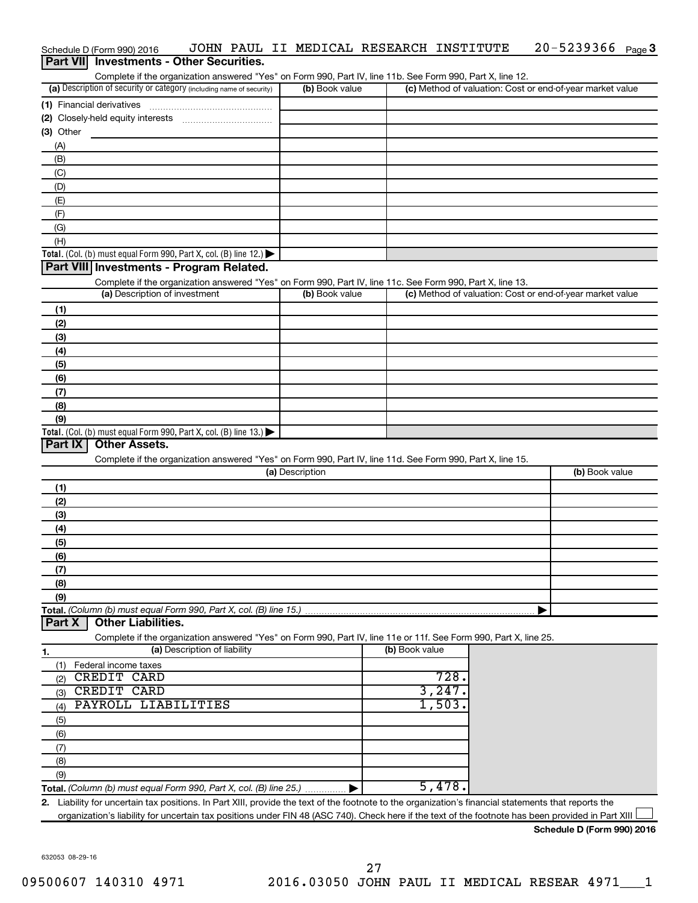| JOHN PAUL II MEDICAL RESEARCH INSTITUTE<br>Schedule D (Form 990) 2016                                      |                |  | 20-5239366 Page 3                                         |  |
|------------------------------------------------------------------------------------------------------------|----------------|--|-----------------------------------------------------------|--|
| Part VII Investments - Other Securities.                                                                   |                |  |                                                           |  |
| Complete if the organization answered "Yes" on Form 990, Part IV, line 11b. See Form 990, Part X, line 12. |                |  |                                                           |  |
| (a) Description of security or category (including name of security)                                       | (b) Book value |  | (c) Method of valuation: Cost or end-of-year market value |  |
|                                                                                                            |                |  |                                                           |  |
| (2)                                                                                                        |                |  |                                                           |  |
| (3) Other                                                                                                  |                |  |                                                           |  |
| (A)                                                                                                        |                |  |                                                           |  |
| (B)                                                                                                        |                |  |                                                           |  |
| (C)                                                                                                        |                |  |                                                           |  |
| (D)                                                                                                        |                |  |                                                           |  |
| (E)                                                                                                        |                |  |                                                           |  |
| (F)                                                                                                        |                |  |                                                           |  |
| (G)                                                                                                        |                |  |                                                           |  |
| (H)                                                                                                        |                |  |                                                           |  |
| Total. (Col. (b) must equal Form 990, Part X, col. (B) line 12.) $\blacktriangleright$                     |                |  |                                                           |  |
| Part VIII Investments - Program Related.                                                                   |                |  |                                                           |  |
| Complete if the organization answered "Yes" on Form 990, Part IV, line 11c. See Form 990, Part X, line 13. |                |  |                                                           |  |
| (a) Description of investment                                                                              | (b) Book value |  | (c) Method of valuation: Cost or end-of-year market value |  |
| (1)                                                                                                        |                |  |                                                           |  |
| (2)                                                                                                        |                |  |                                                           |  |
| (3)                                                                                                        |                |  |                                                           |  |
| (4)                                                                                                        |                |  |                                                           |  |
| (5)                                                                                                        |                |  |                                                           |  |
| (6)                                                                                                        |                |  |                                                           |  |
| (7)                                                                                                        |                |  |                                                           |  |
| (8)                                                                                                        |                |  |                                                           |  |
| (9)                                                                                                        |                |  |                                                           |  |
| Total. (Col. (b) must equal Form 990, Part X, col. (B) line $13.$ )                                        |                |  |                                                           |  |

## **Part IX Other Assets.**

Complete if the organization answered "Yes" on Form 990, Part IV, line 11d. See Form 990, Part X, line 15.

| (a) Description  | (b) Book value |
|------------------|----------------|
| (1)              |                |
| (2)              |                |
| $\left(3\right)$ |                |
| (4)              |                |
| $\frac{1}{1}$    |                |
| (6)              |                |
| (7)              |                |
| (8)              |                |
| (9)              |                |
|                  |                |

## **Part X Other Liabilities.**

Complete if the organization answered "Yes" on Form 990, Part IV, line 11e or 11f. See Form 990, Part X, line 25.

|     | (a) Description of liability                                       | (b) Book value                         |  |
|-----|--------------------------------------------------------------------|----------------------------------------|--|
|     | Federal income taxes                                               |                                        |  |
| (2) | CREDIT CARD                                                        | 728.                                   |  |
| (3) | CREDIT CARD                                                        | 3.247                                  |  |
| (4) | PAYROLL LIABILITIES                                                | 1,503                                  |  |
| (5) |                                                                    |                                        |  |
| (6) |                                                                    |                                        |  |
|     |                                                                    |                                        |  |
| (8) |                                                                    |                                        |  |
| (9) |                                                                    |                                        |  |
|     | Total. (Column (b) must equal Form 990, Part X, col. (B) line 25.) | $4\,\overline{7}\,\overline{8}$ .<br>כ |  |

**2.** Liability for uncertain tax positions. In Part XIII, provide the text of the footnote to the organization's financial statements that reports the organization's liability for uncertain tax positions under FIN 48 (ASC 740). Check here if the text of the footnote has been provided in Part XIII

## **Schedule D (Form 990) 2016**

632053 08-29-16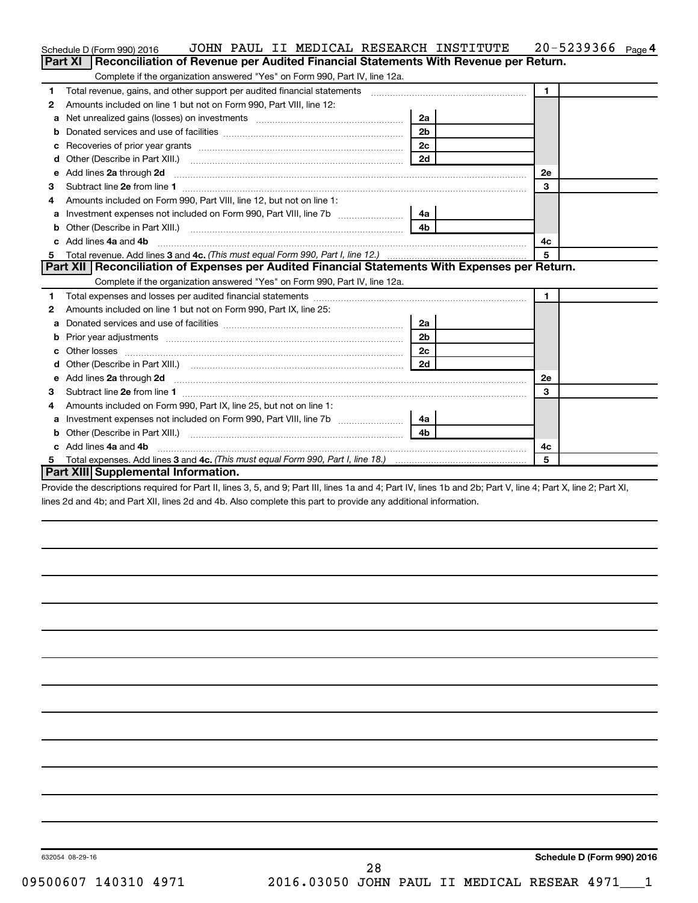|   | JOHN PAUL II MEDICAL RESEARCH INSTITUTE<br>Schedule D (Form 990) 2016                                                                                        |                | 20-5239366<br>Page 4 |
|---|--------------------------------------------------------------------------------------------------------------------------------------------------------------|----------------|----------------------|
|   | Reconciliation of Revenue per Audited Financial Statements With Revenue per Return.<br>Part XI                                                               |                |                      |
|   | Complete if the organization answered "Yes" on Form 990, Part IV, line 12a.                                                                                  |                |                      |
| 1 | Total revenue, gains, and other support per audited financial statements [111] [11] Total revenue, gains, and other support per audited financial statements |                | $\mathbf{1}$         |
| 2 | Amounts included on line 1 but not on Form 990, Part VIII, line 12:                                                                                          |                |                      |
| a |                                                                                                                                                              | 2a             |                      |
|   |                                                                                                                                                              | 2 <sub>b</sub> |                      |
|   |                                                                                                                                                              | 2c             |                      |
| d |                                                                                                                                                              | 2d             |                      |
| e | Add lines 2a through 2d                                                                                                                                      |                | 2e                   |
| 3 |                                                                                                                                                              |                | 3                    |
| 4 | Amounts included on Form 990, Part VIII, line 12, but not on line 1:                                                                                         |                |                      |
|   |                                                                                                                                                              | 4a l           |                      |
|   |                                                                                                                                                              | 4 <sub>b</sub> |                      |
|   | c Add lines 4a and 4b                                                                                                                                        |                | 4c                   |
|   |                                                                                                                                                              |                | 5                    |
|   | Part XII Reconciliation of Expenses per Audited Financial Statements With Expenses per Return.                                                               |                |                      |
|   | Complete if the organization answered "Yes" on Form 990, Part IV, line 12a.                                                                                  |                |                      |
| 1 |                                                                                                                                                              |                | $\blacksquare$       |
| 2 | Amounts included on line 1 but not on Form 990, Part IX, line 25:                                                                                            |                |                      |
| a |                                                                                                                                                              | 2a             |                      |
| b | Prior year adjustments [1111] [121] Prior year adjustments [111] [121] Management Strategy (121] Management St                                               | 2 <sub>b</sub> |                      |
|   |                                                                                                                                                              | 2c             |                      |
| d |                                                                                                                                                              | 2d             |                      |
|   |                                                                                                                                                              |                | <b>2e</b>            |
| 3 |                                                                                                                                                              |                | 3                    |
| 4 | Amounts included on Form 990, Part IX, line 25, but not on line 1:                                                                                           |                |                      |
| а |                                                                                                                                                              | 4a l           |                      |
|   |                                                                                                                                                              | 4 <sub>b</sub> |                      |
|   | c Add lines 4a and 4b                                                                                                                                        |                | 4с                   |
|   |                                                                                                                                                              |                | 5                    |
|   | Part XIII Supplemental Information.                                                                                                                          |                |                      |

Provide the descriptions required for Part II, lines 3, 5, and 9; Part III, lines 1a and 4; Part IV, lines 1b and 2b; Part V, line 4; Part X, line 2; Part XI, lines 2d and 4b; and Part XII, lines 2d and 4b. Also complete this part to provide any additional information.

632054 08-29-16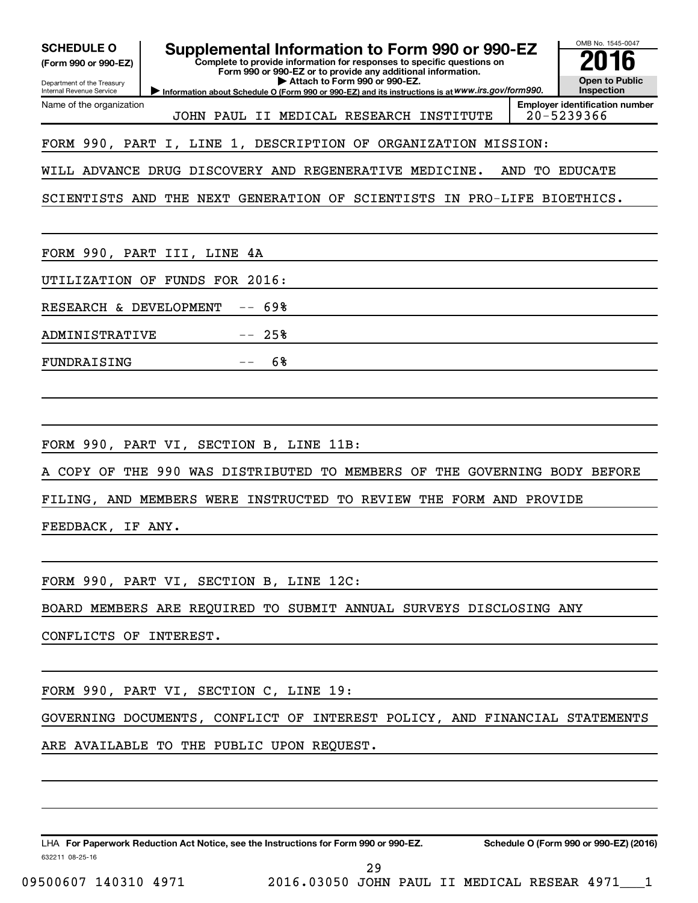| OMB No. 1545-0047<br>Supplemental Information to Form 990 or 990-EZ<br><b>SCHEDULE O</b><br>Complete to provide information for responses to specific questions on<br>(Form 990 or 990-EZ)<br>Form 990 or 990-EZ or to provide any additional information.<br><b>Open to Public</b><br>Attach to Form 990 or 990-EZ.<br>Department of the Treasury<br>Information about Schedule O (Form 990 or 990-EZ) and its instructions is at WWW.irs.gov/form990.<br>Inspection<br>Internal Revenue Service |
|---------------------------------------------------------------------------------------------------------------------------------------------------------------------------------------------------------------------------------------------------------------------------------------------------------------------------------------------------------------------------------------------------------------------------------------------------------------------------------------------------|
| <b>Employer identification number</b><br>Name of the organization<br>20-5239366<br>JOHN PAUL II MEDICAL RESEARCH INSTITUTE                                                                                                                                                                                                                                                                                                                                                                        |
| FORM 990, PART I, LINE 1, DESCRIPTION OF ORGANIZATION MISSION:                                                                                                                                                                                                                                                                                                                                                                                                                                    |
| WILL ADVANCE<br>DRUG DISCOVERY AND REGENERATIVE MEDICINE.<br>TO EDUCATE<br>AND                                                                                                                                                                                                                                                                                                                                                                                                                    |
| <b>GENERATION OF</b><br>SCIENTISTS<br>IN PRO-LIFE BIOETHICS.<br>SCIENTISTS AND<br>THE NEXT                                                                                                                                                                                                                                                                                                                                                                                                        |
| FORM 990, PART III, LINE 4A                                                                                                                                                                                                                                                                                                                                                                                                                                                                       |
| FUNDS FOR 2016:<br>UTILIZATION OF                                                                                                                                                                                                                                                                                                                                                                                                                                                                 |
| 69%<br>RESEARCH & DEVELOPMENT                                                                                                                                                                                                                                                                                                                                                                                                                                                                     |
| 25%<br>ADMINISTRATIVE                                                                                                                                                                                                                                                                                                                                                                                                                                                                             |
| 6%<br>FUNDRAISING                                                                                                                                                                                                                                                                                                                                                                                                                                                                                 |
|                                                                                                                                                                                                                                                                                                                                                                                                                                                                                                   |
| FORM 990, PART VI, SECTION B, LINE 11B:                                                                                                                                                                                                                                                                                                                                                                                                                                                           |
| 990 WAS DISTRIBUTED<br>THE<br>TO.<br>MEMBERS<br>THE<br>GOVERNING BODY BEFORE<br>A COPY OF<br>OF                                                                                                                                                                                                                                                                                                                                                                                                   |
| INSTRUCTED<br>TO REVIEW<br>THE FORM AND PROVIDE<br>FILING, AND MEMBERS WERE                                                                                                                                                                                                                                                                                                                                                                                                                       |
| FEEDBACK, IF ANY.                                                                                                                                                                                                                                                                                                                                                                                                                                                                                 |
|                                                                                                                                                                                                                                                                                                                                                                                                                                                                                                   |
| FORM 990, PART VI, SECTION B, LINE 12C:                                                                                                                                                                                                                                                                                                                                                                                                                                                           |
| BOARD MEMBERS ARE REQUIRED TO SUBMIT ANNUAL SURVEYS DISCLOSING ANY                                                                                                                                                                                                                                                                                                                                                                                                                                |
| CONFLICTS OF INTEREST.                                                                                                                                                                                                                                                                                                                                                                                                                                                                            |
| FORM 990, PART VI, SECTION C, LINE 19:                                                                                                                                                                                                                                                                                                                                                                                                                                                            |
| GOVERNING DOCUMENTS, CONFLICT OF INTEREST POLICY, AND FINANCIAL STATEMENTS                                                                                                                                                                                                                                                                                                                                                                                                                        |
| ARE AVAILABLE TO THE PUBLIC UPON REQUEST.                                                                                                                                                                                                                                                                                                                                                                                                                                                         |
|                                                                                                                                                                                                                                                                                                                                                                                                                                                                                                   |
|                                                                                                                                                                                                                                                                                                                                                                                                                                                                                                   |

632211 08-25-16 LHA For Paperwork Reduction Act Notice, see the Instructions for Form 990 or 990-EZ. Schedule O (Form 990 or 990-EZ) (2016)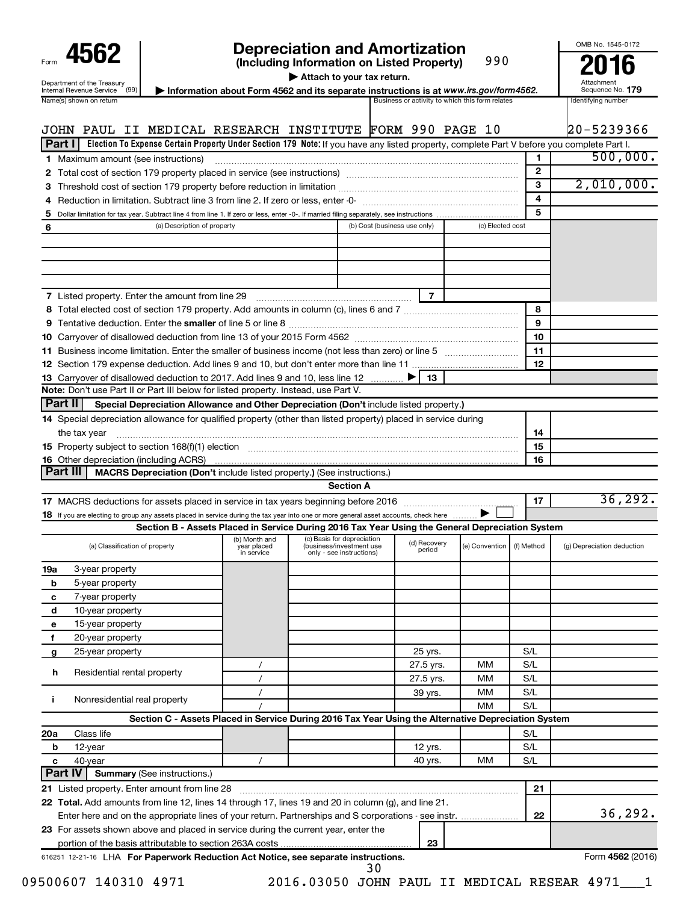| Form                                                   |  |
|--------------------------------------------------------|--|
| Department of the Treasury<br>Internal Revenue Service |  |

# **4562 Depreciation and Amortization**<br>(Including Information on Listed Property) 990 **2016**

**(Including Information on Listed Property)** 990

**| Attach to your tax return.**

Internal Revenue Service (99) **| Information about Form 4562 and its separate instructions is at www.irs.gov/form4562. Information blue and its separate instructions is at www.irs.gov/form4562. Information about Form 4562** 

Attachment Sequence No.

OMB No. 1545-0172

|     | JOHN PAUL II MEDICAL RESEARCH INSTITUTE FORM 990 PAGE 10                                                                                                 |                              |                                                                                                                                                           |                              |                  |              | 20-5239366                 |
|-----|----------------------------------------------------------------------------------------------------------------------------------------------------------|------------------------------|-----------------------------------------------------------------------------------------------------------------------------------------------------------|------------------------------|------------------|--------------|----------------------------|
|     | Part I<br>Election To Expense Certain Property Under Section 179 Note: If you have any listed property, complete Part V before you complete Part I.      |                              |                                                                                                                                                           |                              |                  |              |                            |
|     | 1 Maximum amount (see instructions)                                                                                                                      |                              |                                                                                                                                                           |                              |                  | 1            | 500,000.                   |
|     | 2 Total cost of section 179 property placed in service (see instructions) manufactured cost of section 179 property placed in service (see instructions) |                              |                                                                                                                                                           |                              |                  | $\mathbf{2}$ |                            |
|     |                                                                                                                                                          |                              |                                                                                                                                                           |                              |                  | 3            | 2,010,000.                 |
|     |                                                                                                                                                          |                              |                                                                                                                                                           |                              |                  | 4            |                            |
| 5   |                                                                                                                                                          |                              |                                                                                                                                                           |                              |                  | 5            |                            |
| 6   | (a) Description of property                                                                                                                              |                              |                                                                                                                                                           | (b) Cost (business use only) | (c) Elected cost |              |                            |
|     |                                                                                                                                                          |                              |                                                                                                                                                           |                              |                  |              |                            |
|     |                                                                                                                                                          |                              |                                                                                                                                                           |                              |                  |              |                            |
|     |                                                                                                                                                          |                              |                                                                                                                                                           |                              |                  |              |                            |
|     | 7 Listed property. Enter the amount from line 29 [11] [12] [12] Listed property. Enter the amount from line 29                                           |                              |                                                                                                                                                           | $\overline{7}$               |                  |              |                            |
|     |                                                                                                                                                          |                              |                                                                                                                                                           |                              |                  | 8            |                            |
|     |                                                                                                                                                          |                              |                                                                                                                                                           |                              |                  | 9            |                            |
|     |                                                                                                                                                          |                              |                                                                                                                                                           |                              |                  | 10           |                            |
|     |                                                                                                                                                          |                              |                                                                                                                                                           |                              |                  | 11           |                            |
|     |                                                                                                                                                          |                              |                                                                                                                                                           |                              |                  | 12           |                            |
|     | 13 Carryover of disallowed deduction to 2017. Add lines 9 and 10, less line 12                                                                           |                              |                                                                                                                                                           | ∣ 13.                        |                  |              |                            |
|     | Note: Don't use Part II or Part III below for listed property. Instead, use Part V.                                                                      |                              |                                                                                                                                                           |                              |                  |              |                            |
|     | Part II<br>Special Depreciation Allowance and Other Depreciation (Don't include listed property.)                                                        |                              |                                                                                                                                                           |                              |                  |              |                            |
|     | 14 Special depreciation allowance for qualified property (other than listed property) placed in service during                                           |                              |                                                                                                                                                           |                              |                  |              |                            |
|     | the tax year                                                                                                                                             |                              |                                                                                                                                                           |                              |                  | 14           |                            |
|     | 15 Property subject to section 168(f)(1) election manufactured and contain an according to Property subject to section 168(f)(1) election                |                              |                                                                                                                                                           |                              |                  | 15           |                            |
|     | <b>16</b> Other depreciation (including ACRS)                                                                                                            |                              |                                                                                                                                                           |                              |                  | 16           |                            |
|     | Part III<br>MACRS Depreciation (Don't include listed property.) (See instructions.)                                                                      |                              | <b>Section A</b>                                                                                                                                          |                              |                  |              |                            |
|     |                                                                                                                                                          |                              |                                                                                                                                                           |                              |                  |              |                            |
|     |                                                                                                                                                          |                              |                                                                                                                                                           |                              |                  |              |                            |
|     |                                                                                                                                                          |                              |                                                                                                                                                           |                              |                  | 17           | 36, 292.                   |
|     | 18 If you are electing to group any assets placed in service during the tax year into one or more general asset accounts, check here                     |                              |                                                                                                                                                           |                              |                  |              |                            |
|     | (a) Classification of property                                                                                                                           | (b) Month and<br>year placed | Section B - Assets Placed in Service During 2016 Tax Year Using the General Depreciation System<br>(c) Basis for depreciation<br>(business/investment use | (d) Recovery<br>period       | (e) Convention   | (f) Method   | (g) Depreciation deduction |
|     |                                                                                                                                                          | in service                   | only - see instructions)                                                                                                                                  |                              |                  |              |                            |
| 19a | 3-year property                                                                                                                                          |                              |                                                                                                                                                           |                              |                  |              |                            |
| b   | 5-year property                                                                                                                                          |                              |                                                                                                                                                           |                              |                  |              |                            |
| с   | 7-year property                                                                                                                                          |                              |                                                                                                                                                           |                              |                  |              |                            |
| d   | 10-year property                                                                                                                                         |                              |                                                                                                                                                           |                              |                  |              |                            |
| е   | 15-year property                                                                                                                                         |                              |                                                                                                                                                           |                              |                  |              |                            |
| f   | 20-year property                                                                                                                                         |                              |                                                                                                                                                           |                              |                  |              |                            |
| g   | 25-year property                                                                                                                                         |                              |                                                                                                                                                           | 25 yrs.                      |                  | S/L          |                            |
| h   | Residential rental property                                                                                                                              |                              |                                                                                                                                                           | 27.5 yrs.                    | MМ<br>мм         | S/L<br>S/L   |                            |
|     |                                                                                                                                                          |                              |                                                                                                                                                           | 27.5 yrs.                    | мм               | S/L          |                            |
| Î.  | Nonresidential real property                                                                                                                             |                              |                                                                                                                                                           | 39 yrs.                      | ΜМ               | S/L          |                            |
|     |                                                                                                                                                          |                              | Section C - Assets Placed in Service During 2016 Tax Year Using the Alternative Depreciation System                                                       |                              |                  |              |                            |
| 20a | Class life                                                                                                                                               |                              |                                                                                                                                                           |                              |                  | S/L          |                            |
| b   | 12-year                                                                                                                                                  |                              |                                                                                                                                                           | 12 yrs.                      |                  | S/L          |                            |
| с   | 40-year                                                                                                                                                  | $\prime$                     |                                                                                                                                                           | 40 yrs.                      | MМ               | S/L          |                            |
|     | <b>Part IV</b><br><b>Summary (See instructions.)</b>                                                                                                     |                              |                                                                                                                                                           |                              |                  |              |                            |
|     | 21 Listed property. Enter amount from line 28                                                                                                            |                              |                                                                                                                                                           |                              |                  | 21           |                            |
|     | 22 Total. Add amounts from line 12, lines 14 through 17, lines 19 and 20 in column (g), and line 21.                                                     |                              |                                                                                                                                                           |                              |                  |              |                            |
|     |                                                                                                                                                          |                              |                                                                                                                                                           |                              |                  | 22           | 36, 292.                   |
|     | 23 For assets shown above and placed in service during the current year, enter the                                                                       |                              |                                                                                                                                                           |                              |                  |              |                            |
|     | 616251 12-21-16 LHA For Paperwork Reduction Act Notice, see separate instructions.                                                                       |                              |                                                                                                                                                           | 23                           |                  |              | Form 4562 (2016)           |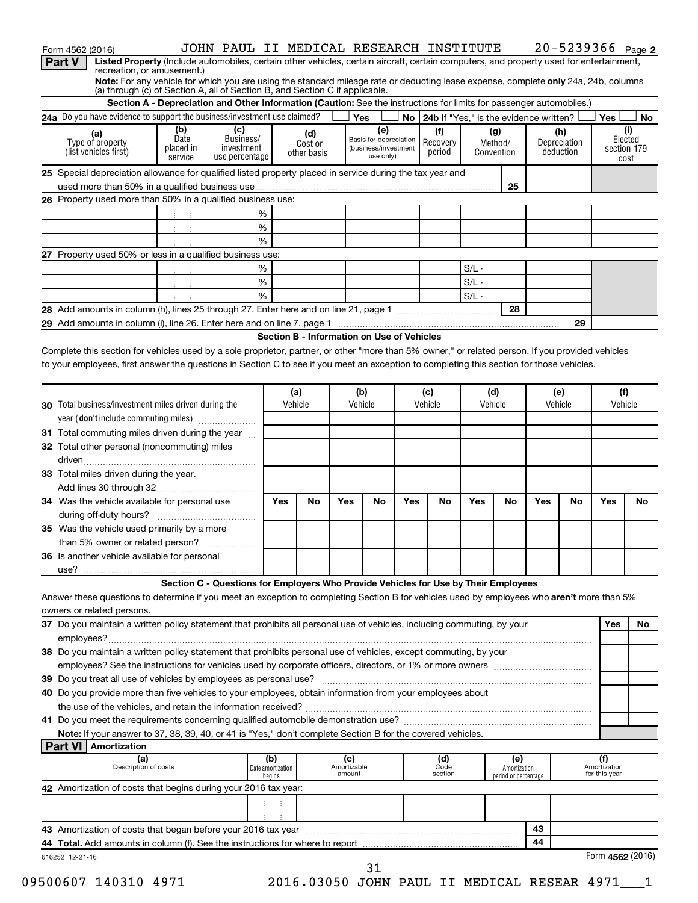| Form 4562 (2016)                                                                                                                                                  |                       | JOHN PAUL II MEDICAL RESEARCH INSTITUTE                                                                              |                          |                                            |                    |                                                |     |                                           |         |                       |     |                           | $20 - 5239366$ Page 2                |                        |
|-------------------------------------------------------------------------------------------------------------------------------------------------------------------|-----------------------|----------------------------------------------------------------------------------------------------------------------|--------------------------|--------------------------------------------|--------------------|------------------------------------------------|-----|-------------------------------------------|---------|-----------------------|-----|---------------------------|--------------------------------------|------------------------|
| Listed Property (Include automobiles, certain other vehicles, certain aircraft, certain computers, and property used for entertainment,<br>Part V                 |                       |                                                                                                                      |                          |                                            |                    |                                                |     |                                           |         |                       |     |                           |                                      |                        |
| recreation, or amusement.)<br>Note: For any vehicle for which you are using the standard mileage rate or deducting lease expense, complete only 24a, 24b, columns |                       |                                                                                                                      |                          |                                            |                    |                                                |     |                                           |         |                       |     |                           |                                      |                        |
| (a) through (c) of Section A, all of Section B, and Section C if applicable.                                                                                      |                       |                                                                                                                      |                          |                                            |                    |                                                |     |                                           |         |                       |     |                           |                                      |                        |
|                                                                                                                                                                   |                       | Section A - Depreciation and Other Information (Caution: See the instructions for limits for passenger automobiles.) |                          |                                            |                    |                                                |     |                                           |         |                       |     |                           |                                      |                        |
| 24a Do you have evidence to support the business/investment use claimed?                                                                                          |                       |                                                                                                                      |                          |                                            |                    | Yes                                            |     | No 24b If "Yes." is the evidence written? |         |                       |     |                           | Yes                                  | <b>No</b>              |
| (a)<br>Type of property                                                                                                                                           | (b)<br>Date           | (c)                                                                                                                  |                          | (d)                                        |                    | (e)                                            |     | (f)                                       |         | (g)                   |     | (h)                       |                                      | (i)                    |
| (list vehicles first)                                                                                                                                             | placed in             | Business/<br>investment                                                                                              |                          | Cost or<br>other basis                     |                    | Basis for depreciation<br>(business/investment |     | Recovery<br>period                        |         | Method/<br>Convention |     | Depreciation<br>deduction |                                      | Elected<br>section 179 |
|                                                                                                                                                                   | service               | use percentage                                                                                                       |                          |                                            |                    | use only)                                      |     |                                           |         |                       |     |                           |                                      | cost                   |
| 25 Special depreciation allowance for qualified listed property placed in service during the tax year and                                                         |                       |                                                                                                                      |                          |                                            |                    |                                                |     |                                           |         |                       |     |                           |                                      |                        |
|                                                                                                                                                                   |                       |                                                                                                                      |                          |                                            |                    |                                                |     |                                           |         | 25                    |     |                           |                                      |                        |
| 26 Property used more than 50% in a qualified business use:                                                                                                       |                       |                                                                                                                      |                          |                                            |                    |                                                |     |                                           |         |                       |     |                           |                                      |                        |
|                                                                                                                                                                   |                       |                                                                                                                      | %                        |                                            |                    |                                                |     |                                           |         |                       |     |                           |                                      |                        |
|                                                                                                                                                                   | $\mathbb{C}^{\times}$ |                                                                                                                      | $\%$                     |                                            |                    |                                                |     |                                           |         |                       |     |                           |                                      |                        |
|                                                                                                                                                                   |                       |                                                                                                                      | %                        |                                            |                    |                                                |     |                                           |         |                       |     |                           |                                      |                        |
| 27 Property used 50% or less in a qualified business use:                                                                                                         |                       |                                                                                                                      |                          |                                            |                    |                                                |     |                                           |         |                       |     |                           |                                      |                        |
|                                                                                                                                                                   |                       |                                                                                                                      | %                        |                                            |                    |                                                |     |                                           | $S/L -$ |                       |     |                           |                                      |                        |
|                                                                                                                                                                   | $1\leq i\leq 1$       |                                                                                                                      | $\%$                     |                                            |                    |                                                |     |                                           | $S/L -$ |                       |     |                           |                                      |                        |
|                                                                                                                                                                   |                       |                                                                                                                      | %                        |                                            |                    |                                                |     |                                           | $S/L -$ |                       |     |                           |                                      |                        |
|                                                                                                                                                                   |                       |                                                                                                                      |                          |                                            |                    |                                                |     |                                           |         | 28                    |     |                           |                                      |                        |
|                                                                                                                                                                   |                       |                                                                                                                      |                          |                                            |                    |                                                |     |                                           |         |                       |     | 29                        |                                      |                        |
|                                                                                                                                                                   |                       |                                                                                                                      |                          | Section B - Information on Use of Vehicles |                    |                                                |     |                                           |         |                       |     |                           |                                      |                        |
| Complete this section for vehicles used by a sole proprietor, partner, or other "more than 5% owner," or related person. If you provided vehicles                 |                       |                                                                                                                      |                          |                                            |                    |                                                |     |                                           |         |                       |     |                           |                                      |                        |
| to your employees, first answer the questions in Section C to see if you meet an exception to completing this section for those vehicles.                         |                       |                                                                                                                      |                          |                                            |                    |                                                |     |                                           |         |                       |     |                           |                                      |                        |
|                                                                                                                                                                   |                       |                                                                                                                      |                          |                                            |                    |                                                |     |                                           |         |                       |     |                           |                                      |                        |
|                                                                                                                                                                   |                       |                                                                                                                      |                          | (a)                                        |                    | (b)                                            |     | (c)                                       |         |                       |     | (e)                       | (f)                                  |                        |
| <b>30</b> Total business/investment miles driven during the                                                                                                       |                       |                                                                                                                      |                          | Vehicle                                    |                    | Vehicle                                        |     | (d)<br>Vehicle<br>Vehicle                 |         |                       |     | Vehicle                   | Vehicle                              |                        |
| year (don't include commuting miles)                                                                                                                              |                       |                                                                                                                      |                          |                                            |                    |                                                |     |                                           |         |                       |     |                           |                                      |                        |
| 31 Total commuting miles driven during the year                                                                                                                   |                       |                                                                                                                      |                          |                                            |                    |                                                |     |                                           |         |                       |     |                           |                                      |                        |
| 32 Total other personal (noncommuting) miles                                                                                                                      |                       |                                                                                                                      |                          |                                            |                    |                                                |     |                                           |         |                       |     |                           |                                      |                        |
|                                                                                                                                                                   |                       |                                                                                                                      |                          |                                            |                    |                                                |     |                                           |         |                       |     |                           |                                      |                        |
|                                                                                                                                                                   |                       |                                                                                                                      |                          |                                            |                    |                                                |     |                                           |         |                       |     |                           |                                      |                        |
| 33 Total miles driven during the year.                                                                                                                            |                       |                                                                                                                      |                          |                                            |                    |                                                |     |                                           |         |                       |     |                           |                                      |                        |
|                                                                                                                                                                   |                       |                                                                                                                      | Yes                      | No                                         | <b>Yes</b>         |                                                | Yes |                                           | Yes     |                       |     |                           | Yes                                  |                        |
| 34 Was the vehicle available for personal use                                                                                                                     |                       |                                                                                                                      |                          |                                            |                    | No                                             |     | No                                        |         | No                    | Yes | No                        |                                      | No                     |
| 35 Was the vehicle used primarily by a more                                                                                                                       |                       |                                                                                                                      |                          |                                            |                    |                                                |     |                                           |         |                       |     |                           |                                      |                        |
|                                                                                                                                                                   |                       |                                                                                                                      |                          |                                            |                    |                                                |     |                                           |         |                       |     |                           |                                      |                        |
| than 5% owner or related person?                                                                                                                                  |                       |                                                                                                                      |                          |                                            |                    |                                                |     |                                           |         |                       |     |                           |                                      |                        |
| 36 Is another vehicle available for personal                                                                                                                      |                       |                                                                                                                      |                          |                                            |                    |                                                |     |                                           |         |                       |     |                           |                                      |                        |
|                                                                                                                                                                   |                       |                                                                                                                      |                          |                                            |                    |                                                |     |                                           |         |                       |     |                           |                                      |                        |
|                                                                                                                                                                   |                       | Section C - Questions for Employers Who Provide Vehicles for Use by Their Employees                                  |                          |                                            |                    |                                                |     |                                           |         |                       |     |                           |                                      |                        |
| Answer these questions to determine if you meet an exception to completing Section B for vehicles used by employees who aren't more than 5%                       |                       |                                                                                                                      |                          |                                            |                    |                                                |     |                                           |         |                       |     |                           |                                      |                        |
| owners or related persons.                                                                                                                                        |                       |                                                                                                                      |                          |                                            |                    |                                                |     |                                           |         |                       |     |                           |                                      |                        |
| 37 Do you maintain a written policy statement that prohibits all personal use of vehicles, including commuting, by your                                           |                       |                                                                                                                      |                          |                                            |                    |                                                |     |                                           |         |                       |     |                           | Yes                                  | No                     |
|                                                                                                                                                                   |                       |                                                                                                                      |                          |                                            |                    |                                                |     |                                           |         |                       |     |                           |                                      |                        |
| 38 Do you maintain a written policy statement that prohibits personal use of vehicles, except commuting, by your                                                  |                       |                                                                                                                      |                          |                                            |                    |                                                |     |                                           |         |                       |     |                           |                                      |                        |
|                                                                                                                                                                   |                       |                                                                                                                      |                          |                                            |                    |                                                |     |                                           |         |                       |     |                           |                                      |                        |
|                                                                                                                                                                   |                       |                                                                                                                      |                          |                                            |                    |                                                |     |                                           |         |                       |     |                           |                                      |                        |
| 40 Do you provide more than five vehicles to your employees, obtain information from your employees about                                                         |                       |                                                                                                                      |                          |                                            |                    |                                                |     |                                           |         |                       |     |                           |                                      |                        |
|                                                                                                                                                                   |                       |                                                                                                                      |                          |                                            |                    |                                                |     |                                           |         |                       |     |                           |                                      |                        |
|                                                                                                                                                                   |                       |                                                                                                                      |                          |                                            |                    |                                                |     |                                           |         |                       |     |                           |                                      |                        |
| Note: If your answer to 37, 38, 39, 40, or 41 is "Yes," don't complete Section B for the covered vehicles.                                                        |                       |                                                                                                                      |                          |                                            |                    |                                                |     |                                           |         |                       |     |                           |                                      |                        |
| <b>Part VI   Amortization</b>                                                                                                                                     |                       |                                                                                                                      |                          |                                            |                    |                                                |     |                                           |         |                       |     |                           |                                      |                        |
| (a)<br>Description of costs                                                                                                                                       |                       |                                                                                                                      | (b)<br>Date amortization |                                            | (c)<br>Amortizable |                                                |     | (d)<br>Code                               |         | (e)<br>Amortization   |     |                           | (f)<br>Amortization<br>for this year |                        |
|                                                                                                                                                                   |                       |                                                                                                                      | begins                   |                                            | amount             |                                                |     | section                                   |         | period or percentage  |     |                           |                                      |                        |
| 42 Amortization of costs that begins during your 2016 tax year:                                                                                                   |                       |                                                                                                                      |                          |                                            |                    |                                                |     |                                           |         |                       |     |                           |                                      |                        |
|                                                                                                                                                                   |                       |                                                                                                                      |                          |                                            |                    |                                                |     |                                           |         |                       |     |                           |                                      |                        |
|                                                                                                                                                                   |                       |                                                                                                                      |                          |                                            |                    |                                                |     |                                           |         |                       |     |                           |                                      |                        |
|                                                                                                                                                                   |                       |                                                                                                                      |                          |                                            |                    |                                                |     |                                           |         |                       | 43  |                           |                                      |                        |
|                                                                                                                                                                   |                       |                                                                                                                      |                          |                                            |                    |                                                |     |                                           |         |                       |     |                           |                                      |                        |
|                                                                                                                                                                   |                       |                                                                                                                      |                          |                                            |                    |                                                |     |                                           |         |                       | 44  |                           |                                      |                        |
| 616252 12-21-16                                                                                                                                                   |                       |                                                                                                                      |                          |                                            |                    |                                                |     |                                           |         |                       |     |                           | Form 4562 (2016)                     |                        |